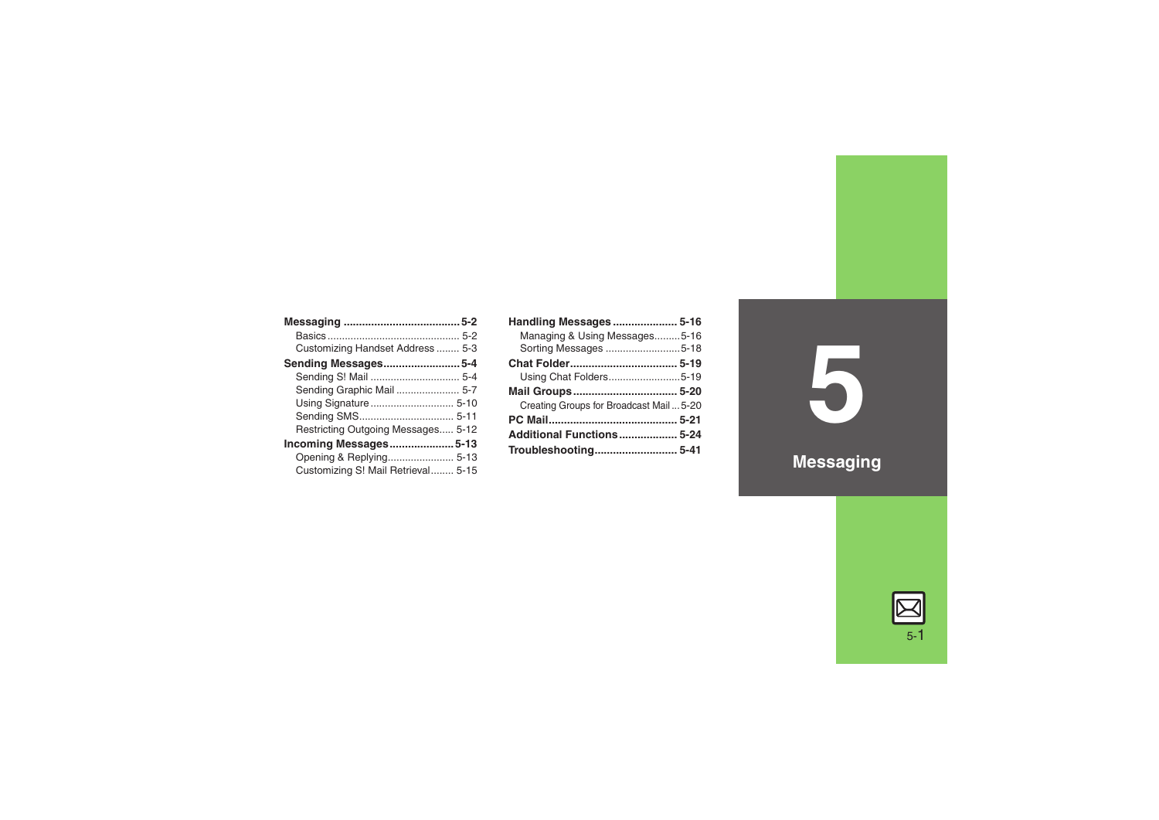| Customizing Handset Address  5-3   |  |
|------------------------------------|--|
| Sending Messages5-4                |  |
|                                    |  |
|                                    |  |
|                                    |  |
|                                    |  |
| Restricting Outgoing Messages 5-12 |  |
| <b>Incoming Messages5-13</b>       |  |
|                                    |  |
| Customizing S! Mail Retrieval 5-15 |  |

| Handling Messages 5-16                   |  |
|------------------------------------------|--|
| Managing & Using Messages5-16            |  |
| Sorting Messages 5-18                    |  |
|                                          |  |
| Using Chat Folders5-19                   |  |
| Mail Groups 5-20                         |  |
| Creating Groups for Broadcast Mail  5-20 |  |
|                                          |  |
| Additional Functions 5-24                |  |
| Troubleshooting 5-41                     |  |

**5**

**Messaging**

$$
\boxed{\text{2}}
$$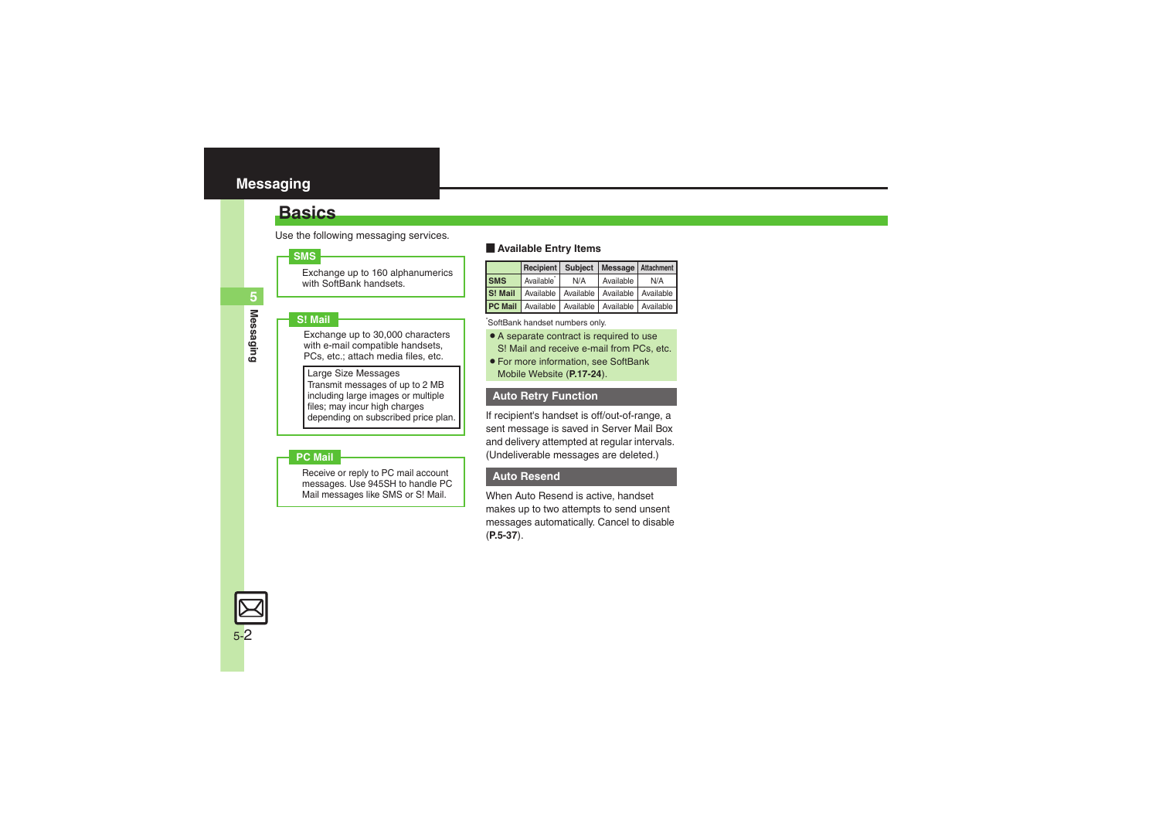### <span id="page-1-1"></span><span id="page-1-0"></span>**Basics**

Use the following messaging services.

### **SMS**

Exchange up to 160 alphanumerics with SoftBank handsets.

### **S! Mail**

Exchange up to 30,000 characters with e-mail compatible handsets. PCs, etc.; attach media files, etc.

Large Size Messages Transmit messages of up to 2 MB including large images or multiple files; may incur high charges depending on subscribed price plan.

### **PC Mail**

Receive or reply to PC mail account messages. Use 945SH to handle PC Mail messages like SMS or S! Mail.

### **Example Entry Items**

|            | Recipient   Subject   Message   Attachment              |     |           |     |
|------------|---------------------------------------------------------|-----|-----------|-----|
| <b>SMS</b> | Available <sup>*</sup>                                  | N/A | Available | N/A |
|            | S! Mail   Available   Available   Available   Available |     |           |     |
|            | <b>PC Mail</b> Available Available Available Available  |     |           |     |

\*SoftBank handset numbers only.

- A separate contract is required to use S! Mail and receive e-mail from PCs, etc.
- . For more information, see SoftBank Mobile Website (**P.17-24**).

### **Auto Retry Function**

If recipient's handset is off/out-of-range, a sent message is saved in Server Mail Box and delivery attempted at regular intervals. (Undeliverable messages are deleted.)

### **Auto Resend**

When Auto Resend is active, handset makes up to two attempts to send unsent messages automatically. Cancel to disable (**[P.5-37](#page-36-0)**).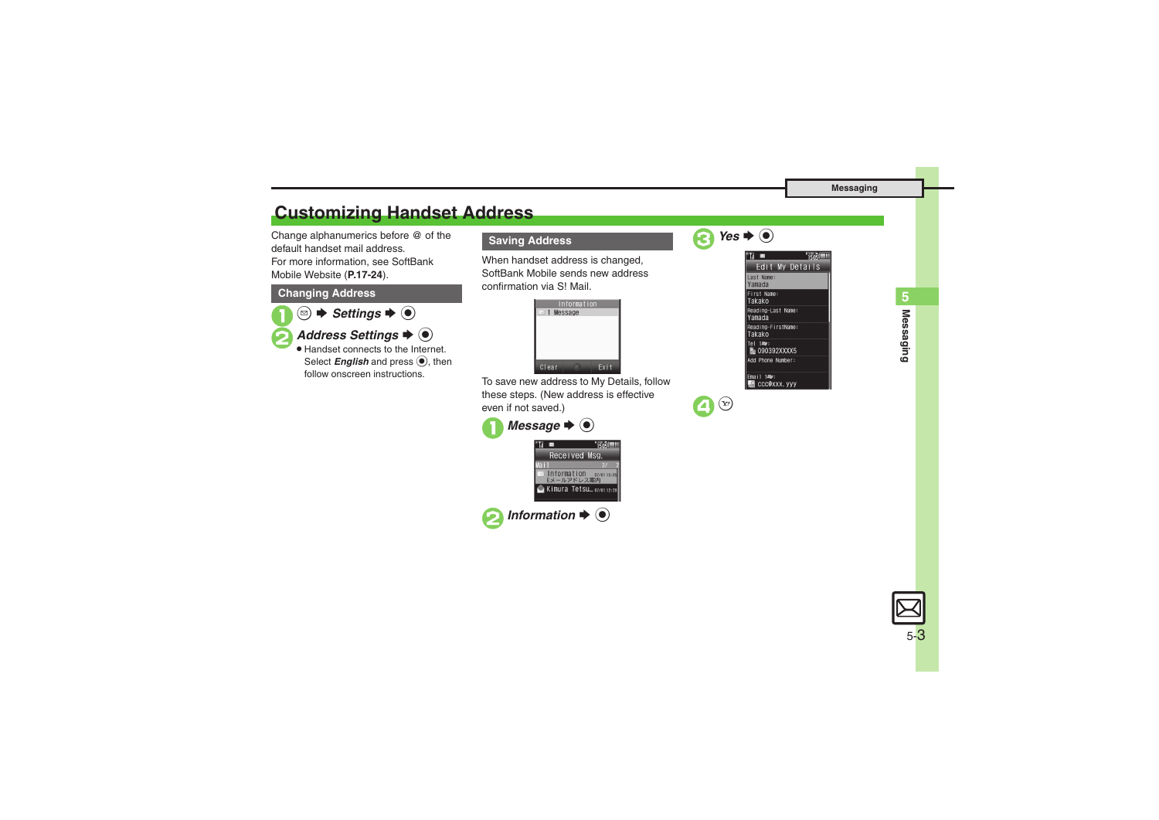### <span id="page-2-0"></span>**Customizing Handset Address**

Change alphanumerics before @ of the default handset mail address.For more information, see SoftBank Mobile Website (**P.17-24**).

### **Changing Address**

- $\mathbf 0$ **<sup><b>** *Settings*  $\rightarrow$  **●**</sup> **2** Address Settings  $\rightarrow$  <sup>6</sup>
	- . Handset connects to the Internet. Select *English* and press  $\textcircled{\scriptsize{}}$ , then follow onscreen instructions.

### **Saving Address**

When handset address is changed, SoftBank Mobile sends new address confirmation via S! Mail.



To save new address to My Details, follow these steps. (New address is effective even if not saved.)

| Message $\blacktriangleright$ $\blacklozenge$         |                                      |  |
|-------------------------------------------------------|--------------------------------------|--|
|                                                       |                                      |  |
|                                                       | Received Msg.                        |  |
|                                                       |                                      |  |
|                                                       | Information 07/0115:05<br>Eメールアドレス案内 |  |
|                                                       | Kimura Tetsu 07/01 12:20             |  |
| Information $\blacktriangleright$ ( $\blacklozenge$ ) |                                      |  |



 $\boldsymbol{\Theta}$  $(Y)$ 

| <b>No</b>                    | 15ns) |  |
|------------------------------|-------|--|
| Edit My Details              |       |  |
| Last Name:<br>Yamada         |       |  |
| First Name:<br>Takako        |       |  |
| Reading-Last Name:<br>Yamada |       |  |
| Reading-FirstName:<br>Takako |       |  |
| Tel 1447:<br>Ma 090392XXXX5  |       |  |
| Add Phone Number:            |       |  |
| Fmail 1407:<br>ccc@xxx.yyy   |       |  |

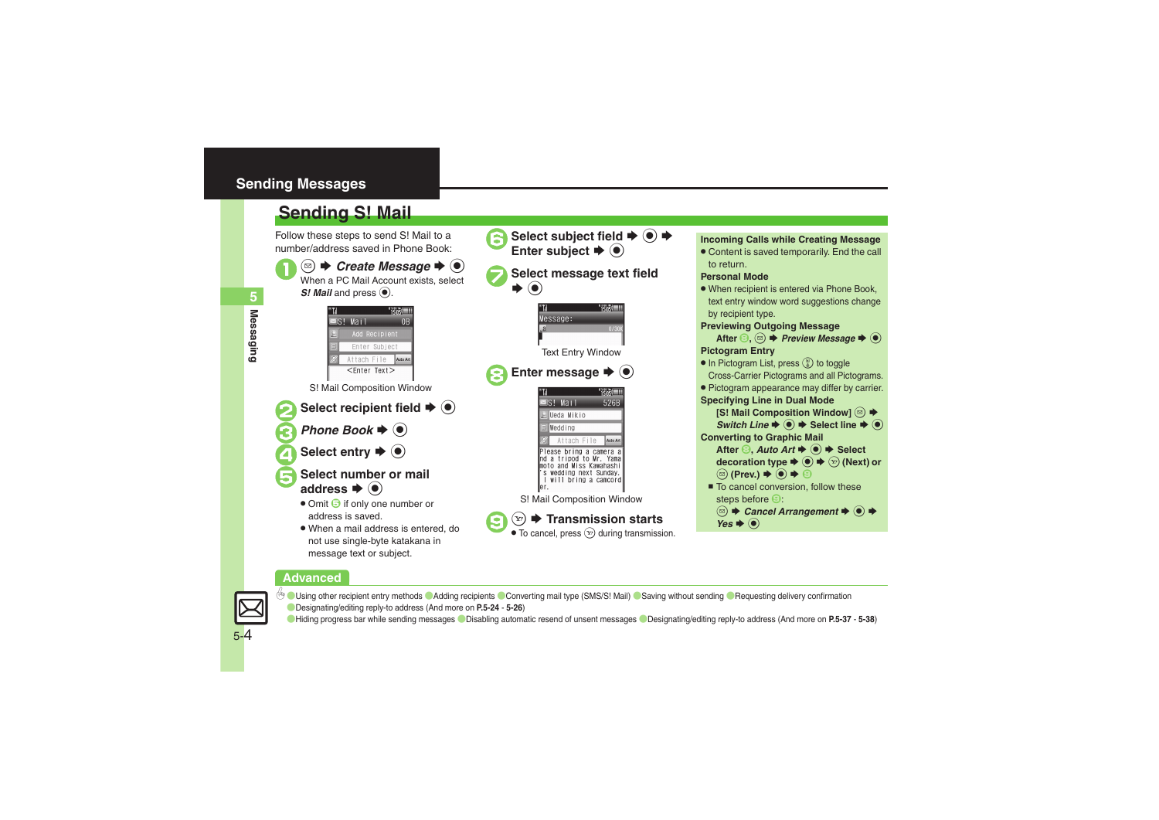### <span id="page-3-0"></span>**Sending Messages**

<span id="page-3-1"></span>

### **Advanced**



5-4

 $\%$  [Using other recipient entry methods](#page-23-1)  $\bullet$  [Adding recipients](#page-23-2)  $\bullet$  [Converting mail type \(SMS/S!](#page-24-0) Mail)  $\bullet$  [Saving without sending](#page-24-1)  $\bullet$  Requesting delivery confirmation ([Designating/editing reply-to address](#page-25-0) (And more on **[P.5-24](#page-23-1)** - **[5-26](#page-25-0)**)

([Hiding progress bar while sending messages](#page-36-1) ([Disabling automatic resend of unsent messages](#page-36-0) ([Designating/editing reply-to address](#page-37-0) (And more on **[P.5-37](#page-36-2)** - **[5-38](#page-37-0)**)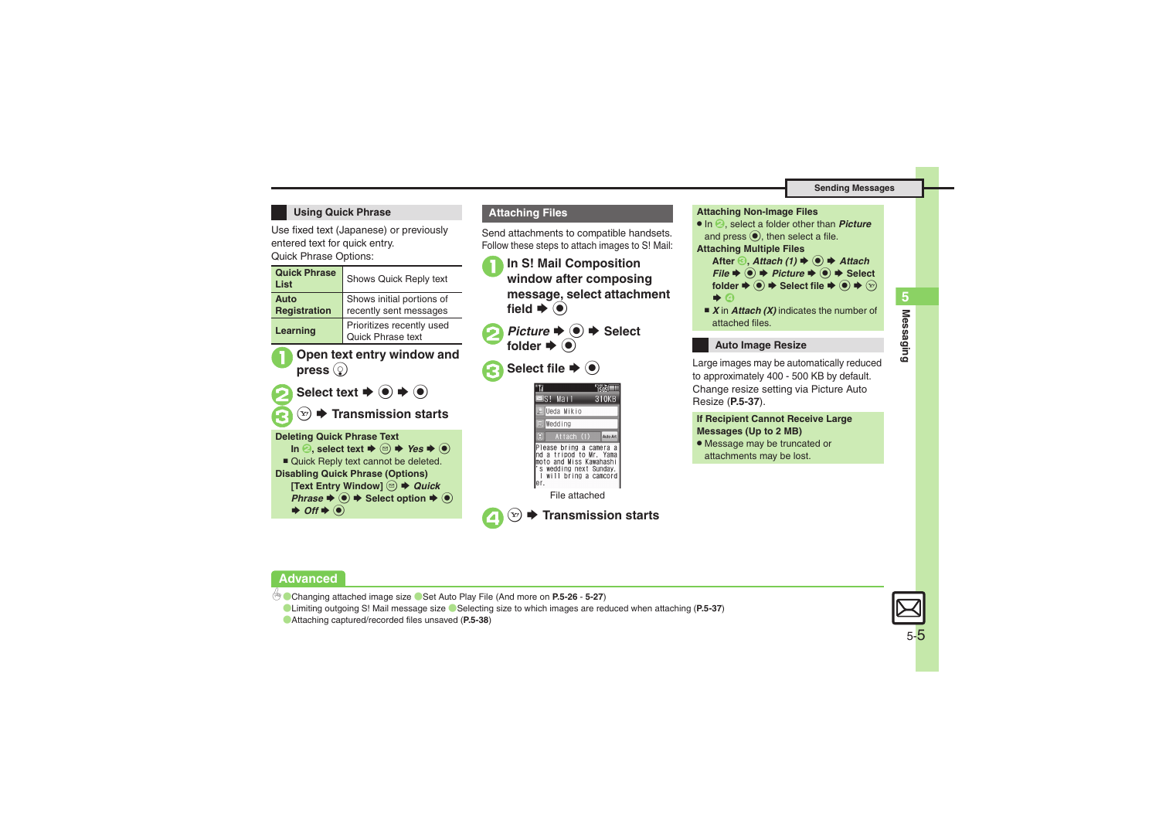### **Using Quick Phrase**

Use fixed text (Japanese) or previously entered text for quick entry.

Quick Phrase Options:



Send attachments to compatible handsets. Follow these steps to attach images to S! Mail:

- <sup>1</sup>**In S! Mail Composition window after composing message, select attachment**  field  $\blacktriangleright$   $\textcircled{\scriptsize{\bullet}}$
- **2** *Picture* ➡ → Select folder  $\blacklozenge$
- Select file  $\blacktriangleright$  <sup>o</sup>





. In 2, select a folder other than *Picture* and press  $\textcircled{\text{\sf{}}}$ , then select a file.

**Attaching Multiple Files**

After *<b><sub>3</sub>, Attach (1)*  $\blacktriangleright$  *● Attach*  $File \rightarrow \textcircled{\textcircled{\textcirc}} \rightarrow Picture \rightarrow \textcircled{\textcircled{\textcirc}} \rightarrow Select$  $\text{folder} \triangleq \textcircled{\LARGE{\blacklozenge}} \Rightarrow \text{Select file} \triangleq \textcircled{\LARGE{\blacklozenge}} \Rightarrow \textcircled{\ldots}$  $\bullet$  0

■ *X* in *Attach (X)* indicates the number of attached files.

### **Auto Image Resize**

Large images may be automatically reduced to approximately 400 - 500 KB by default. Change resize setting via Picture Auto Resize (**[P.5-37](#page-36-3)**).

### **If Recipient Cannot Receive Large Messages (Up to 2 MB)**

. Message may be truncated or attachments may be lost.

### **Advanced**

b **[Changing attached image size](#page-25-1) [Set Auto Play File](#page-26-0) (And more on [P.5-26](#page-25-1) - [5-27](#page-26-0))** 

**C[Limiting outgoing S!](#page-36-4) Mail message size C[Selecting size to which images are reduced when attaching](#page-36-3) ([P.5-37](#page-36-4))** 

 $\boldsymbol{\Theta}$ 

([Attaching captured/recorded files unsaved](#page-37-1) (**[P.5-38](#page-37-1)**)

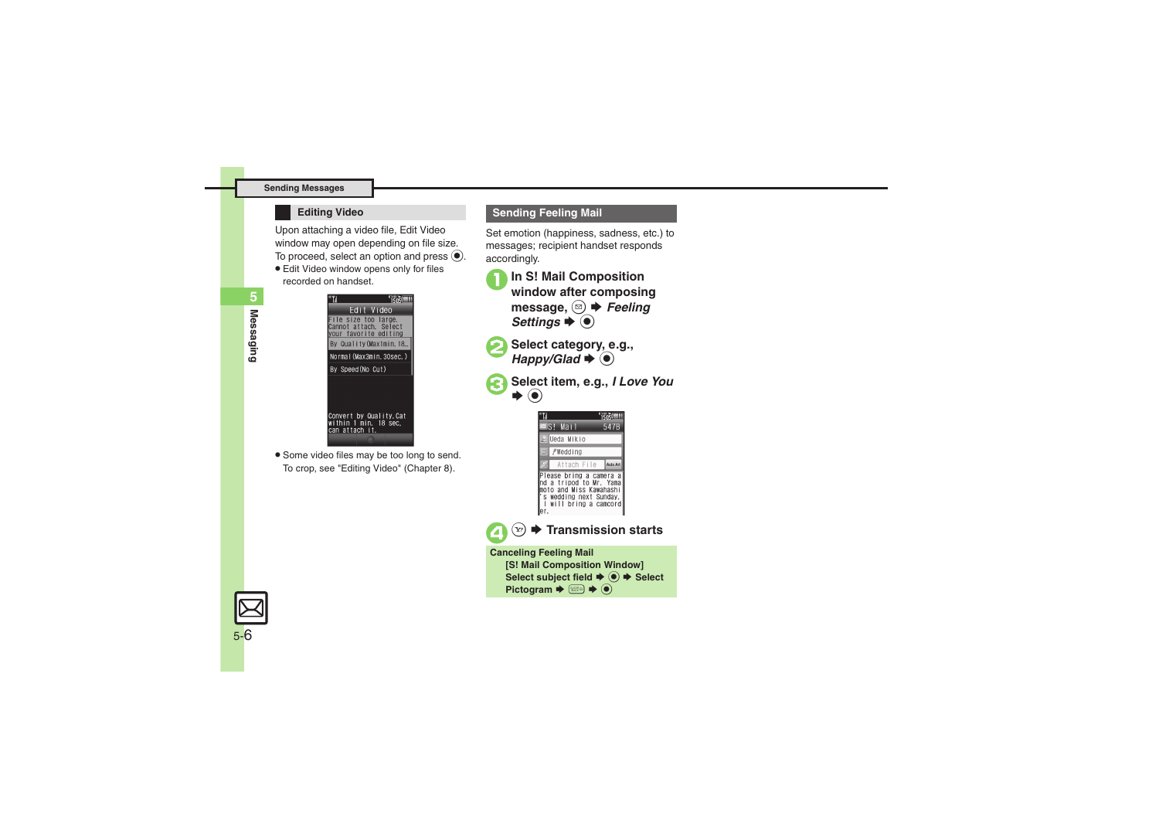#### **Sending Messages**

Upon attaching a video file, Edit Video window may open depending on file size. To proceed, select an option and press  $\textcircled{\textsf{s}}$ .

**Edit Video window opens only for files** recorded on handset.



. Some video files may be too long to send. To crop, see "Editing Video" (Chapter 8).



Set emotion (happiness, sadness, etc.) to messages; recipient handset responds accordingly.

<sup>1</sup>**In S! Mail Composition window after composing**  message, <sup>**a**</sup> *<del>●</del> Feeling Settings*  $\blacktriangleright$  ( $\blacklozenge$ )

Select category, e.g., *Happy/Glad* → <sup>●</sup>



Select item, e.g., *I Love You* 

| $\equiv$ S! Mail |                                                                                                                                 |  | 547B     |
|------------------|---------------------------------------------------------------------------------------------------------------------------------|--|----------|
|                  | & Ueda Mikio                                                                                                                    |  |          |
|                  | $\exists$ / $\ell$ Wedding                                                                                                      |  |          |
|                  | Attach File                                                                                                                     |  | Auto Art |
|                  | Please bring a camera a<br>nd a tripod to Mr. Yama<br>noto and Miss Kawahashi<br>s wedding next Sunday.<br>will bring a camcord |  |          |



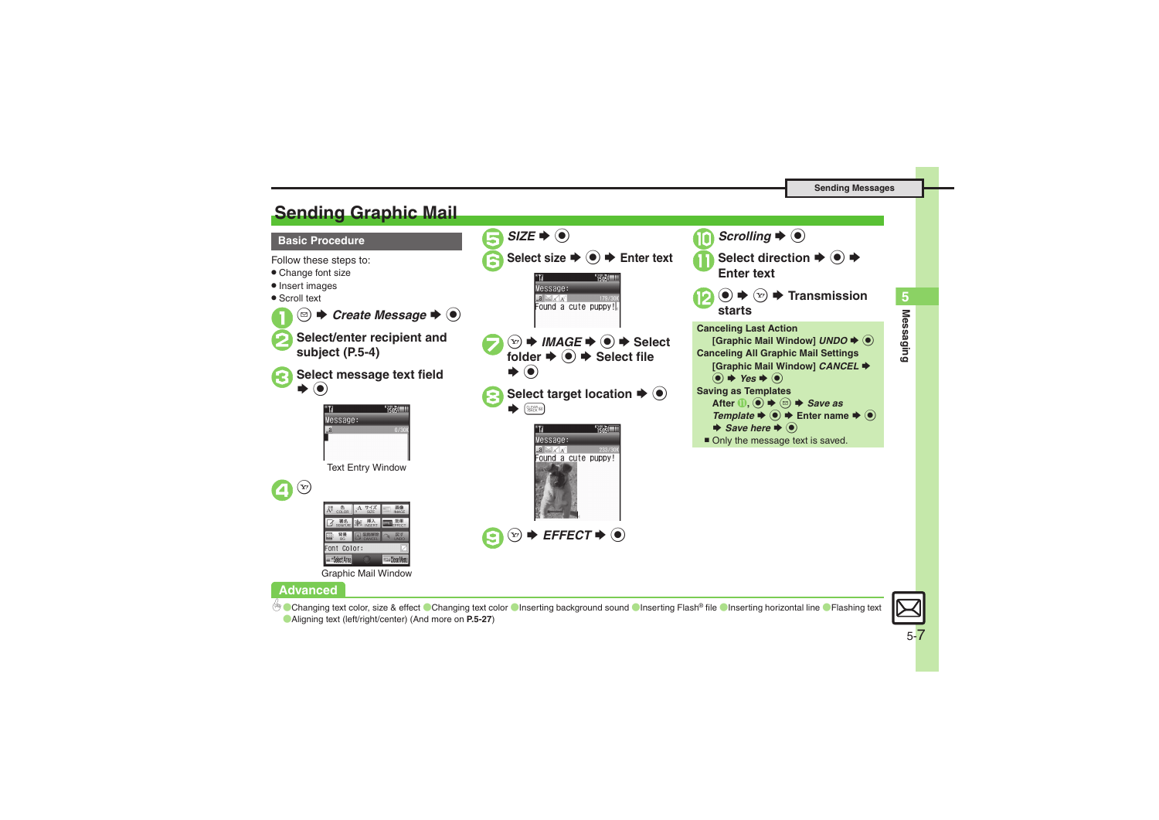### <span id="page-6-0"></span>**Sending Graphic Mail**



Graphic Mail Window

### **Advanced**

[Changing text color, size & effect](#page-26-1) © [Changing text color](#page-26-2) © [Inserting background sound](#page-26-3) © [Inserting Flash](#page-26-4)® file © [Inserting horizontal line](#page-26-5) ● [Flashing text](#page-26-6) ([Aligning text \(left/right/center\)](#page-26-7) (And more on **[P.5-27](#page-26-1)**)

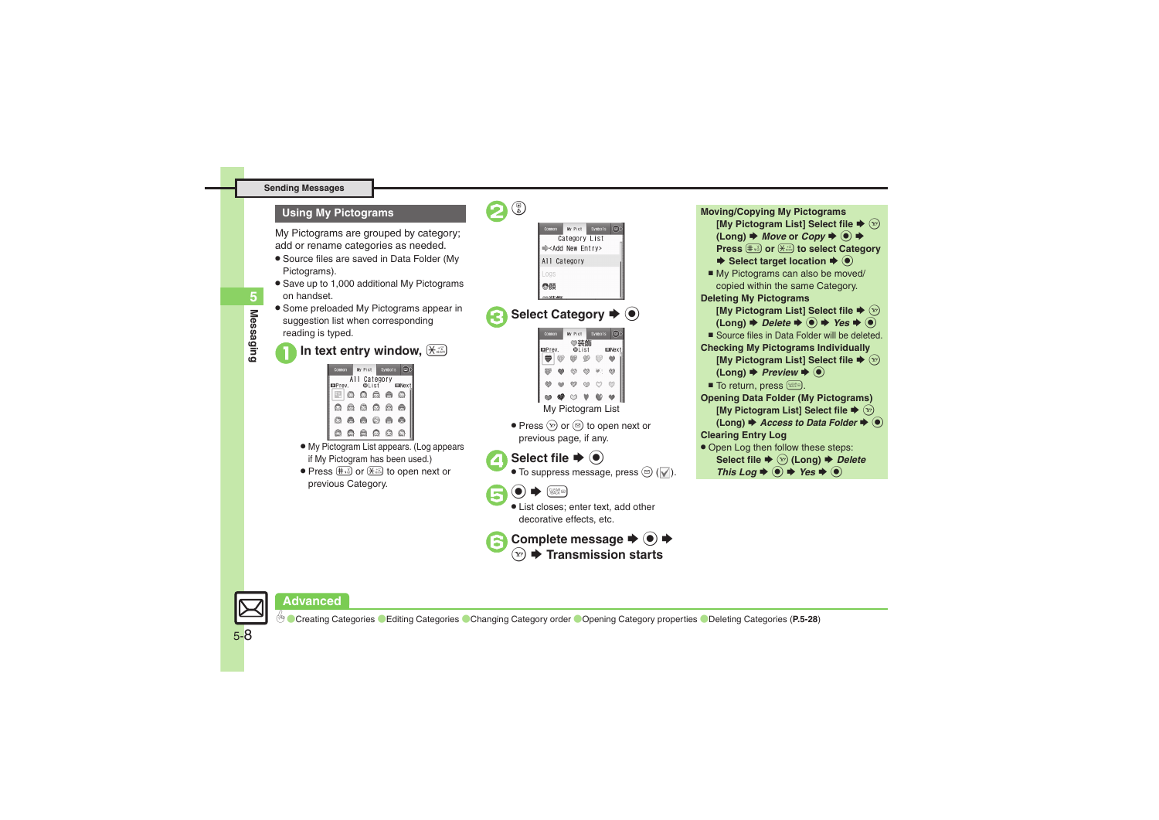#### **Sending Messages**

My Pictograms are grouped by category; add or rename categories as needed.

- . Source files are saved in Data Folder (My Pictograms).
- . Save up to 1,000 additional My Pictograms on handset.
- . Some preloaded My Pictograms appear in suggestion list when corresponding reading is typed.

### 1**In text entry window,** (



- . My Pictogram List appears. (Log appears if My Pictogram has been used.)
- Press  $\text{#}$  or  $\text{#}$  to open next or previous Category.



# **Complete message**  $\blacktriangleright$  **◉**  $\blacktriangleright$   $\blacktriangleright$  **Transmission starts**



**Advanced**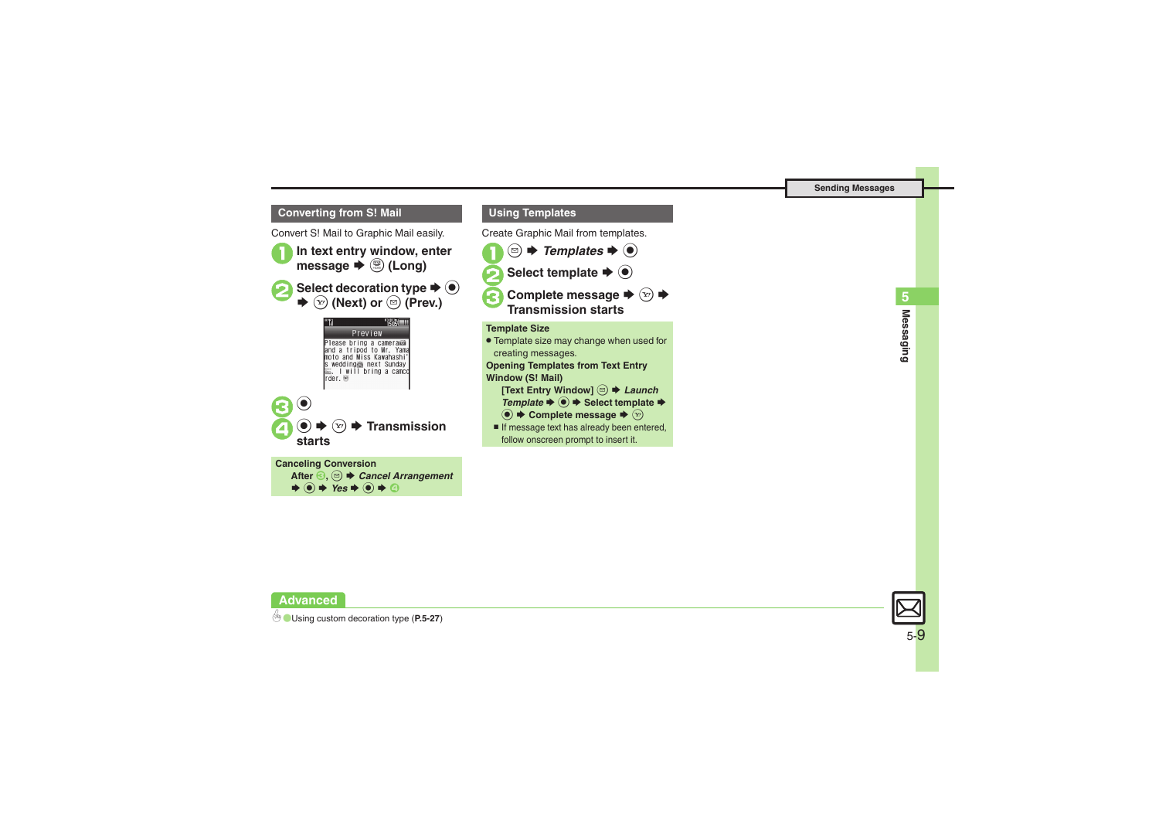### **Converting from S! Mail**

Convert S! Mail to Graphic Mail easily.





# 5 **Messaging 5 Messaging**

**Advanced**

5-9

 $\rightarrow$  0  $\rightarrow$  Yes  $\rightarrow$  0  $\rightarrow$  0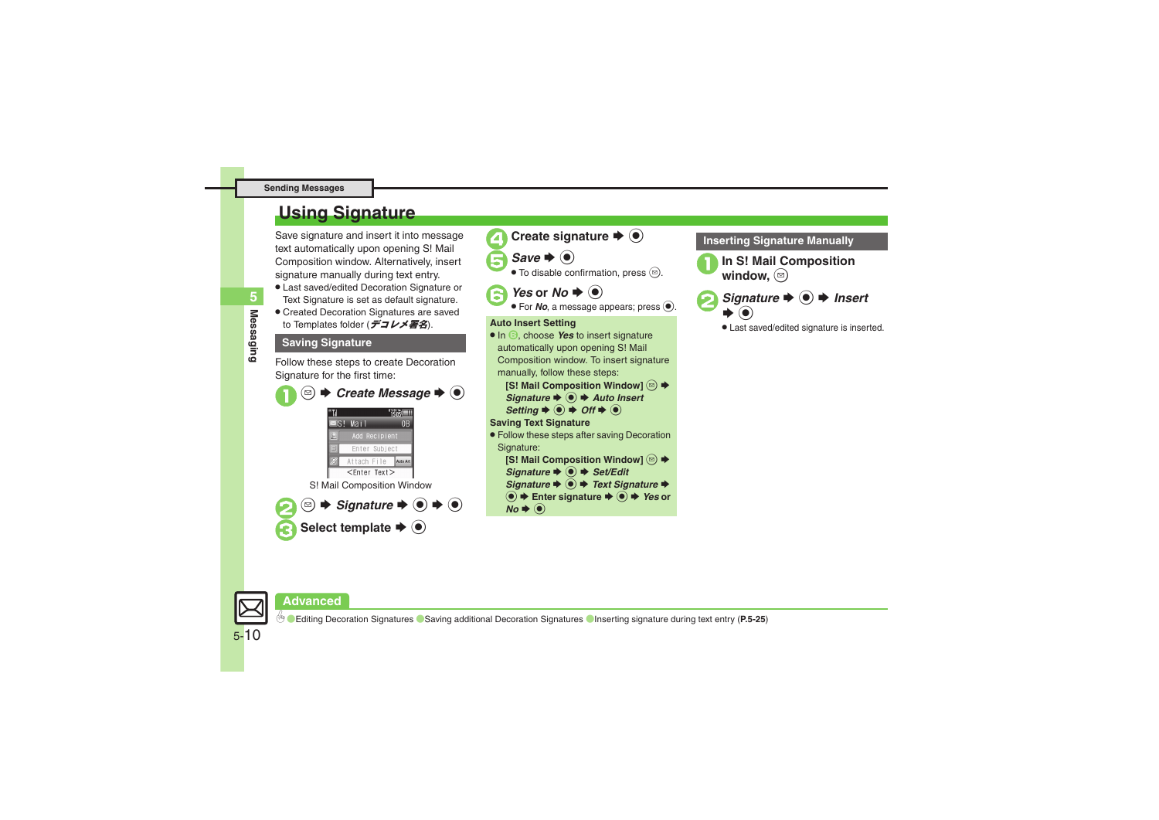#### **Sending Messages**

### <span id="page-9-0"></span>**Using Signature**

Save signature and insert it into message text automatically upon opening S! Mail Composition window. Alternatively, insert signature manually during text entry.

- . Last saved/edited Decoration Signature or Text Signature is set as default signature.
- . Created Decoration Signatures are saved to Templates folder (デコレメ署名).

### **Saving Signature**

Follow these steps to create Decoration Signature for the first time:





### **Inserting Signature Manually**

In S! Mail Composition window. **a** 



. Last saved/edited signature is inserted.



5-10

### **Advanced**

0([Editing Decoration Signatures](#page-24-3) ([Saving additional Decoration Signatures](#page-24-4) ([Inserting signature during text entry](#page-24-5) (**[P.5-25](#page-24-3)**)

Messaging **Messaging**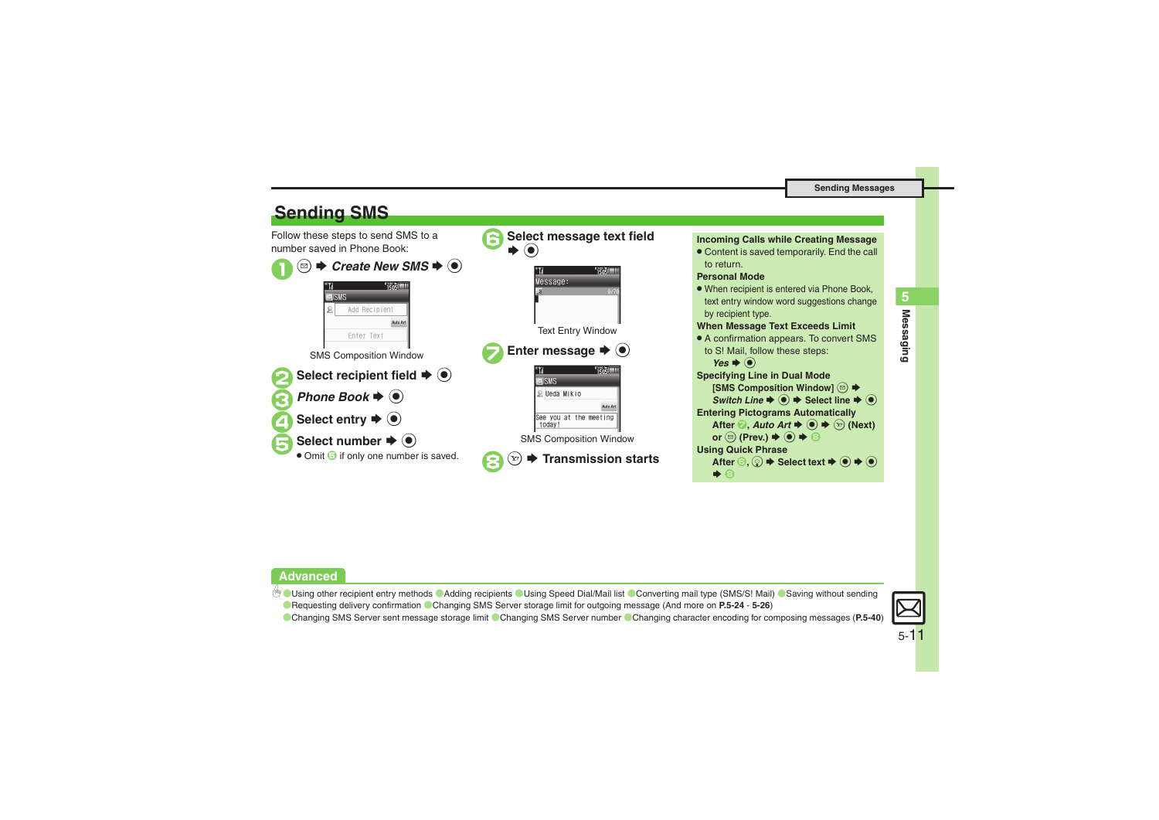<span id="page-10-0"></span>

### **Advanced**

b O[Using other recipient entry methods](#page-23-1) C[Adding recipients](#page-23-2) O[Using Speed Dial/Mail list](#page-23-3) COnverting mail type (SMS/S! Mail) CSaving without sending **C** [Requesting delivery confirmation](#page-24-2) [Changing SMS Server storage limit for outgoing message](#page-25-2) (And more on [P.5-24](#page-23-1) - [5-26](#page-25-2))

[Changing SMS Server sent message storage limit](#page-39-0) [Changing SMS Server number](#page-39-1) [Changing character encoding for composing messages](#page-39-2) ([P.5-40](#page-39-0))



**Messaging 5**

**Messaging** 

5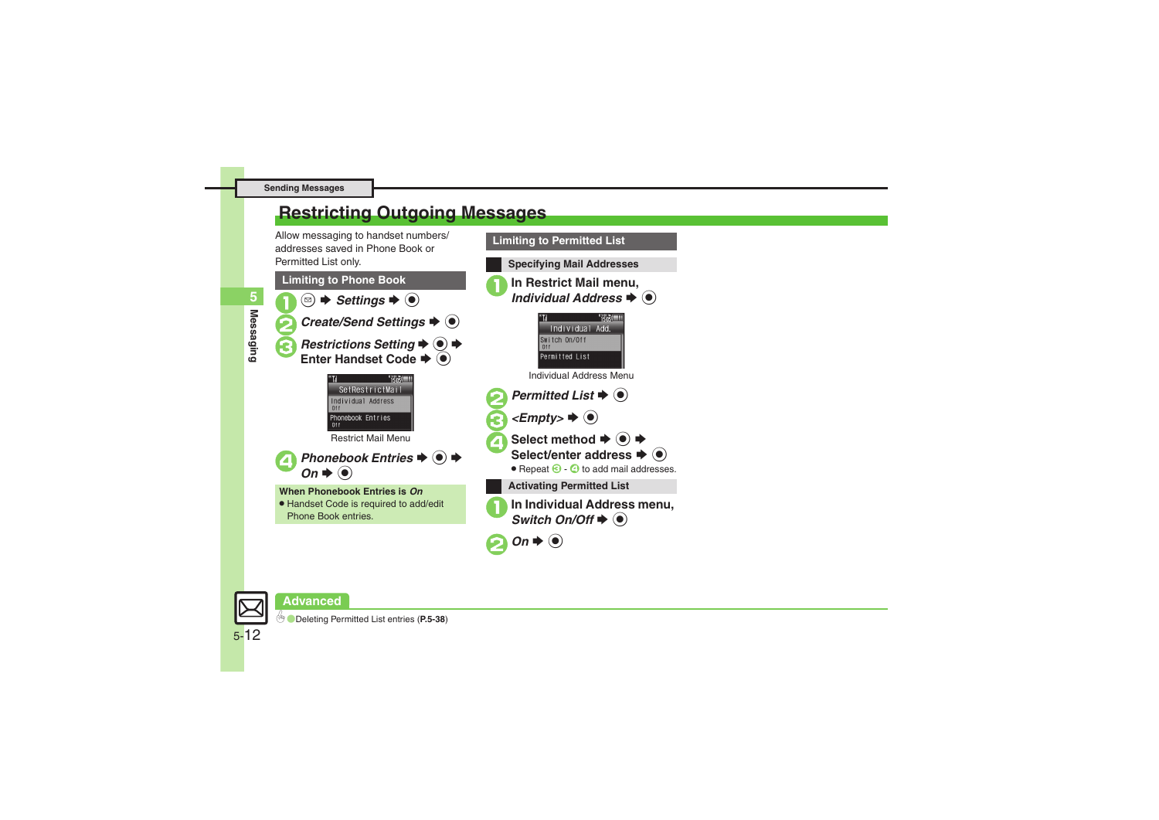### <span id="page-11-0"></span>**Restricting Outgoing Messages**

Allow messaging to handset numbers/ addresses saved in Phone Book or Permitted List only.







5-12

**Messaging**

**Messaging**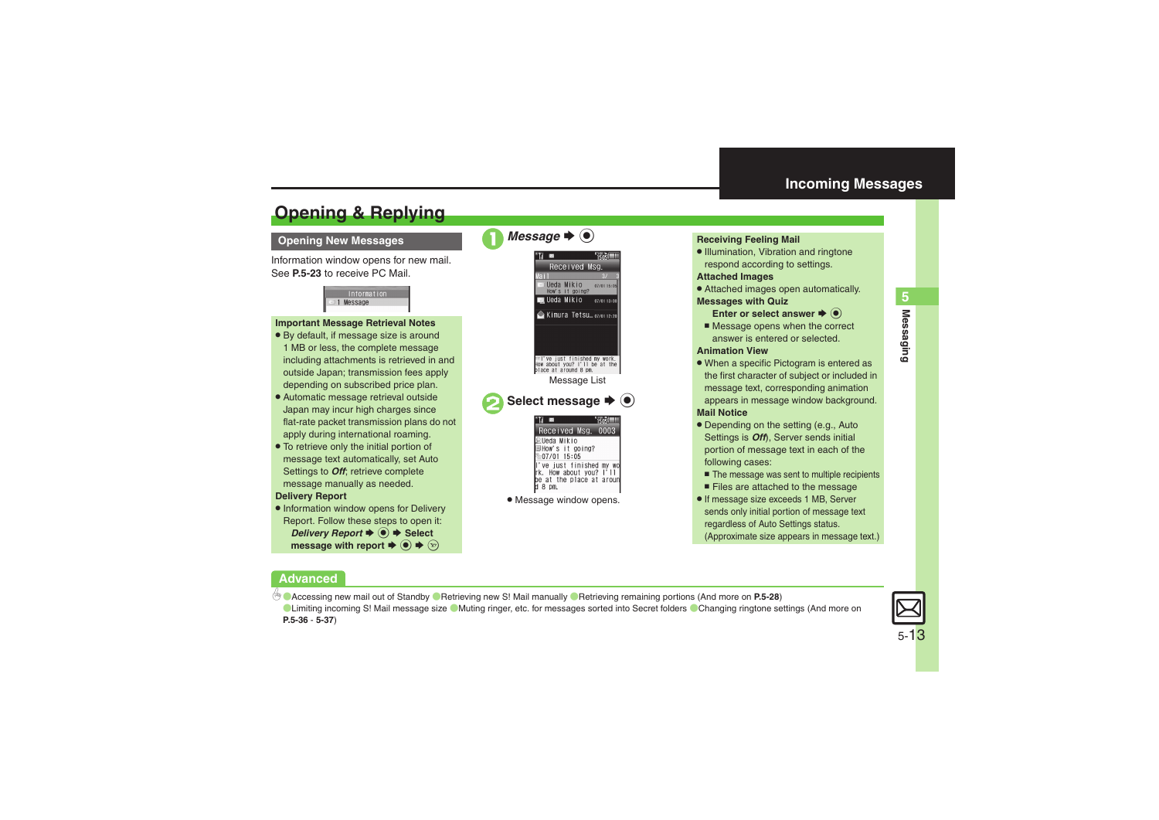## <span id="page-12-1"></span>**Opening & Replying**

### **Opening New Messages**

Information window opens for new mail. See **[P.5-23](#page-22-0)** to receive PC Mail.

> Information 1 Message

### **Important Message Retrieval Notes**

- . By default, if message size is around 1 MB or less, the complete message including attachments is retrieved in and outside Japan; transmission fees apply depending on subscribed price plan.
- . Automatic message retrieval outside Japan may incur high charges since flat-rate packet transmission plans do not apply during international roaming.
- . To retrieve only the initial portion of message text automatically, set Auto Settings to *Off*; retrieve complete message manually as needed.

### **Delivery Report**

. Information window opens for Delivery Report. Follow these steps to open it: *Delivery Report*  $\blacklozenge$  **● Select** message with report  $\blacklozenge\hspace{-4.5pt}\blacklozenge\, \blacklozenge\, \blacktriangleright\, \triangleright\,$ 



### <span id="page-12-0"></span>**Receiving Feeling Mail**

. Illumination, Vibration and ringtone respond according to settings.

### **Attached Images**

. Attached images open automatically. **Messages with Quiz**

### **Enter or select answer**  $\blacklozenge$

■ Message opens when the correct answer is entered or selected.

#### **Animation View**

- When a specific Pictogram is entered as the first character of subject or included in message text, corresponding animation appears in message window background. **Mail Notice**
- . Depending on the setting (e.g., Auto Settings is *Off*), Server sends initial portion of message text in each of the following cases:
	- The message was sent to multiple recipients
	- Files are attached to the message
- . If message size exceeds 1 MB, Server sends only initial portion of message text regardless of Auto Settings status. (Approximate size appears in message text.)

### **Advanced**

b **C[Accessing new mail out of Standby](#page-27-5) C[Retrieving new S!](#page-27-6) Mail manually C[Retrieving remaining portions](#page-27-7) (And more on [P.5-28](#page-27-5))** 

[Limiting incoming S!](#page-35-0) Mail message size [Muting ringer, etc. for messages sorted into Secret folders](#page-35-1) [Changing ringtone settings](#page-36-5) (And more on **[P.5-36](#page-35-1)** - **[5-37](#page-36-5)**)

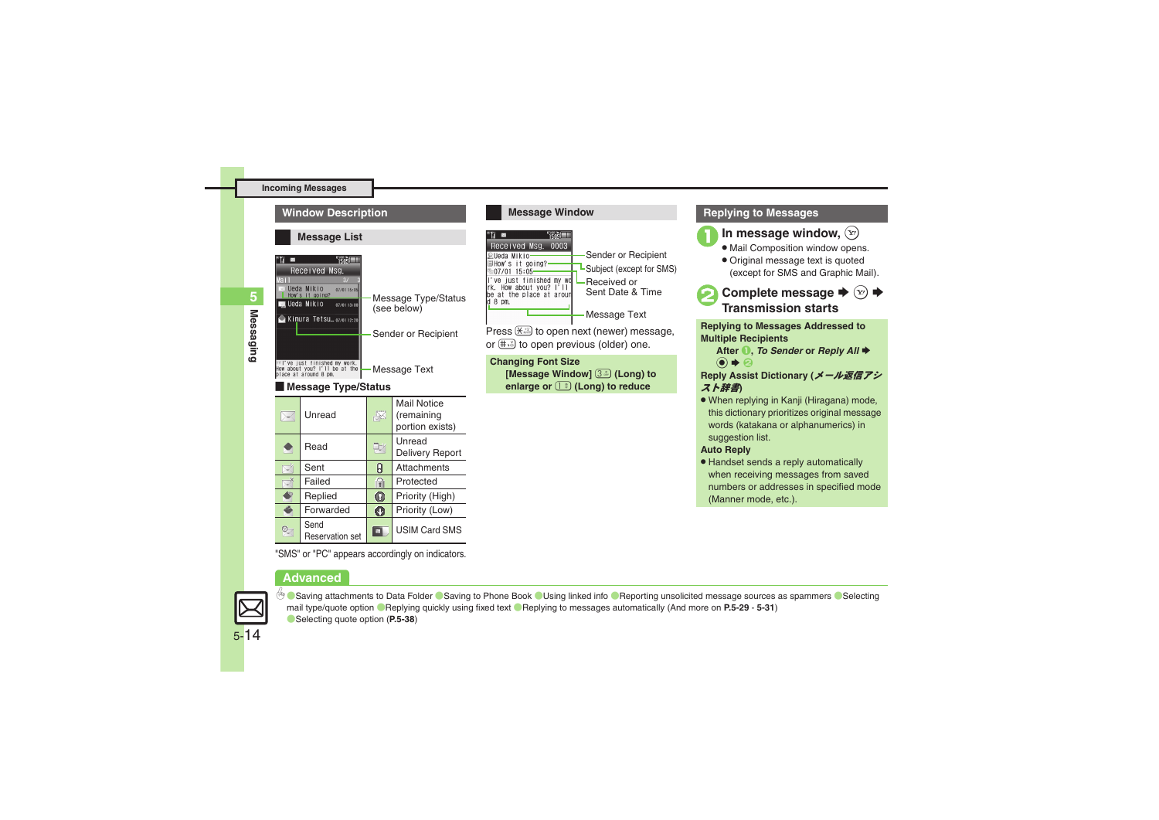

### **Message Window** ×  $1505$ Received Msg. 0003 Sender or Recipient Ueda Mikio-How's it going?-Subject (except for SMS)  $-07/01$  15:05l've just finished my wo<br>rk. How about you? l'll Received or Sent Date & Timebe at the place at arour  $d_8$  pm. Message Text Press  $\left(\frac{1}{2}, \frac{1}{2}\right)$  to open next (newer) message, or  $\left(\frac{1}{2}, \frac{1}{2}\right)$  to open previous (older) one. **Changing Font Size [Message Window]** 3 **(Long) to enlarge or** 1 **(Long) to reduce**

### **Replying to Messages**



In message window,  $\left(\mathbf{x}\right)$ 

- $\bullet$  Mail Composition window opens.
- . Original message text is quoted (except for SMS and Graphic Mail).
- **Complete message →**  $\left(\frac{1}{2}\right)$  **→ Transmission starts**

**Replying to Messages Addressed to Multiple Recipients**

**After ● 7. To Sender or Reply All**  $\bigcirc$   $\bigcirc$ 

**Reply Assist Dictionary (**メール返信アシ スト辞書**)**

. When replying in Kanji (Hiragana) mode, this dictionary prioritizes original message words (katakana or alphanumerics) in suggestion list.

### **Auto Reply**

. Handset sends a reply automatically when receiving messages from saved numbers or addresses in specified mode (Manner mode, etc.).

"SMS" or "PC" appears accordingly on indicators.

**Priority (Low)** 

**ED** USIM Card SMS

### **Advanced**

Send Reservation set

Ő Ø.

Forwarded



**<sup>5</sup>/ C[Saving attachments to Data Folder](#page-28-0) C[Saving to Phone Book](#page-28-1) ([Using linked info](#page-28-2) C[Reporting unsolicited message sources as spammers](#page-29-0) (CSelecting** [mail type/quote option](#page-29-1) ([Replying quickly using fixed text](#page-29-2) ([Replying to messages automatically](#page-30-0) (And more on **[P.5-29](#page-28-0)** - **[5-31](#page-30-0)**) ([Selecting quote option](#page-37-3) (**[P.5-38](#page-37-3)**)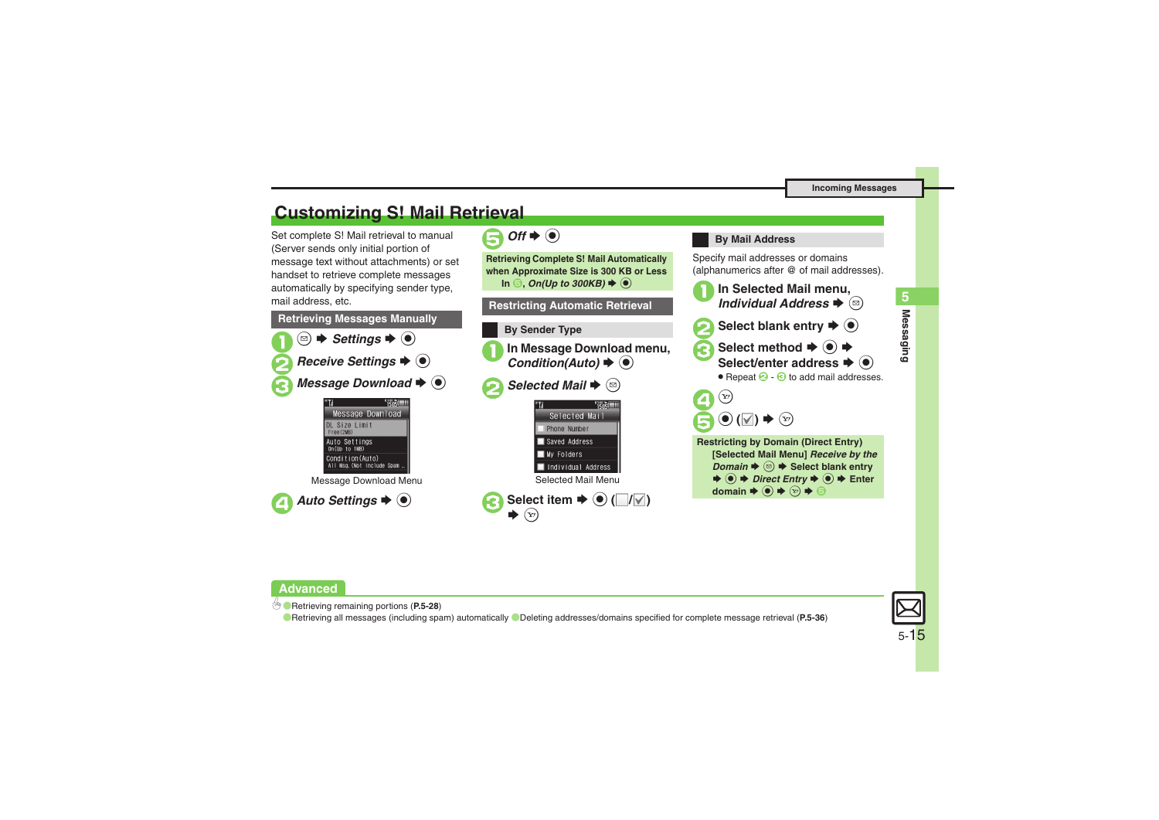### <span id="page-14-0"></span>**Customizing S! Mail Retrieval**

Set complete S! Mail retrieval to manual (Server sends only initial portion of message text without attachments) or set handset to retrieve complete messages automatically by specifying sender type, mail address, etc.





### **By Mail Address**

Specify mail addresses or domains (alphanumerics after @ of mail addresses).



### **Advanced**

b ([Retrieving remaining portions](#page-27-7) (**[P.5-28](#page-27-7)**)

**[Retrieving all messages \(including spam\) automatically](#page-35-2) C[Deleting addresses/domains specified for complete message retrieval](#page-35-3) ([P.5-36](#page-35-3))** 



**Messaging 5**

**Messaging**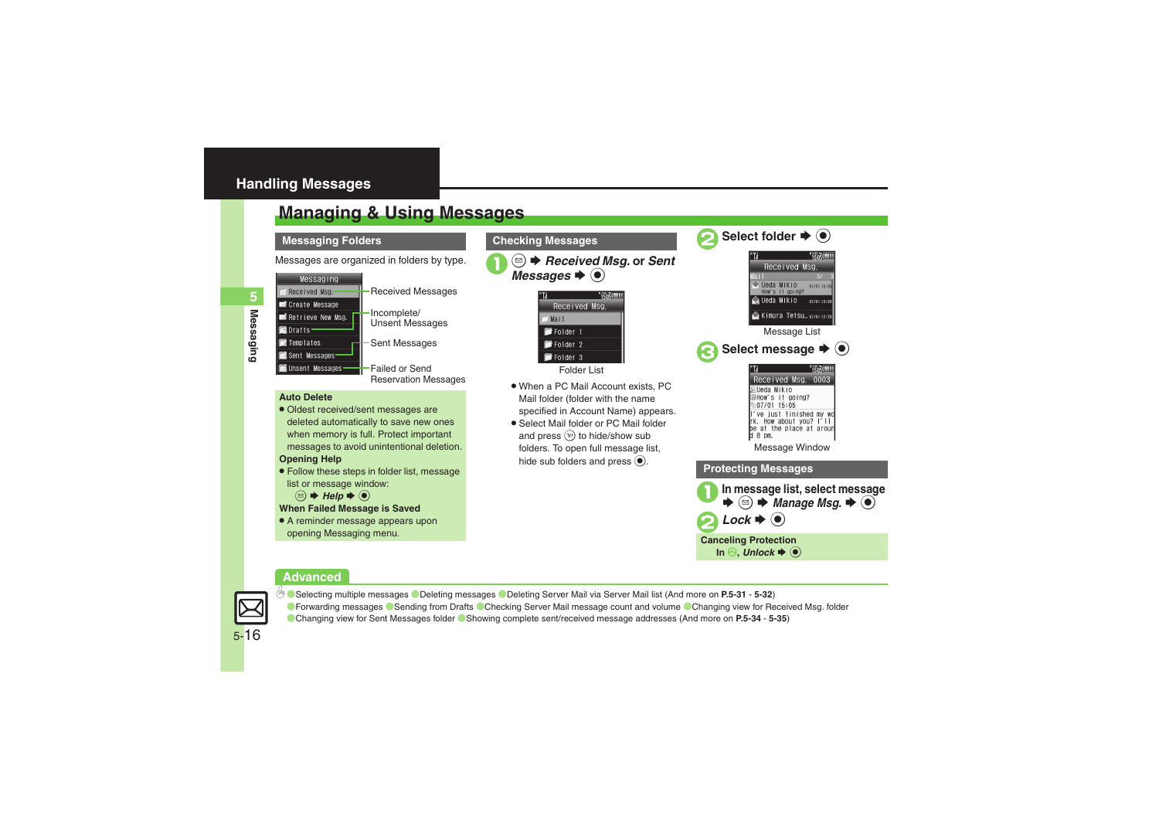### <span id="page-15-0"></span>**Handling Messages**

### <span id="page-15-1"></span>**Managing & Using Messages**

### **Messaging Folders**

Messages are organized in folders by type. 1 a **B B B Received Msg.** or Sent Messages → <sup>6</sup>



- Received Messages Incomplete/ Unsent Messages
- Sent Messages

Failed or SendReservation Messages

#### **Auto Delete**

• Oldest received/sent messages are deleted automatically to save new ones when memory is full. Protect important messages to avoid unintentional deletion. **Opening Help**

- . Follow these steps in folder list, message list or message window:
	- $\textcircled{\scriptsize{\textcircled{\#}}}$  Help  $\blacktriangleright$   $\textcircled{\scriptsize{\bullet}}$
- **When Failed Message is Saved**
- A reminder message appears upon opening Messaging menu.

**Checking Messages**



Folder List

- . When a PC Mail Account exists, PC Mail folder (folder with the name specified in Account Name) appears.
- . Select Mail folder or PC Mail folder and press  $\mathcal{F}$  to hide/show sub folders. To open full message list, hide sub folders and press  $\odot$ .



### **Advanced**



0([Selecting multiple messages](#page-30-1) ([Deleting messages](#page-31-0) ([Deleting Server Mail via Server Mail list](#page-31-1) (And more on **[P.5-31](#page-30-1)** - **[5-32](#page-31-1)**) **C[Forwarding messages](#page-33-0) C[Sending from Drafts](#page-33-1) C[Checking Server Mail message count and volume](#page-34-0) CChanging view for Received Msg. folder** ([Changing view for Sent Messages folder](#page-34-2) ([Showing complete sent/received message addresses](#page-34-3) (And more on **[P.5-34](#page-33-0)** - **[5-35](#page-34-4)**)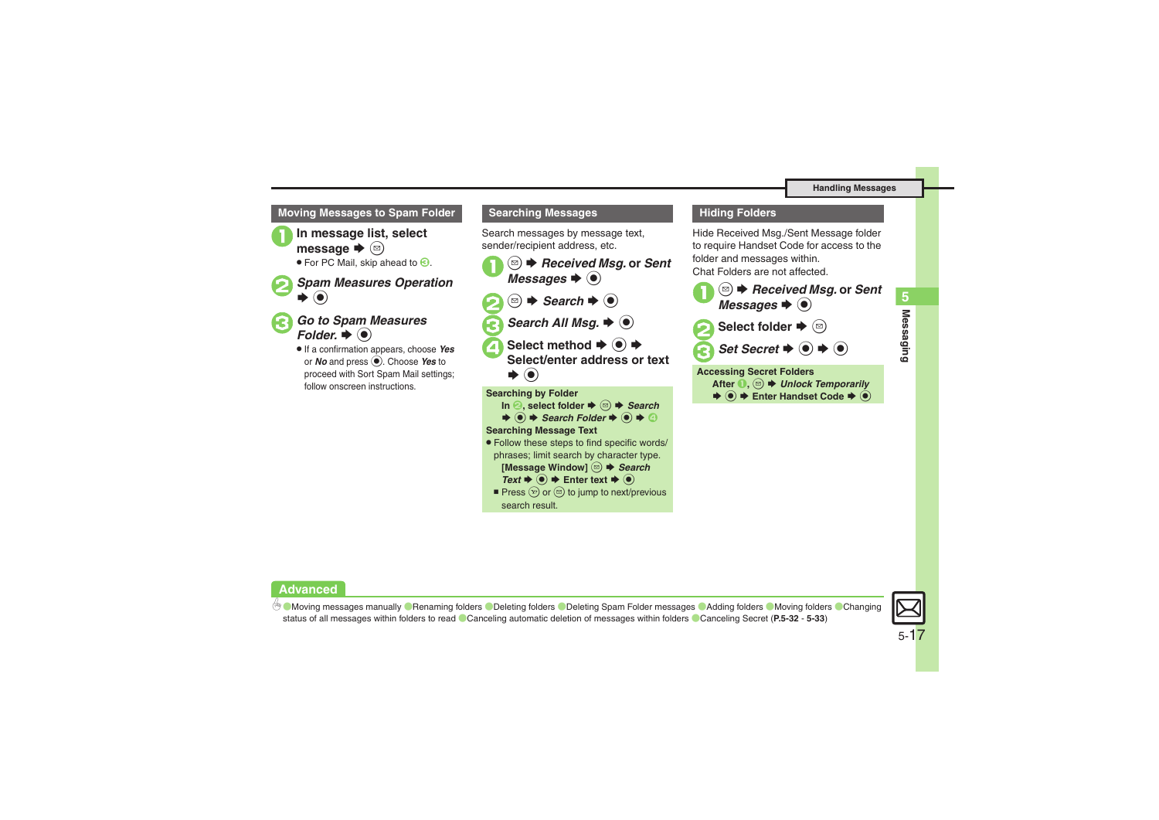### **Moving Messages to Spam Folder Searching Messages**



In message list, select message  $\blacktriangleright$   $\textcircled{\scriptsize{a}}$ 

 $\bullet$  For PC Mail, skip ahead to  $\odot$ .

### **Spam Measures Operation**  $\blacktriangleright$  (e)



**Go to Spam Measures** :  $\blacklozenge$   $\odot$ 

. If a confirmation appears, choose *Yes* or *No* and press %. Choose *Yes* to proceed with Sort Spam Mail settings; follow onscreen instructions.

Search messages by message text, sender/recipient address, etc.

 $\circledcirc$  **→** *Received Msg.* or *Sent Messages*  $\rightarrow$   $\circledcirc$  $\circledcirc$   $\Rightarrow$  *Search*  $\Rightarrow$   $\circledcirc$ **Search All Msq.**  $\Rightarrow$  $\circledcirc$ **Select method → ● →**<br>Select/enter address or text S $\blacktriangleright$   $\textcircled{\scriptsize{}}$ **Searching by Folder In 2, select folder**  $\rightarrow$  **<sup>***®***</sup>)**  $\rightarrow$ *Search* 

### $\blacktriangleright$   $\textcircled{\textcolor{red}{\bullet}}$   $\blacktriangleright$  *Search Folder*  $\blacktriangleright$   $\textcircled{\textcolor{red}{\bullet}}$   $\blacklozenge$

### **Searching Message Text**

- . Follow these steps to find specific words/
- phrases; limit search by character type.

**[Message Window]** B S *Search* 

- $Text \rightarrow \textcircled{\ } \blacklozenge$  Finter text  $\blacklozenge$
- Press  $\circledcirc$  or  $\circledcirc$  to jump to next/previous search result.

### **Hiding Folders**

Hide Received Msg./Sent Message folder to require Handset Code for access to the folder and messages within. Chat Folders are not affected.



**After ●**  $\textcircled{}}$   $\oplus$  *B* Unlock Temporarily  $\bullet$   $\bullet$  **Enter Handset Code**  $\bullet$   $\bullet$ 

**Advanced**

**C[Moving messages manually](#page-31-2) C[Renaming folders](#page-31-3) C[Deleting folders](#page-32-0) C[Deleting Spam Folder messages](#page-32-1) C[Adding folders](#page-32-2) C[Moving folders](#page-32-3) CChanging** [status of all messages within folders to read](#page-32-4) ([Canceling automatic deletion of messages within folders](#page-32-5) ([Canceling Secret](#page-32-6) (**[P.5-32](#page-31-2)** - **[5-33](#page-32-6)**)

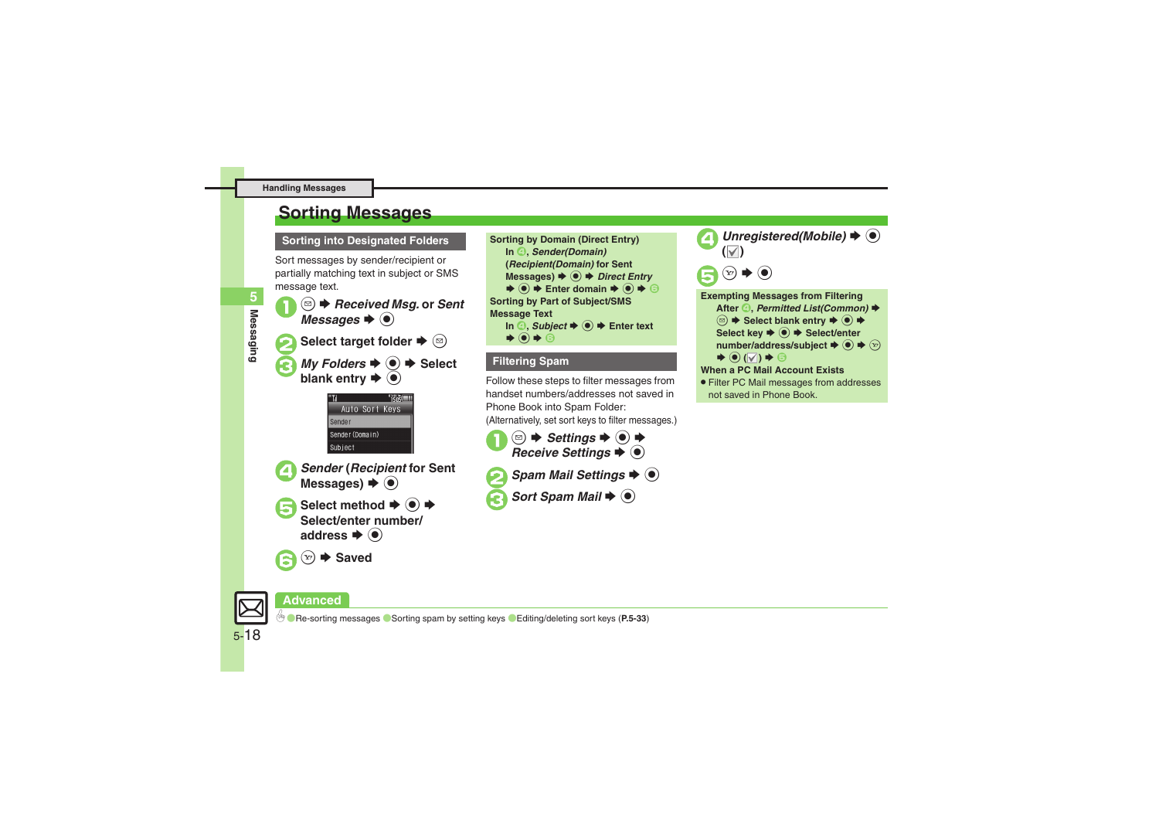### <span id="page-17-0"></span>**Sorting Messages**

### **Sorting into Designated Folders <b>Sorting by Domain (Direct Entry)**

Sort messages by sender/recipient or partially matching text in subject or SMS message text.

<sup>(⊠)</sup> → *Received Msg.* or *Sent Messages*  $\rightarrow$  ( $\bullet$ )

**Select target folder**  $\blacktriangleright$   $\textcircled{\scriptsize{\textsf{B}}}$ *My Folders*  $\Rightarrow$   $\circledcirc$   $\Rightarrow$  Select blank entry  $\Rightarrow$   $\circledcirc$ 





**Sender (Recipient for Sent Messages) → ●** 

Select method **→** ● →<br>Select/enter number/ address  $\blacktriangleright$   $\textcircled{\scriptsize{\bullet}}$ 

 $(x) \rightarrow$  Saved



### **Filtering Spam**

Follow these steps to filter messages from handset numbers/addresses not saved in Phone Book into Spam Folder:

(Alternatively, set sort keys to filter messages.)

- **<u>■ ◆ Settings → →</u><br>Receive Settings →**
- **Spam Mail Settings**  $\blacktriangleright$  **(0) Sort Spam Mail**  $\blacklozenge$   $\odot$



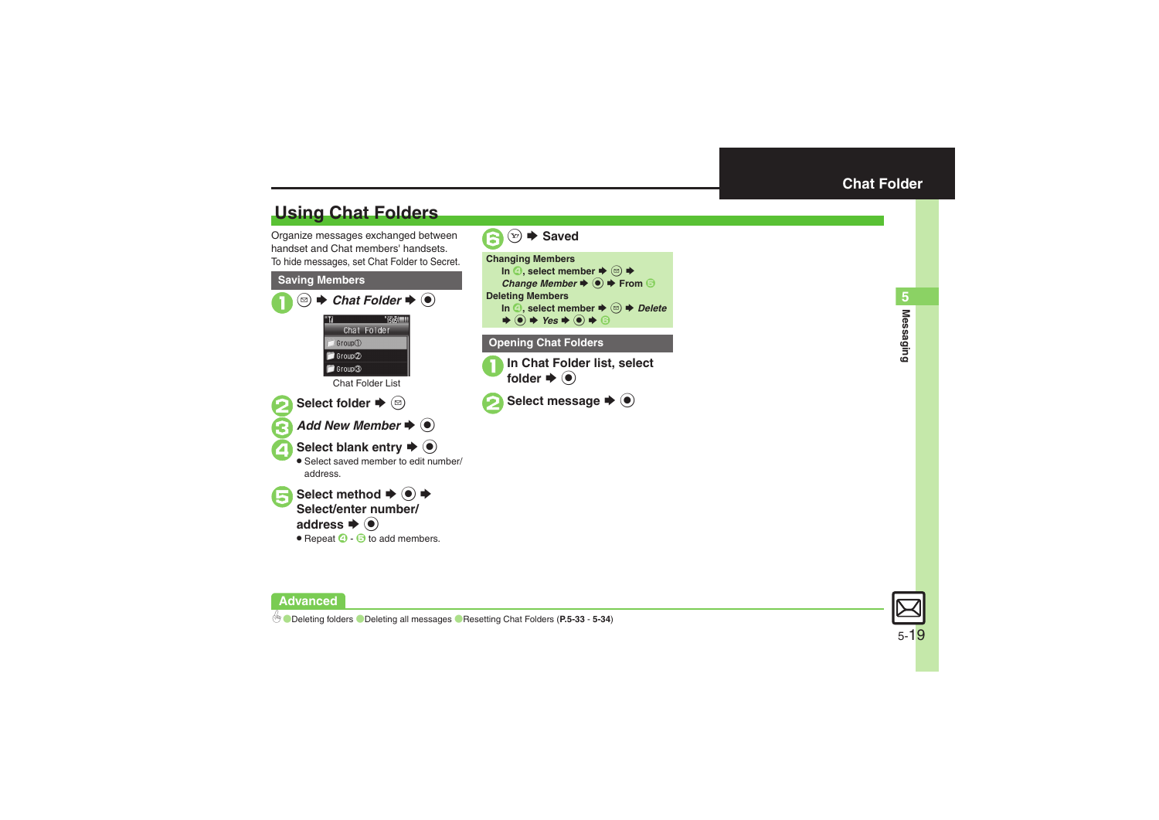### <span id="page-18-1"></span>**Using Chat Folders**

Organize messages exchanged between handset and Chat members' handsets.To hide messages, set Chat Folder to Secret.

### **Saving Members**  $\mathbf 0$  $\circledcirc$  $\rightarrow$  **Chat Folder**  $\rightarrow$  **<sup>◎</sup>** S**TSOS** Chat Folder Group<sup>(1)</sup> Group<sup>2</sup> Group<sup>3</sup> Chat Folder List**2**Select folder ♦ © **3** Add New Member  $\rightarrow$  <sup>6</sup> A Select blank entry  $\rightarrow$  <sup>O</sup> . Select saved member to edit number/ address.

Select method  $\rightarrow$  <sup>O</sup> **Select/enter number/address**  $\blacklozenge$  $\bullet$  Repeat  $\odot$  -  $\odot$  to add members.

<span id="page-18-0"></span>



**Advanced**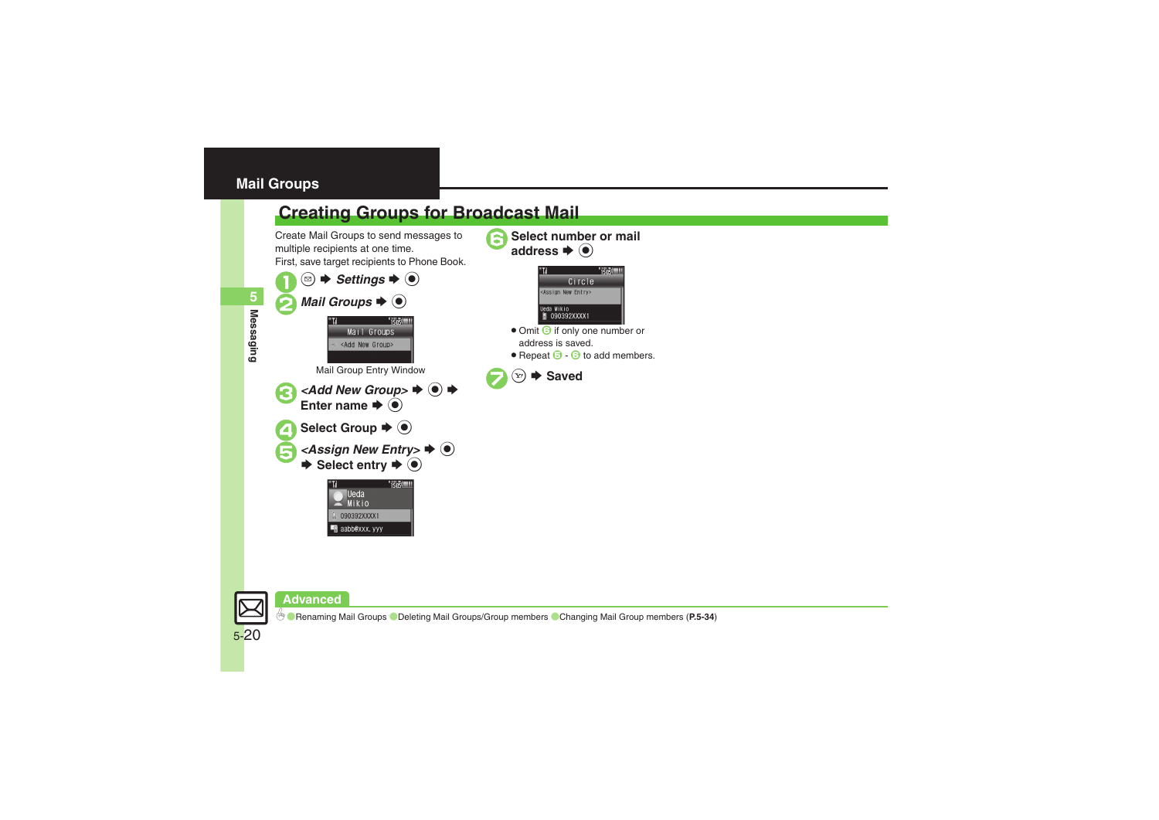### <span id="page-19-0"></span>**Mail Groups**

### <span id="page-19-1"></span>**Creating Groups for Broadcast Mail**

Create Mail Groups to send messages to multiple recipients at one time. First, save target recipients to Phone Book.

 $\circledcirc$   $\blacktriangleright$  *Settings*  $\blacktriangleright$   $\circledcirc$ **2** Mail Groups  $\blacktriangleright$   $\blacklozenge$ **TERSITIE** Mail Groups <Add New Group> Mail Group Entry Window  $\prec$ Add New Group>  $\blacktriangleright$   $\odot$   $\blacktriangleright$ Enter name  $\Rightarrow$   $\circledcirc$ Select Group  $\blacktriangleright$   $\textcircled{\scriptsize{\bullet}}$ *<Assign New Entry>*  $\rightarrow$  **●**  $\rightarrow$  Select entry  $\rightarrow$  **●**  $1505$ **Ueda** 





 $(x) \rightarrow$  Saved

**Select number or mail** 

- Omit **i**f only one number or address is saved.
- $\bullet$  Repeat  $\odot$   $\odot$  to add members.

### **Advanced**

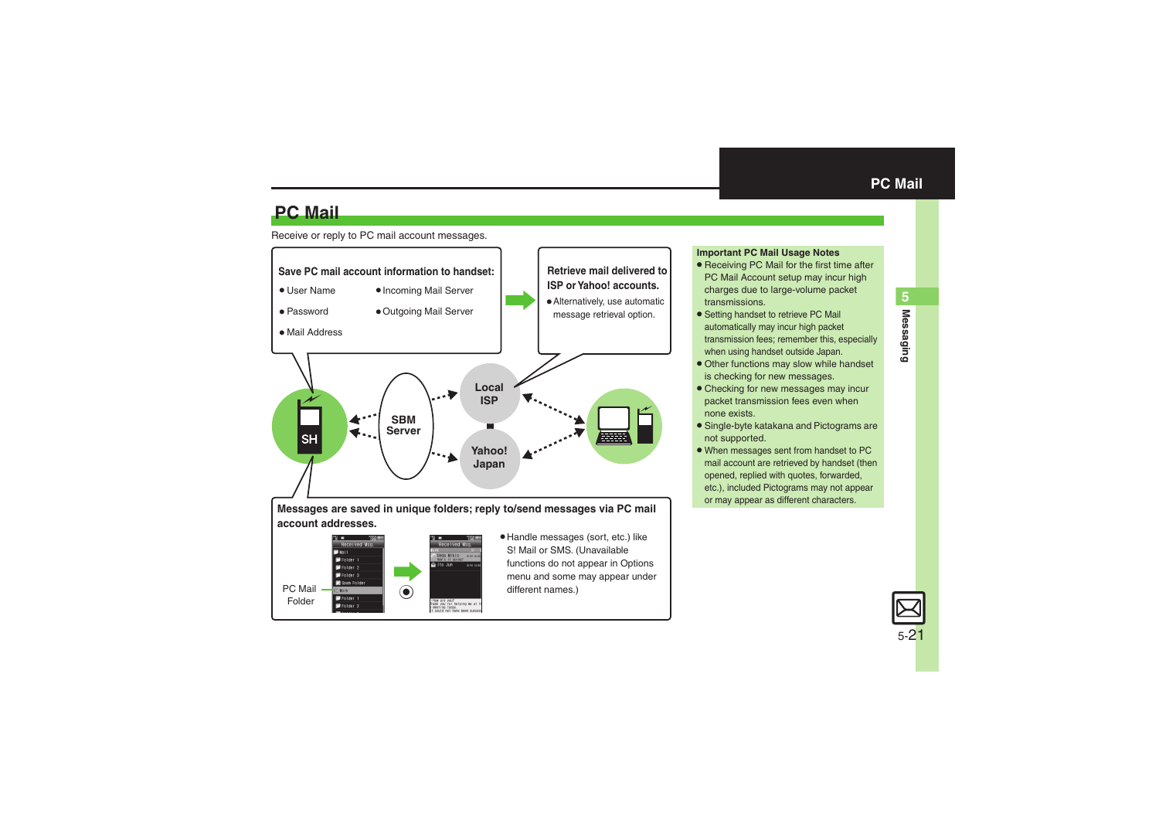**Messaging 5**

**Messaging** 

5

### **PC Mail**

### Receive or reply to PC mail account messages.



### <span id="page-20-0"></span>**Important PC Mail Usage Notes**

- Receiving PC Mail for the first time after PC Mail Account setup may incur high charges due to large-volume packet transmissions.
- **•** Setting handset to retrieve PC Mail automatically may incur high packet transmission fees; remember this, especially when using handset outside Japan.
- . Other functions may slow while handset is checking for new messages.
- . Checking for new messages may incur packet transmission fees even when none exists.
- . Single-byte katakana and Pictograms are not supported.
- . When messages sent from handset to PC mail account are retrieved by handset (then opened, replied with quotes, forwarded, etc.), included Pictograms may not appear or may appear as different characters.

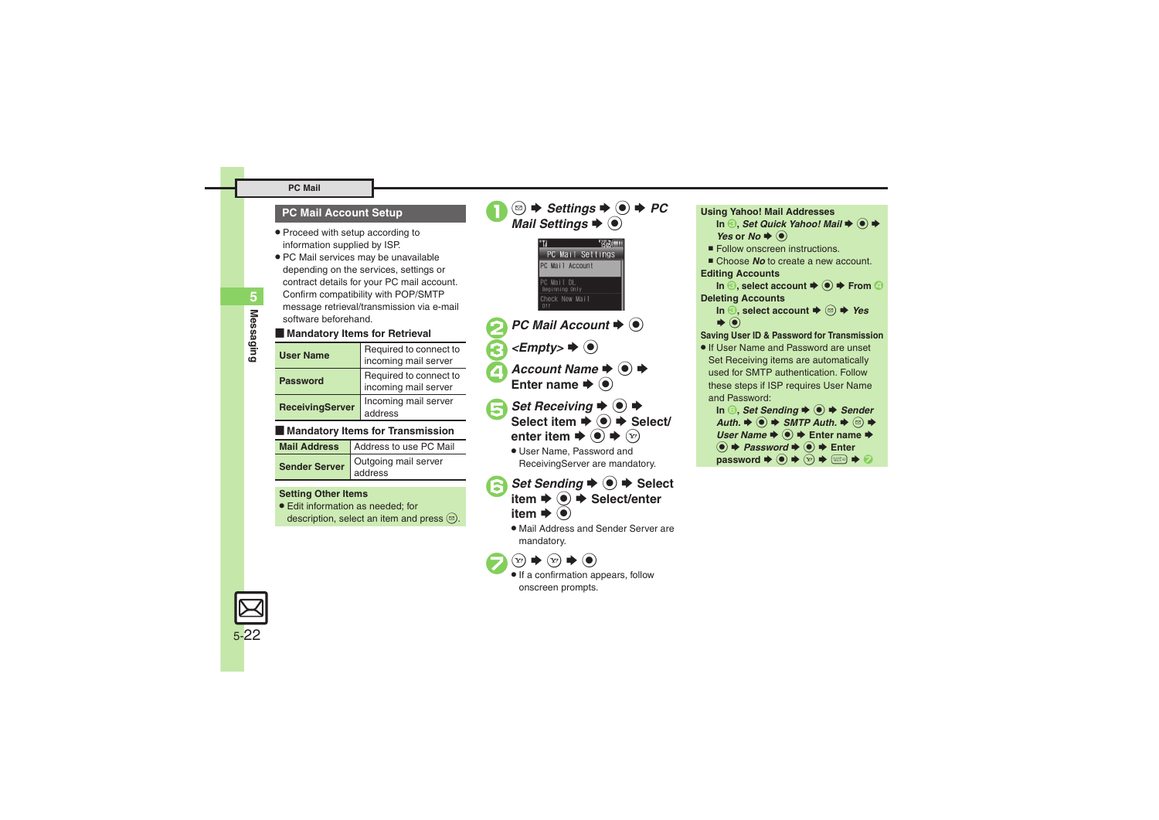#### **PC Mail**

### **PC Mail Account Setup**

- . Proceed with setup according to information supplied by ISP.
- . PC Mail services may be unavailable depending on the services, settings or contract details for your PC mail account. Confirm compatibility with POP/SMTP message retrieval/transmission via e-mail software beforehand.

### **E** Mandatory Items for Retrieval

| <b>User Name</b>       | Required to connect to<br>incoming mail server |
|------------------------|------------------------------------------------|
| <b>Password</b>        | Required to connect to<br>incoming mail server |
| <b>ReceivingServer</b> | Incoming mail server<br>address                |

### [ **Mandatory Items for Transmission**

| Mail Address   Address to use PC Mail |
|---------------------------------------|
| Sender Server dutgoing mail server    |

#### **Setting Other Items**

. Edit information as needed; for description, select an item and press  $\textcircled{\tiny{\textcircled{\tiny{}}}}$ .

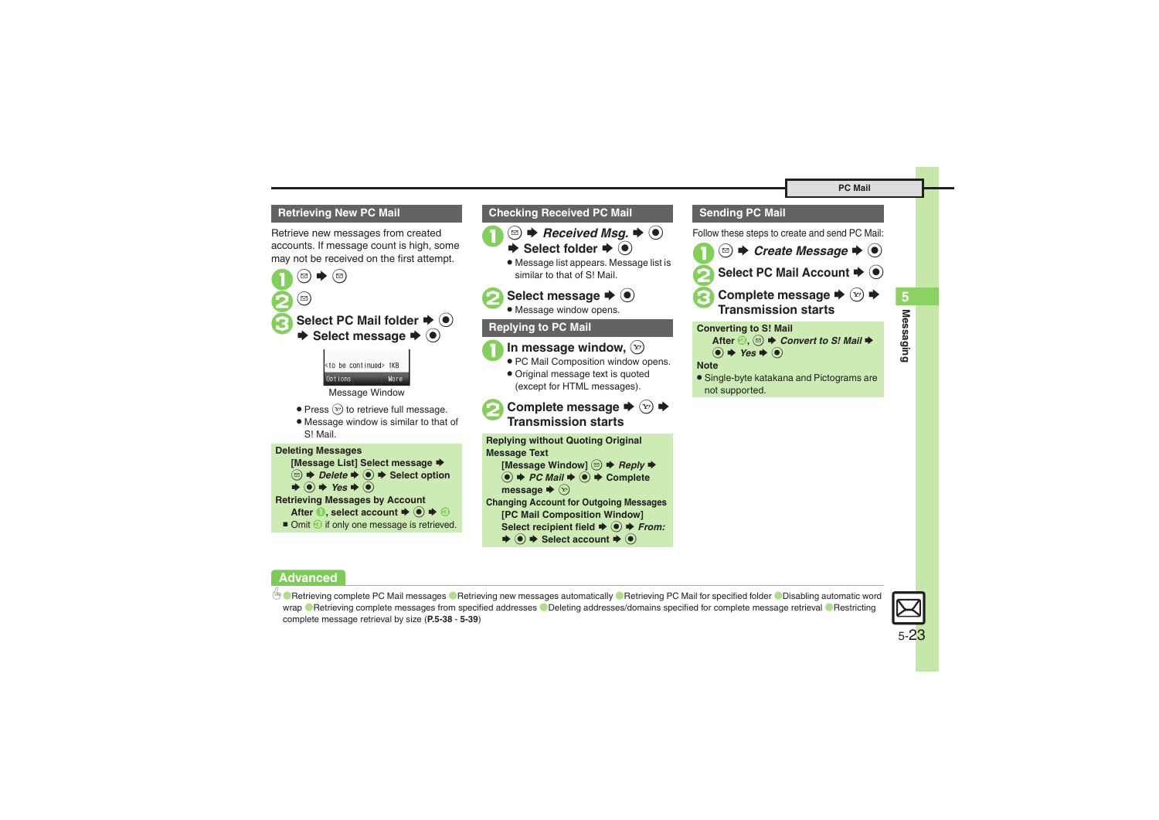### <span id="page-22-0"></span>**Retrieving New PC Mail**

Retrieve new messages from created accounts. If message count is high, some may not be received on the first attempt.



Message Window

- $\bullet$  Press  $\circledcirc$  to retrieve full message.
- . Message window is similar to that of S! Mail.





### **Checking Received PC Mail**





. Message list appears. Message list is similar to that of S! Mail.

## **2** Select message  $\rightarrow$  <sup>0</sup>

. Message window opens.

### **Replying to PC Mail**



- **1** In message window,  $\circledcirc$ . PC Mail Composition window opens.
	- . Original message text is quoted (except for HTML messages).
- **2** Complete message ♦ ۞ ♦ **Transmission starts**

**Replying without Quoting Original Message Text [Message Window]**  B S *Reply* S $\textcircled{\textbullet}$   $\blacktriangleright$  *PC Mail*  $\blacktriangleright$   $\textcircled{\textbullet}$   $\blacktriangleright$  Complete **message**  SA **Changing Account for Outgoing Messages [PC Mail Composition Window]**  Select recipient field  $\blacklozenge$  **● From:**  $\blacktriangleright$  **ⓒ**  $\blacktriangleright$  **Select account**  $\blacktriangleright$  **ⓒ** 

### **Sending PC Mail**

Follow these steps to create and send PC Mail:

 $\mathbf 0$ ั๒) ◆ Create Message **◆** ● Select PC Mail Account  $\blacktriangleright$  <sup>(a)</sup> **c** Complete message  $\rightarrow$  ⊗  $\rightarrow$ **Transmission startsConverting to S! Mail** After <sup>**②**, ③ ◆ *Convert to S! Mail* ◆</sup>  $\circledcirc \bullet \text{Yes} \bullet \circledcirc$ 

### **Note**

. Single-byte katakana and Pictograms are not supported.

### **Advanced**

b O[Retrieving complete PC Mail messages](#page-37-4) O[Retrieving new messages automatically](#page-37-5) O[Retrieving PC Mail for specified folder](#page-38-0) ODisabling automatic word [wrap](#page-38-1) <sup>®</sup> [Retrieving complete messages from specified addresses](#page-38-2) <sup>®</sup> [Deleting addresses/domains specified for complete message retrieval](#page-38-3) <sup>®</sup> Restricting [complete message retrieval by size](#page-38-4) (**[P.5-38](#page-37-4)** - **[5-39](#page-38-4)**)



**Messaging 5**

Messaging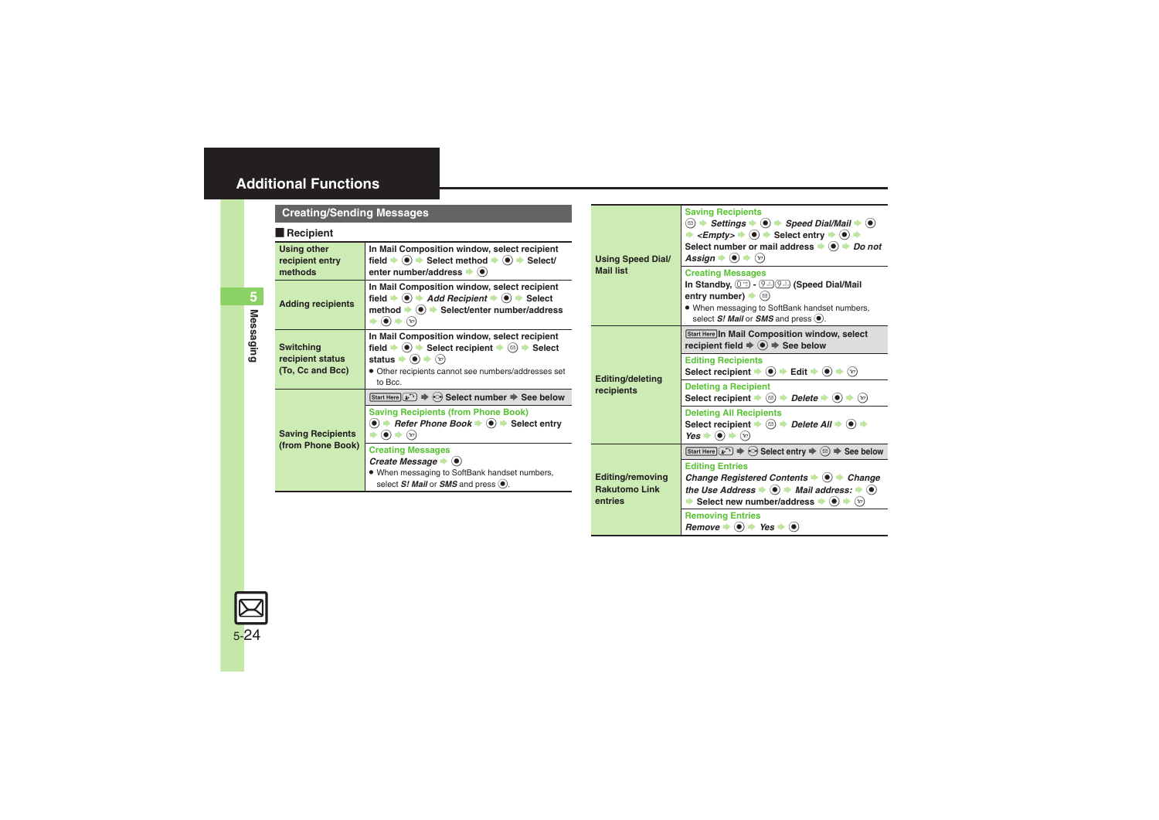<span id="page-23-3"></span><span id="page-23-2"></span><span id="page-23-1"></span><span id="page-23-0"></span>

| <b>Creating/Sending Messages</b>                                                                                                                                                                                  |                                                                                                                                                                                                                                                                                                             |                                                            | <b>Saving Recipients</b>                                                                                                                                                                                                                                                                                                         |
|-------------------------------------------------------------------------------------------------------------------------------------------------------------------------------------------------------------------|-------------------------------------------------------------------------------------------------------------------------------------------------------------------------------------------------------------------------------------------------------------------------------------------------------------|------------------------------------------------------------|----------------------------------------------------------------------------------------------------------------------------------------------------------------------------------------------------------------------------------------------------------------------------------------------------------------------------------|
| $\blacksquare$ Recipient<br>In Mail Composition window, select recipient<br><b>Using other</b><br>field $\Rightarrow$ ( $\bullet$ ) $\Rightarrow$ Select method $\Rightarrow$ ( $\bullet$ ) $\Rightarrow$ Select/ |                                                                                                                                                                                                                                                                                                             | <b>Using Speed Dial/</b>                                   | <b><sup><b> </b> □ → Settings → ● → Speed Dial/Mail → ●</sup></b><br>$\leq$ <i>Empty&gt;</i> $\Rightarrow$ $\circledcirc$ $\Rightarrow$ Select entry $\Rightarrow$ $\circledcirc$ $\Rightarrow$<br>Select number or mail address $\rightarrow$ $\odot$ $\rightarrow$ <i>Do not</i><br>Assign $\bullet$ $\odot$ $\bullet$ $\odot$ |
| recipient entry<br>methods                                                                                                                                                                                        | enter number/address $\bullet$ ( $\bullet$ )                                                                                                                                                                                                                                                                | <b>Mail list</b>                                           | <b>Creating Messages</b>                                                                                                                                                                                                                                                                                                         |
| <b>Adding recipients</b>                                                                                                                                                                                          | In Mail Composition window, select recipient<br>field $\Rightarrow$ ( $\bullet$ ) $\Rightarrow$ Add Recipient $\Rightarrow$ ( $\bullet$ ) $\Rightarrow$ Select<br>method $\bullet$ $\bullet$ > Select/enter number/address<br>$\blacktriangleright$ (e) $\blacktriangleright$ (e)                           |                                                            | In Standby, $(0^{n})$ - $(9^{n})$ (Speed Dial/Mail<br>entry number) $\blacktriangleright$ ( $\textcircled{\scriptsize{\textcircled{\small{}}}}$ )<br>. When messaging to SoftBank handset numbers,<br>select S! Mail or SMS and press (.).                                                                                       |
| <b>Switching</b>                                                                                                                                                                                                  | In Mail Composition window, select recipient<br>field $\Rightarrow$ ( $\bullet$ ) $\Rightarrow$ Select recipient $\Rightarrow$ ( $\textcircled{a}$ ) $\Rightarrow$ Select                                                                                                                                   |                                                            | Start Here In Mail Composition window, select<br>recipient field $\Rightarrow$ $\circledast$ $\Rightarrow$ See below                                                                                                                                                                                                             |
| recipient status<br>(To, Cc and Bcc)                                                                                                                                                                              | status $\blacktriangleright$ (e) $\blacktriangleright$ (x)<br>• Other recipients cannot see numbers/addresses set                                                                                                                                                                                           | <b>Editing/deleting</b>                                    | <b>Editing Recipients</b><br>Select recipient $\Rightarrow$ (a) $\Rightarrow$ Edit $\Rightarrow$ (a) $\Rightarrow$ (x)                                                                                                                                                                                                           |
| <b>Saving Recipients</b><br>(from Phone Book)                                                                                                                                                                     | to Bcc.<br>Start Here $\binom{n}{k}$ $\Rightarrow$ $\odot$ Select number $\Rightarrow$ See below                                                                                                                                                                                                            | recipients                                                 | <b>Deleting a Recipient</b><br>Select recipient $\blacktriangleright \textcircled{\scriptsize{\textcircled{\#}}}$ Delete $\blacktriangleright \textcircled{\scriptsize{\textcircled{\#}}}$ $\blacktriangleright \textcircled{\scriptsize{\textcircled{\#}}}$                                                                     |
|                                                                                                                                                                                                                   | <b>Saving Recipients (from Phone Book)</b><br>$\textcircled{\textcolor{blue}{\bullet}}$ + Refer Phone Book $\textuparrowled{\textcolor{blue}{\bullet}}$ + Select entry<br>$\blacktriangleright \textcircled{\scriptsize{\textcircled{\#}}} \blacktriangleright \textcircled{\scriptsize{\textcircled{\#}}}$ |                                                            | <b>Deleting All Recipients</b><br>Select recipient $\bullet$ ( $\circledcirc$ ) $\bullet$ Delete All $\bullet$ ( $\bullet$ ) $\bullet$<br>Yes $\blacktriangleright$ ( $\blacklozenge$ ) $\blacktriangleright$ $\widehat{\triangleright}$                                                                                         |
|                                                                                                                                                                                                                   | <b>Creating Messages</b>                                                                                                                                                                                                                                                                                    |                                                            | Start Here $\left(\mathbf{r} \cdot \mathbf{r}\right) \Rightarrow \mathbf{r} \cdot \mathbf{r}$ Select entry $\Rightarrow \mathbf{r} \cdot \mathbf{r} \Rightarrow \mathbf{r} \cdot \mathbf{r}$ See below                                                                                                                           |
|                                                                                                                                                                                                                   | Create Message $\bullet$ $\bullet$<br>. When messaging to SoftBank handset numbers,<br>select $S!$ Mail or SMS and press $\left( \bullet \right)$ .                                                                                                                                                         | <b>Editing/removing</b><br><b>Rakutomo Link</b><br>entries | <b>Editing Entries</b><br>Change Registered Contents $\bullet$ $\bullet$ $\bullet$ Change<br>the Use Address $\bullet$ $\bullet$ $\bullet$ Mail address: $\bullet$ $\bullet$<br>Select new number/address $\blacktriangleright$ ( $\blacklozenge$ ) $\blacktriangleright$ ( $\triangleright$ )                                   |
|                                                                                                                                                                                                                   |                                                                                                                                                                                                                                                                                                             |                                                            | <b>Removing Entries</b><br>Remove $\Rightarrow$ ( $\bullet$ ) $\Rightarrow$ Yes $\Rightarrow$ ( $\bullet$ )                                                                                                                                                                                                                      |

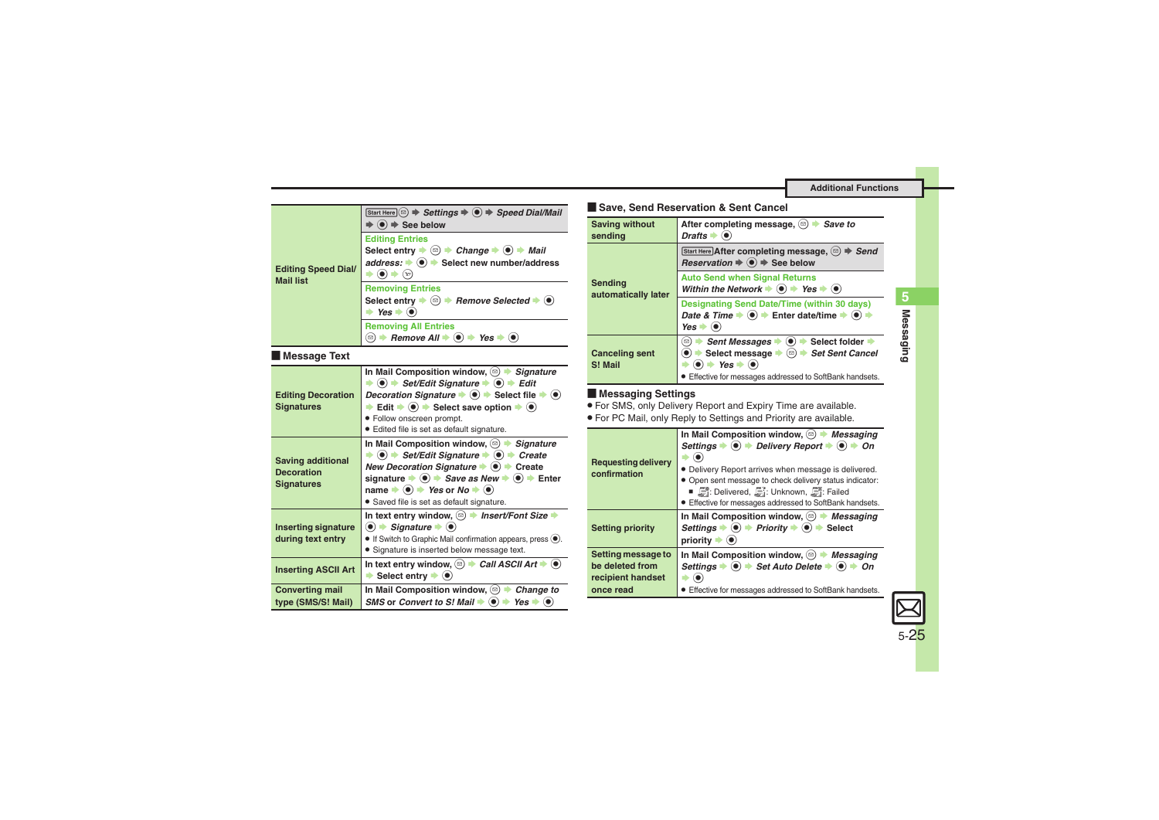<span id="page-24-5"></span><span id="page-24-4"></span><span id="page-24-3"></span>

| <b>Editing Speed Dial/</b><br><b>Mail list</b>                     | Start Here $\circledcirc$ $\Rightarrow$ Settings $\Rightarrow$ $\circledcirc$ $\Rightarrow$ Speed Dial/Mail<br>$\Rightarrow$ ( $\bullet$ ) $\Rightarrow$ See below                                                                                                                                                                                                                                                                                                           |
|--------------------------------------------------------------------|------------------------------------------------------------------------------------------------------------------------------------------------------------------------------------------------------------------------------------------------------------------------------------------------------------------------------------------------------------------------------------------------------------------------------------------------------------------------------|
|                                                                    | <b>Editing Entries</b><br>Select entry $\Rightarrow$ $\textcircled{=}$ $\Rightarrow$ Change $\Rightarrow$ $\textcircled{+}$ Mail<br>address: $\bullet$ ( $\bullet$ ) $\bullet$ Select new number/address<br>$\left( \bullet \right) \Rightarrow \left( x \right)$                                                                                                                                                                                                            |
|                                                                    | <b>Removing Entries</b><br>Select entry $\blacktriangleright$ ( $\textcircled{\scriptsize{\textsf{}}}\}$ ) $\blacktriangleright$ Remove Selected $\blacktriangleright$ ( $\blacklozenge$ )<br>$\rightarrow$ Yes $\rightarrow$ (0)                                                                                                                                                                                                                                            |
|                                                                    | <b>Removing All Entries</b><br>$\textcircled{ }$ $\blacktriangleright$ Remove All $\blacktriangleright$ ( $\blacklozenge$ ) $\blacktriangleright$ Yes $\blacktriangleright$ ( $\blacklozenge$ )                                                                                                                                                                                                                                                                              |
| Message Text                                                       |                                                                                                                                                                                                                                                                                                                                                                                                                                                                              |
| <b>Editing Decoration</b><br><b>Signatures</b>                     | In Mail Composition window, $\circledcirc$ $\blacktriangleright$ Signature<br>$\Rightarrow$ (0) $\Rightarrow$ Set/Edit Signature $\Rightarrow$ (0) $\Rightarrow$ Edit<br>Decoration Signature $\Rightarrow$ ( $\bullet$ ) $\Rightarrow$ Select file $\Rightarrow$ ( $\bullet$ )<br>Edit $\bullet$ ( $\bullet$ ) $\bullet$ Select save option $\bullet$ ( $\bullet$ )<br>· Follow onscreen prompt.<br>• Edited file is set as default signature.                              |
| <b>Saving additional</b><br><b>Decoration</b><br><b>Signatures</b> | In Mail Composition window, $\circledcirc$ > Signature<br>$\Rightarrow$ (0) $\Rightarrow$ Set/Edit Signature $\Rightarrow$ (0) $\Rightarrow$ Create<br>New Decoration Signature $\bullet$ $\bullet$ $\bullet$ Create<br>signature $\Rightarrow$ ( $\bullet$ ) $\Rightarrow$ Save as New $\Rightarrow$ ( $\bullet$ ) $\Rightarrow$ Enter<br>name $\Rightarrow$ ( $\bullet$ ) $\Rightarrow$ Yes or No $\Rightarrow$ ( $\bullet$ )<br>· Saved file is set as default signature. |
| <b>Inserting signature</b><br>during text entry                    | In text entry window, 2 + Insert/Font Size →<br>$\bullet$ $\bullet$ Signature $\bullet$ $\bullet$<br>$\bullet$ If Switch to Graphic Mail confirmation appears, press $\circledbullet$ .<br>· Signature is inserted below message text.                                                                                                                                                                                                                                       |
| <b>Inserting ASCII Art</b>                                         | In text entry window, $\textcircled{\scriptsize{\textcircled{\#}}}$ Call ASCII Art $\blacktriangleright$ $\textcircled{\scriptsize{\bullet}}$<br>$\rightarrow$ Select entry $\rightarrow$ $\odot$                                                                                                                                                                                                                                                                            |
| <b>Converting mail</b><br>type (SMS/S! Mail)                       | In Mail Composition window, $\textcircled{a}$ $\blacktriangleright$ Change to<br>SMS or Convert to S! Mail $\blacktriangleright$ ( $\blacklozenge$ ) $\blacktriangleright$ Yes $\blacktriangleright$ ( $\blacklozenge$ )                                                                                                                                                                                                                                                     |

### [ **Save, Send Reservation & Sent Cancel**

<span id="page-24-1"></span>

| <b>Saving without</b><br>sending | After completing message, $\circledcirc$<br><b>Save to</b><br>Drafts $\blacktriangleright$ ( $\blacklozenge$ )                                                                                                                                                  |
|----------------------------------|-----------------------------------------------------------------------------------------------------------------------------------------------------------------------------------------------------------------------------------------------------------------|
| Sending<br>automatically later   | Start Here After completing message, $(\text{m}) \Rightarrow$ Send<br>Reservation $\Rightarrow$ $\circledast$ $\Rightarrow$ See below                                                                                                                           |
|                                  | <b>Auto Send when Signal Returns</b><br>Within the Network $\blacktriangleright$ ( $\blacklozenge$ ) $\blacktriangleright$ Yes $\blacktriangleright$ ( $\blacklozenge$ )                                                                                        |
|                                  | Designating Send Date/Time (within 30 days)<br>Date & Time $\Rightarrow$ $\circledcirc$ $\Rightarrow$ Enter date/time $\Rightarrow$ $\circledcirc$ i<br>$Yes \rightarrow (•)$                                                                                   |
| <b>Canceling sent</b><br>S! Mail | $\bullet$ $\bullet$ Select folder $\bullet$<br><b>Sent Messages</b><br>[⊠)<br>Select message $\bullet$ ( $\textcircled{e}$ ) $\bullet$ Set Sent Cancel<br>$\bullet$ $\bullet$ Yes $\bullet$ $\bullet$<br>Effective for messages addressed to SoftBank handsets. |

### [ **Messaging Settings**

. For SMS, only Delivery Report and Expiry Time are available.

. For PC Mail, only Reply to Settings and Priority are available.

<span id="page-24-2"></span><span id="page-24-0"></span>

| <b>Requesting delivery</b><br>confirmation                              | In Mail Composition window, $\textcircled{a}$ <i>Messaging</i><br>Settings $\Rightarrow$ ( $\bullet$ ) $\Rightarrow$ Delivery Report $\Rightarrow$ ( $\bullet$ ) $\Rightarrow$ On<br>• Delivery Report arrives when message is delivered.<br>• Open sent message to check delivery status indicator:<br>■ ■: Delivered, ■: Unknown, ■: Failed<br>• Effective for messages addressed to SoftBank handsets. |
|-------------------------------------------------------------------------|-----------------------------------------------------------------------------------------------------------------------------------------------------------------------------------------------------------------------------------------------------------------------------------------------------------------------------------------------------------------------------------------------------------|
| <b>Setting priority</b>                                                 | In Mail Composition window, $\textcircled{a}$ $\blacktriangleright$ Messaging<br>Settings $\bullet$ ( $\bullet$ ) $\bullet$ Priority $\bullet$ ( $\bullet$ ) $\bullet$ Select<br>priority $\blacktriangleright$ ( $\blacklozenge$ )                                                                                                                                                                       |
| Setting message to<br>be deleted from<br>recipient handset<br>once read | In Mail Composition window, $\textcircled{a}$ $\blacktriangleright$ <i>Messaging</i><br>Settings $\Rightarrow$ ( $\bullet$ ) $\Rightarrow$ Set Auto Delete $\Rightarrow$ ( $\bullet$ ) $\Rightarrow$ On<br>Effective for messages addressed to SoftBank handsets.                                                                                                                                         |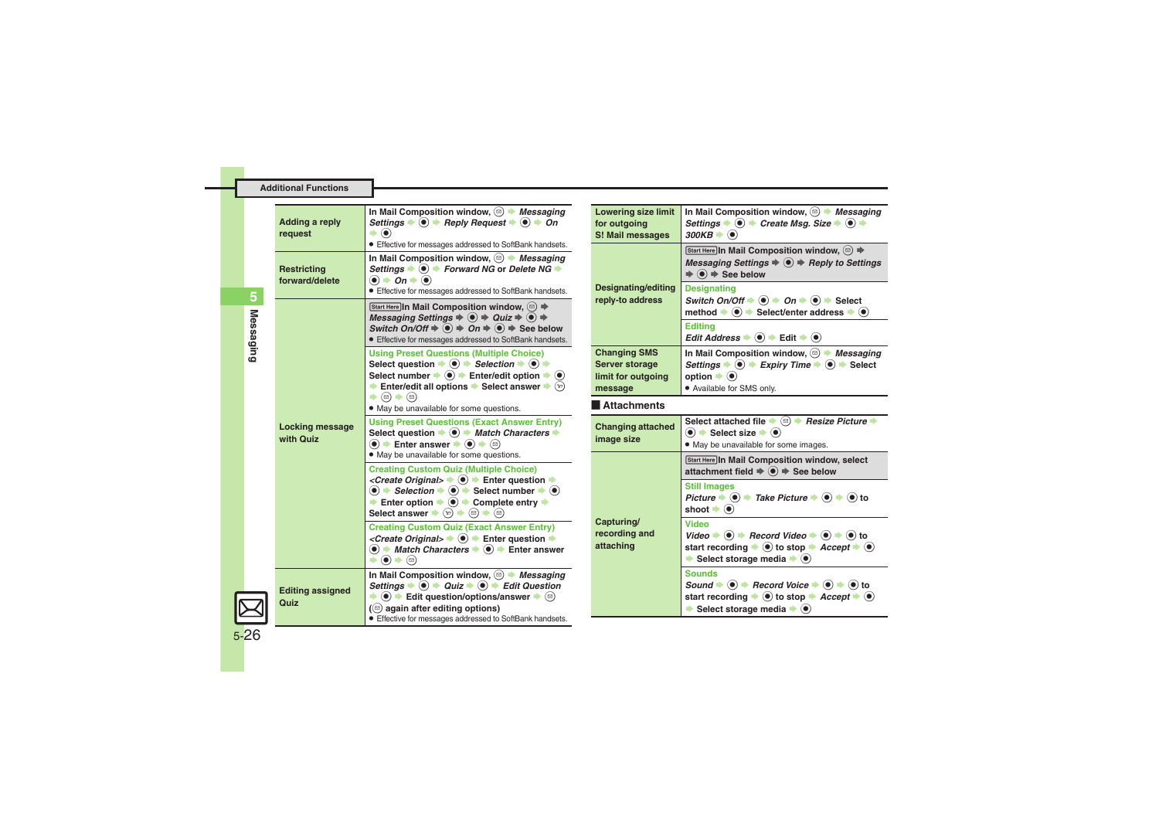| Adding a reply<br>request       | In Mail Composition window, $\circledcirc$ <i>Messaging</i><br>Settings $\Rightarrow$ ( $\bullet$ ) $\Rightarrow$ Reply Request $\Rightarrow$ ( $\bullet$ ) $\Rightarrow$ On<br>$\blacktriangleright$ (e)<br><b>Effective for messages addressed to SoftBank handsets.</b>                                                                                                                                                                                                                                                  |
|---------------------------------|-----------------------------------------------------------------------------------------------------------------------------------------------------------------------------------------------------------------------------------------------------------------------------------------------------------------------------------------------------------------------------------------------------------------------------------------------------------------------------------------------------------------------------|
| Restricting<br>forward/delete   | In Mail Composition window, $\circledcirc$ <i>Messaging</i><br>Settings $\bullet$ ( $\bullet$ ) $\bullet$ Forward NG or Delete NG $\bullet$<br>$\bullet$ $\bullet$ On $\bullet$ $\bullet$<br>• Effective for messages addressed to SoftBank handsets.                                                                                                                                                                                                                                                                       |
| Locking message<br>with Quiz    | Start Here In Mail Composition window, $\circledcirc$ ) $\Rightarrow$<br>Messaging Settings $\Rightarrow$ $\circledcirc$ $\Rightarrow$ Quiz $\Rightarrow$ $\circledcirc$ $\Rightarrow$<br>Switch On/Off $\Rightarrow$ $\circledast$ $\Rightarrow$ On $\Rightarrow$ $\circledast$ $\Rightarrow$ See below<br><b>Effective for messages addressed to SoftBank handsets.</b>                                                                                                                                                   |
|                                 | <b>Using Preset Questions (Multiple Choice)</b><br>Select question $\Rightarrow$ ( $\bullet$ ) $\Rightarrow$ Selection $\Rightarrow$ ( $\bullet$ ) $\Rightarrow$<br>Select number $\Rightarrow$ ( $\bullet$ ) $\Rightarrow$ Enter/edit option $\Rightarrow$ ( $\bullet$ )<br>Enter/edit all options $\blacktriangleright$ Select answer $\blacktriangleright$ $\widehat{y}$<br>$\blacktriangleright$ (a) $\blacktriangleright$ (a)<br>. May be unavailable for some questions.                                              |
|                                 | <b>Using Preset Questions (Exact Answer Entry)</b><br>Select question $\bullet$ $\bullet$ $\bullet$ <i>Match Characters</i> $\bullet$<br>$\left( \bullet \right)$ $\bullet$ Enter answer $\bullet$ $\left( \bullet \right)$ $\bullet$ $\left( \circ \right)$<br>. May be unavailable for some questions.                                                                                                                                                                                                                    |
|                                 | <b>Creating Custom Quiz (Multiple Choice)</b><br>< <i>Create Original&gt;</i> $\rightarrow$ ( $\bullet$ ) $\rightarrow$ Enter question $\rightarrow$<br>$\textcircled{\textbullet}$ $\blacktriangleright$ Selection $\blacktriangleright$ $\textcircled{\textbullet}$ Select number $\blacktriangleright$ $\textcircled{\textbullet}$<br>Enter option $\Rightarrow$ $\circledast$ $\Rightarrow$ Complete entry $\Rightarrow$<br>Select answer $\blacktriangleright$ (v) $\blacktriangleright$ (e) $\blacktriangleright$ (e) |
|                                 | <b>Creating Custom Quiz (Exact Answer Entry)</b><br><create original=""> <math>\blacktriangleright</math> (<math>\blacklozenge</math>) <math>\blacktriangleright</math> Enter question <math>\blacktriangleright</math><br/><math>\textcircled{\textbullet}</math> <math>\textcircled{\textbullet}</math> Match Characters <math>\textcircled{\textbullet}</math> <math>\textcircled{\textbullet}</math> Enter answer<br/><math>\blacktriangleright</math> (e) <math>\blacktriangleright</math> (e)</create>                |
| <b>Editing assigned</b><br>Quiz | In Mail Composition window, $\circledcirc$ <i>Messaging</i><br>Settings $\Rightarrow$ $\circledcirc$ $\Rightarrow$ Quiz $\Rightarrow$ $\circledcirc$ $\Rightarrow$ Edit Question<br>$\bullet$ ( $\bullet$ ) $\bullet$ Edit question/options/answer $\bullet$ ( $\circ$ )<br>$(\circledcirc)$ again after editing options)<br>• Effective for messages addressed to SoftBank handsets.                                                                                                                                       |

<span id="page-25-2"></span><span id="page-25-1"></span><span id="page-25-0"></span>

| <b>Lowering size limit</b><br>for outgoing<br>S! Mail messages                | In Mail Composition window, $\textcircled{=}$ Messaging<br>Settings $\bullet$ $\bullet$ $\bullet$ Create Msq. Size $\bullet$ $\bullet$ $\bullet$<br>$300KB \rightarrow \odot$                                                                                                   |
|-------------------------------------------------------------------------------|---------------------------------------------------------------------------------------------------------------------------------------------------------------------------------------------------------------------------------------------------------------------------------|
|                                                                               | Start Here In Mail Composition window, ( $\text{D} \Rightarrow$<br>Messaging Settings $\Rightarrow$ $\circledast$ $\Rightarrow$ Reply to Settings<br>$\Rightarrow$ $\circledbullet$ $\Rightarrow$ See below                                                                     |
| <b>Designating/editing</b><br>reply-to address                                | <b>Designating</b><br>Switch On/Off $\Rightarrow$ ( $\bullet$ ) $\Rightarrow$ On $\Rightarrow$ ( $\bullet$ ) $\Rightarrow$ Select<br>method $\Rightarrow$ $\circledast$ $\Rightarrow$ Select/enter address $\Rightarrow$ $\circledast$                                          |
|                                                                               | <b>Editing</b><br>Edit Address $\Rightarrow$ ( $\bullet$ ) $\Rightarrow$ Edit $\Rightarrow$ ( $\bullet$ )                                                                                                                                                                       |
| <b>Changing SMS</b><br><b>Server storage</b><br>limit for outgoing<br>message | In Mail Composition window, $\textcircled{a}$ <i>Messaging</i><br>Settings $\Rightarrow$ ( $\bullet$ ) $\Rightarrow$ Expiry Time $\Rightarrow$ ( $\bullet$ ) $\Rightarrow$ Select<br>option $\blacktriangleright$ $\circledcirc$<br>• Available for SMS only.                   |
| <b>Attachments</b>                                                            |                                                                                                                                                                                                                                                                                 |
| <b>Changing attached</b><br>image size                                        | Select attached file $\bullet$ ( $\circledcirc$ ) $\bullet$ Resize Picture $\bullet$<br>$\bullet$ $\bullet$ Select size $\bullet$ $\bullet$<br>. May be unavailable for some images.                                                                                            |
|                                                                               | <b>Start Here In Mail Composition window, select</b><br>attachment field $\Rightarrow$ $\circledast$ $\Rightarrow$ See below                                                                                                                                                    |
|                                                                               | <b>Still Images</b><br>Picture $\blacktriangleright$ ( $\blacklozenge$ ) $\blacktriangleright$ Take Picture $\blacktriangleright$ ( $\blacklozenge$ ) $\blacktriangleright$ ( $\blacklozenge$ ) to<br>shoot $\blacktriangleright$ ( $\blacklozenge$ )                           |
| Capturing/<br>recording and<br>attaching                                      | Video<br>Video $\Rightarrow$ ( $\bullet$ ) $\Rightarrow$ Record Video $\Rightarrow$ ( $\bullet$ ) $\Rightarrow$ ( $\bullet$ ) to<br>start recording $\bullet$ ( $\bullet$ ) to stop $\bullet$ <i>Accept</i> $\bullet$ ( $\bullet$ )<br>Select storage media $\bullet$ $\bullet$ |
|                                                                               | <b>Sounds</b><br>Sound $\div$ ( $\bullet$ ) $\div$ Record Voice $\div$ ( $\bullet$ ) $\div$ ( $\bullet$ ) to                                                                                                                                                                    |

 $\overline{5}$ **Messaging 5** Messaging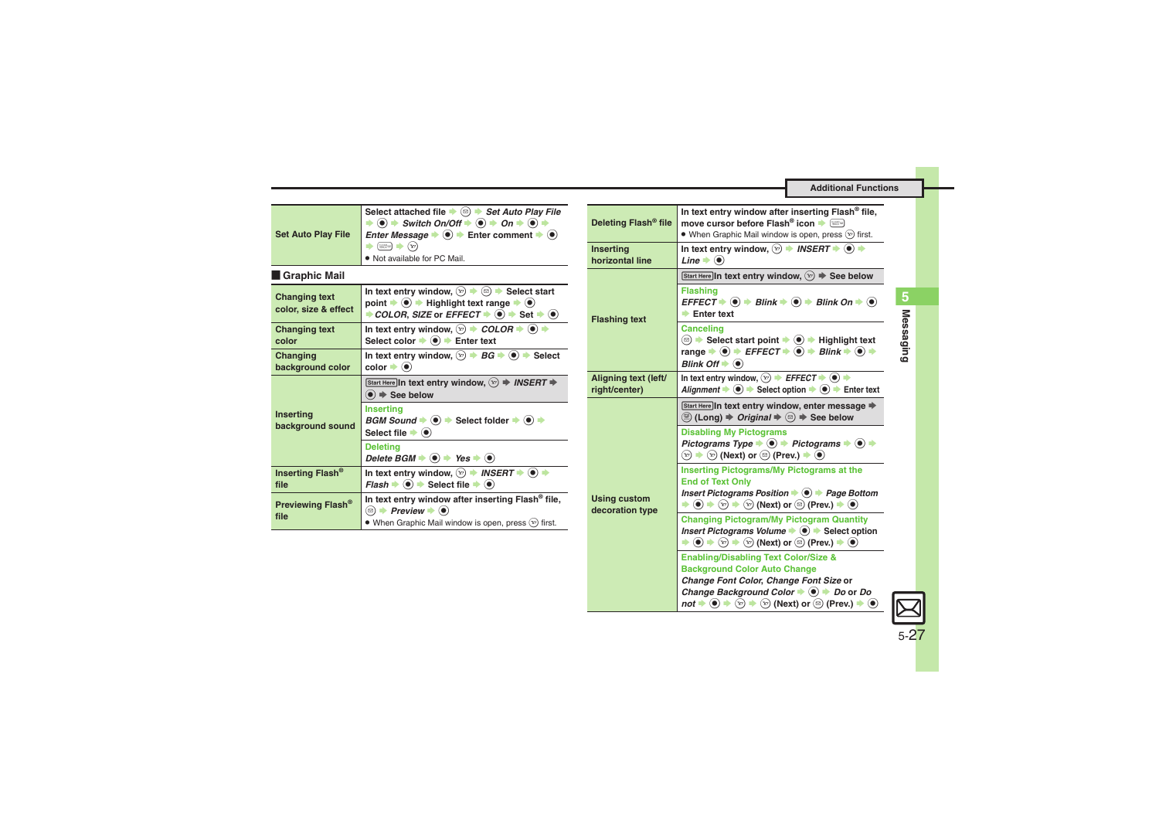<span id="page-26-8"></span><span id="page-26-7"></span><span id="page-26-6"></span><span id="page-26-5"></span>**Additional Functions**

<span id="page-26-4"></span><span id="page-26-3"></span><span id="page-26-2"></span><span id="page-26-1"></span><span id="page-26-0"></span>

| <b>Set Auto Play File</b>                    | Select attached file $\Rightarrow$ $\textcircled{a}$ $\Rightarrow$ Set Auto Play File<br>$\Rightarrow$ (a) $\Rightarrow$ Switch On/Off $\Rightarrow$ (a) $\Rightarrow$ On $\Rightarrow$ (a) $\Rightarrow$<br><i>Enter Message</i> $\bullet$ ( $\bullet$ ) $\bullet$ Enter comment $\bullet$ ( $\bullet$ )       | Deleting Flash <sup>®</sup> file       | In text entry window after inserting Flash® file,<br>move cursor before Flash <sup>®</sup> icon (<br>• When Graphic Mail window is open, press $(\overline{x})$ first.                                                                                                                                 |
|----------------------------------------------|-----------------------------------------------------------------------------------------------------------------------------------------------------------------------------------------------------------------------------------------------------------------------------------------------------------------|----------------------------------------|--------------------------------------------------------------------------------------------------------------------------------------------------------------------------------------------------------------------------------------------------------------------------------------------------------|
|                                              | $\Rightarrow \text{lim} \Rightarrow \text{ } (\text{v})$<br>• Not available for PC Mail.                                                                                                                                                                                                                        | <b>Inserting</b><br>horizontal line    | In text entry window, $\circledcirc$ $\rightarrow$ INSERT $\rightarrow$ $\circledcirc$ $\rightarrow$<br>Line $\bullet$ $\odot$                                                                                                                                                                         |
| Graphic Mail                                 |                                                                                                                                                                                                                                                                                                                 |                                        | Start Here In text entry window, $(\overline{x}) \Rightarrow$ See below                                                                                                                                                                                                                                |
| <b>Changing text</b><br>color, size & effect | In text entry window, $\boxed{\infty}$ $\Rightarrow$ $\boxed{\circledcirc}$ $\Rightarrow$ Select start<br>point $\Rightarrow$ ( $\bullet$ ) $\Rightarrow$ Highlight text range $\Rightarrow$ ( $\bullet$ )<br>→ COLOR, SIZE or EFFECT $\rightarrow$ ( $\bullet$ ) $\rightarrow$ Set $\rightarrow$ ( $\bullet$ ) | <b>Flashing text</b>                   | <b>Flashing</b><br>$EFFECT \rightarrow \textcircled{\textcircled{\textcirc}}$ $\rightarrow$ Blink $\rightarrow \textcircled{\textcircled{\textcirc}}$ Blink On $\rightarrow \textcircled{\textcircled{\textcirc}}$<br>$\blacktriangleright$ Enter text                                                 |
| <b>Changing text</b><br>color                | In text entry window, $\circledcirc$ $\Rightarrow$ COLOR $\Rightarrow$ $\circledcirc$ $\Rightarrow$<br>Select color $\bigcirc$ $\bigcirc$ $\bigcirc$ Enter text                                                                                                                                                 |                                        | <b>Canceling</b><br>(2) $\rightarrow$ Select start point $\rightarrow$ ( $\bullet$ ) $\rightarrow$ Highlight text                                                                                                                                                                                      |
| Changing<br>background color                 | In text entry window, $\boxed{\infty}$ $\rightarrow$ BG $\rightarrow$ ( $\bullet$ ) $\rightarrow$ Select<br>$color \nArr \n$                                                                                                                                                                                    |                                        | range $\Rightarrow$ ( $\bullet$ ) $\Rightarrow$ EFFECT $\Rightarrow$ ( $\bullet$ ) $\Rightarrow$ Blink $\Rightarrow$ ( $\bullet$ ) $\Rightarrow$<br>Blink Off $\bullet$ $\odot$                                                                                                                        |
|                                              | Start Here In text entry window, $\mathcal{D} \Rightarrow$ INSERT $\Rightarrow$<br>$\textcircled{\textcircled{\textcirc}}$ $\Rightarrow$ See below                                                                                                                                                              | Aligning text (left/<br>right/center)  | In text entry window, $\boxed{\infty}$ $\rightarrow$ EFFECT $\rightarrow$ $\boxed{\bullet}$ $\rightarrow$<br>Alignment $\Rightarrow$ $\circledast$ $\Rightarrow$ Select option $\Rightarrow$ $\circledast$ $\Rightarrow$ Enter text                                                                    |
| <b>Inserting</b><br>background sound         | <b>Inserting</b><br>$BGM Sound \rightarrow \textcircled{\bullet}$ > Select folder $\rightarrow \textcircled{\bullet}$ +                                                                                                                                                                                         |                                        | Start Here In text entry window, enter message $\Rightarrow$<br>(2) (Long) $\Rightarrow$ Original $\Rightarrow$ (2) $\Rightarrow$ See below                                                                                                                                                            |
|                                              | Select file $\blacktriangleright$ ( $\blacklozenge$ )<br><b>Deleting</b><br>Delete BGM $\Rightarrow$ ( $\bullet$ ) $\Rightarrow$ Yes $\Rightarrow$ ( $\bullet$ )                                                                                                                                                |                                        | <b>Disabling My Pictograms</b><br>Pictograms Type $\Rightarrow$ $\circledast$ $\Rightarrow$ Pictograms $\Rightarrow$ $\circledast$ $\Rightarrow$<br>$\mathcal{L}_{\mathbb{F}}$ → $\mathcal{L}_{\mathbb{F}}$ (Next) or $\mathfrak{D}$ (Prev.) $\Rightarrow$ $\odot$                                     |
| Inserting Flash <sup>®</sup><br>file         | In text entry window, $\circledcirc$ $\rightarrow$ INSERT $\rightarrow$ $\circledcirc$ $\rightarrow$<br>$Flash \rightarrow \textcircled{\bullet} \rightarrow \text{Select file} \rightarrow \textcircled{\bullet}$                                                                                              |                                        | <b>Inserting Pictograms/My Pictograms at the</b><br><b>End of Text Only</b>                                                                                                                                                                                                                            |
| Previewing Flash <sup>®</sup>                | In text entry window after inserting Flash® file,<br>$\textcircled{ }$ $\blacktriangleright$ Preview $\blacktriangleright$ $\textcircled{ }$                                                                                                                                                                    | <b>Using custom</b><br>decoration type | Insert Pictograms Position $\bullet$ $\bullet$ Page Bottom<br>$\Rightarrow$ $\circledast$ $\Rightarrow$ $\circledast$ $\Rightarrow$ $\circledast$ (Next) or $\circledast$ (Prev.) $\Rightarrow$ $\circledast$                                                                                          |
| file                                         | • When Graphic Mail window is open, press $(\overline{x})$ first.                                                                                                                                                                                                                                               |                                        | <b>Changing Pictogram/My Pictogram Quantity</b><br>Insert Pictograms Volume $\Rightarrow$ $\circledast$ $\Rightarrow$ Select option<br>$\Rightarrow$ (e) $\Rightarrow$ (x) $\Rightarrow$ (x) (Next) or (x) (Prev.) $\Rightarrow$ (e)                                                                   |
|                                              |                                                                                                                                                                                                                                                                                                                 |                                        | <b>Enabling/Disabling Text Color/Size &amp;</b><br><b>Background Color Auto Change</b>                                                                                                                                                                                                                 |
|                                              |                                                                                                                                                                                                                                                                                                                 |                                        | Change Font Color, Change Font Size or<br>Change Background Color $\blacktriangleright$ ( $\blacklozenge$ ) $\blacktriangleright$ Do or Do<br>not $\Rightarrow$ $\circledcirc$ $\Rightarrow$ $\circledcirc$ $\Rightarrow$ $\circledcirc$ (Next) or $\circledcirc$ (Prev.) $\Rightarrow$ $\circledcirc$ |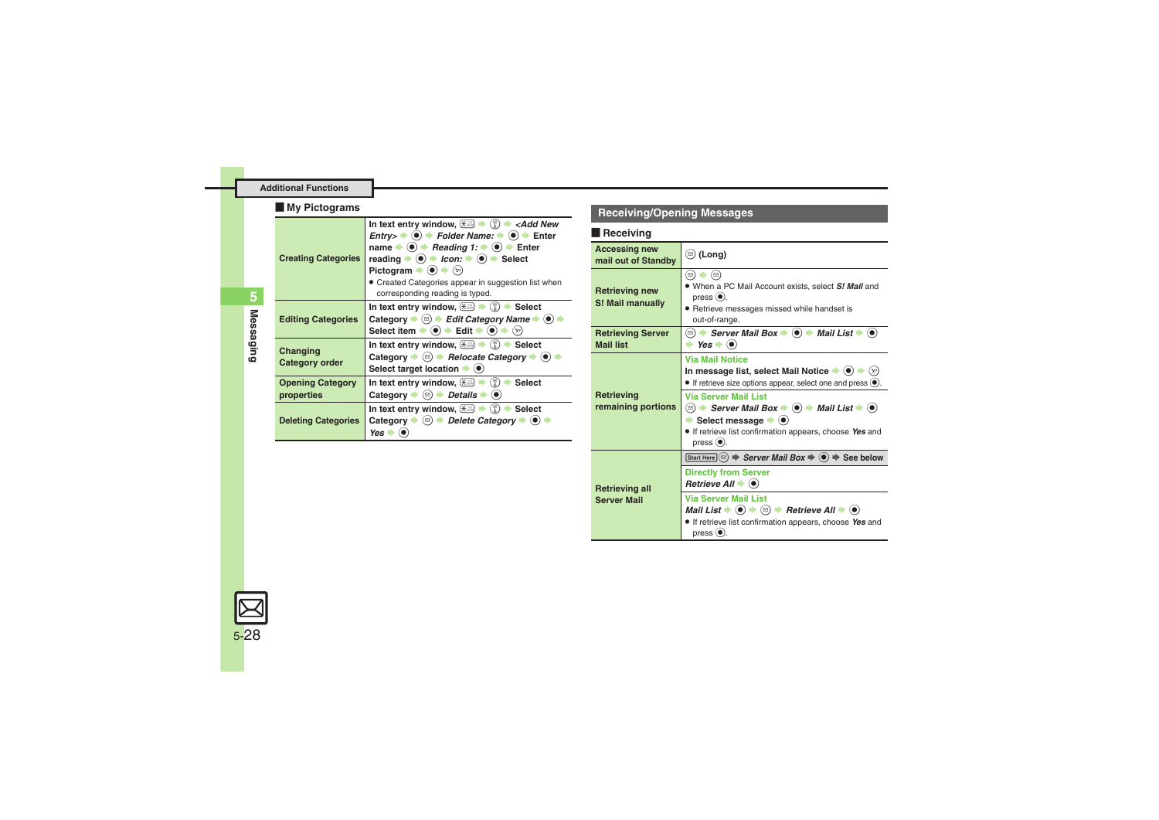### [ **My Pictograms**

<span id="page-27-3"></span><span id="page-27-2"></span><span id="page-27-1"></span><span id="page-27-0"></span>

| ,                                     |                                                                                                                                                                                                                                                                                                                                                                                                                                                                                                                                                                                                                                                                                                                                                                                                                                                                        |  |
|---------------------------------------|------------------------------------------------------------------------------------------------------------------------------------------------------------------------------------------------------------------------------------------------------------------------------------------------------------------------------------------------------------------------------------------------------------------------------------------------------------------------------------------------------------------------------------------------------------------------------------------------------------------------------------------------------------------------------------------------------------------------------------------------------------------------------------------------------------------------------------------------------------------------|--|
| <b>Creating Categories</b>            | In text entry window, $\left(\frac{1}{2}\right)$ $\rightarrow$ $\left(\frac{1}{6}\right)$ $\rightarrow$ <add new<br=""><math>\text{Entry} &gt; \bigstar</math> (<math>\bigcirc</math>) <math>\bigstar</math> Folder Name: <math>\bigstar</math> (<math>\bigcirc</math>) <math>\bigstar</math> Enter<br/>name <math>\Rightarrow</math> (<math>\bullet</math>) <math>\Rightarrow</math> <i>Reading 1:</i> <math>\Rightarrow</math> (<math>\bullet</math>) <math>\Rightarrow</math> Enter<br/>reading <math>\Rightarrow</math> (<math>\bullet</math>) <math>\Rightarrow</math> Icon: <math>\Rightarrow</math> (<math>\bullet</math>) <math>\Rightarrow</math> Select<br/>Pictogram <math>\bullet</math> <math>\bullet</math> <math>\bullet</math> <math>\heartsuit</math><br/>Created Categories appear in suggestion list when<br/>corresponding reading is typed.</add> |  |
| <b>Editing Categories</b>             | In text entry window, $\left(\frac{1}{2}\right)$ $\Rightarrow$ $\left(\frac{1}{8}\right)$ $\Rightarrow$ Select<br>Category $\blacktriangleright$ ( $\textcircled{e}$ ) $\blacktriangleright$ Edit Category Name $\blacktriangleright$ ( $\bullet$ )<br>Select item $\Rightarrow$ $\bullet$ $\Rightarrow$ Edit $\Rightarrow$ $\bullet$ $\Rightarrow$<br>$(\infty)$                                                                                                                                                                                                                                                                                                                                                                                                                                                                                                      |  |
| Changing<br>Category order            | In text entry window, $\left(\frac{1}{2}\right)$ $\Rightarrow$ $\left(\frac{1}{8}\right)$ $\Rightarrow$ Select<br>Category $\bullet$ ( $\circledcirc$ ) $\bullet$ Relocate Category $\bullet$ ( $\bullet$ )<br>Select target location $\blacktriangleright$ ( $\blacklozenge$ )                                                                                                                                                                                                                                                                                                                                                                                                                                                                                                                                                                                        |  |
| <b>Opening Category</b><br>properties | In text entry window, $\left(\frac{1}{2}\right)$ $\left(\frac{1}{6}\right)$ $\rightarrow$ Select<br>Category $\bullet$ ( $\circledcirc$ ) $\bullet$ Details $\bullet$ ( $\bullet$ )                                                                                                                                                                                                                                                                                                                                                                                                                                                                                                                                                                                                                                                                                    |  |
| <b>Deleting Categories</b>            | In text entry window, $\left(\frac{1}{2}\right)$ $\Rightarrow$ $\left(\frac{1}{8}\right)$ $\Rightarrow$ Select<br>Category $\Rightarrow$ ( $\text{a}$ ) $\Rightarrow$ Delete Category $\Rightarrow$ ( $\bullet$ )<br>Yes I                                                                                                                                                                                                                                                                                                                                                                                                                                                                                                                                                                                                                                             |  |

### **Receiving/Opening Messages**

### **Receiving**

<span id="page-27-7"></span><span id="page-27-6"></span><span id="page-27-5"></span>

| <b>Accessing new</b><br>mail out of Standby  | $\circledcirc$ (Long)                                                                                                                                                                                                                                                                                                                                                          |
|----------------------------------------------|--------------------------------------------------------------------------------------------------------------------------------------------------------------------------------------------------------------------------------------------------------------------------------------------------------------------------------------------------------------------------------|
| <b>Retrieving new</b><br>S! Mail manually    | $\Xi) \blacktriangleright (\Xi)$<br>• When a PC Mail Account exists, select S! Mail and<br>press $\left( \bullet \right)$ .<br>· Retrieve messages missed while handset is<br>out-of-range.                                                                                                                                                                                    |
| <b>Retrieving Server</b><br><b>Mail list</b> | (□) $\rightarrow$ Server Mail Box $\rightarrow$ ( $\bullet$ ) $\rightarrow$ Mail List $\rightarrow$ ( $\bullet$ )<br>$\rightarrow$ Yes $\rightarrow$ ( $\bullet$ )                                                                                                                                                                                                             |
| Retrieving<br>remaining portions             | <b>Via Mail Notice</b><br>In message list, select Mail Notice $\blacktriangleright$ ( $\blacklozenge$ )<br>$(\mathbf{x})$<br>• If retrieve size options appear, select one and press<br><b>Via Server Mail List</b><br>Select message $\blacktriangleright$ ( $\blacklozenge$ )<br>. If retrieve list confirmation appears, choose Yes and<br>press $\left( \bullet \right)$ . |
|                                              | Start Here $\circledcirc$ $\Rightarrow$ Server Mail Box $\Rightarrow$ $\circledcirc$ $\Rightarrow$ See below                                                                                                                                                                                                                                                                   |
| <b>Retrieving all</b>                        | <b>Directly from Server</b><br>Retrieve All $\blacktriangleright$ ( $\blacklozenge$ )                                                                                                                                                                                                                                                                                          |
| <b>Server Mail</b>                           | <b>Via Server Mail List</b><br>Mail List $\blacktriangleright$ ( $\blacklozenge$ ) $\blacktriangleright$ $\bowtie$ ) $\blacktriangleright$ Retrieve All $\blacktriangleright$ ( $\blacklozenge$ )<br>. If retrieve list confirmation appears, choose Yes and<br>press $\odot$ .                                                                                                |

<span id="page-27-4"></span>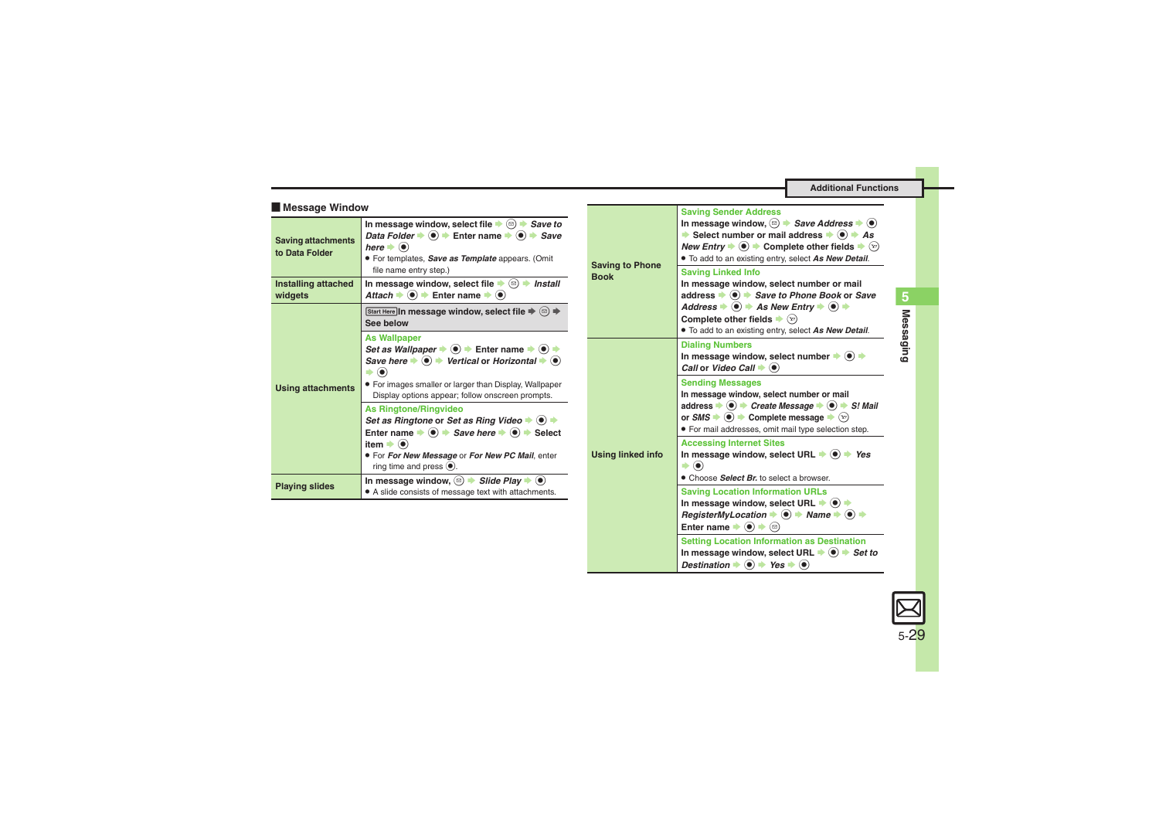<span id="page-28-2"></span><span id="page-28-1"></span>**Setting Location Information as Destination** In message window, select URL  $\Rightarrow$   $\circledast \Rightarrow$  *Set to Destination*  $\Rightarrow$   $\circledast \Rightarrow$  *Yes*  $\Rightarrow$   $\circledast$ 

<span id="page-28-0"></span>

| <b>Message Window</b>                             |                                                                                                                                                                                                                                                                                                             |                                       | <b>Saving Sender Address</b>                                                                                                                                                                                                                                                                                                                                  |
|---------------------------------------------------|-------------------------------------------------------------------------------------------------------------------------------------------------------------------------------------------------------------------------------------------------------------------------------------------------------------|---------------------------------------|---------------------------------------------------------------------------------------------------------------------------------------------------------------------------------------------------------------------------------------------------------------------------------------------------------------------------------------------------------------|
| <b>Saving attachments</b><br>to Data Folder       | In message window, select file $\blacktriangleright$ ( $\textcircled{a}$ ) $\blacktriangleright$ Save to<br>Data Folder $\Rightarrow$ $\circledast$ $\Rightarrow$ Enter name $\Rightarrow$ $\circledast$ $\Rightarrow$ Save<br>here $\bullet$ $\bullet$<br>• For templates, Save as Template appears. (Omit | <b>Saving to Phone</b><br><b>Book</b> | In message window, $\textcircled{a}$ $\rightarrow$ <i>Save Address</i> $\rightarrow$ $\textcircled{a}$<br>Select number or mail address $\rightarrow$ ( $\bullet$ ) $\rightarrow$ As<br><i>New Entry</i> $\rightarrow$ <b>●</b> $\rightarrow$ Complete other fields $\rightarrow$ $\langle x \rangle$<br>. To add to an existing entry, select As New Detail. |
| Installing attached<br>widgets                    | file name entry step.)<br>In message window, select file $\blacktriangleright \textcircled{\scriptsize{\textcircled{\#}}}$ install<br>Attach $\Rightarrow$ $\circledcirc$ $\Rightarrow$ Enter name $\Rightarrow$ $\circledcirc$                                                                             |                                       | <b>Saving Linked Info</b><br>In message window, select number or mail<br>address $\bullet$ $\bullet$ $\bullet$ Save to Phone Book or Save                                                                                                                                                                                                                     |
|                                                   | Start Here In message window, select file $\Rightarrow$ $\textcircled{z}$ $\Rightarrow$<br>See below                                                                                                                                                                                                        |                                       | Address $\bullet$ $\bullet$ $\bullet$ As New Entry $\bullet$ $\bullet$ $\bullet$<br>Complete other fields $\blacktriangleright$ $(\triangleright)$<br>. To add to an existing entry, select As New Detail.                                                                                                                                                    |
| <b>Using attachments</b><br><b>Playing slides</b> | <b>As Wallpaper</b><br>Set as Wallpaper $\Rightarrow$ $\circledast$ $\Rightarrow$ Enter name $\Rightarrow$ $\circledast$ $\Rightarrow$<br>Save here $\bullet$ $\bullet$ $\bullet$ Vertical or Horizontal $\bullet$ $\bullet$<br>$\blacktriangleright$ $\odot$                                               | Using linked info                     | <b>Dialing Numbers</b><br>In message window, select number $\blacktriangleright$ ( $\blacklozenge$ ) $\blacktriangleright$<br>Call or Video Call $\blacktriangleright$ $\blacklozenge$                                                                                                                                                                        |
|                                                   | • For images smaller or larger than Display, Wallpaper<br>Display options appear; follow onscreen prompts.<br><b>As Ringtone/Ringvideo</b><br>Set as Ringtone or Set as Ring Video $\blacklozenge$ $\blacklozenge$                                                                                          |                                       | <b>Sending Messages</b><br>In message window, select number or mail<br>address $\Rightarrow$ $\circledcirc$ $\Rightarrow$ Create Message $\Rightarrow$ $\circledcirc$ $\Rightarrow$ S! Mail<br>or $\mathsf{SMS} \rightarrow \textcircled{\bullet}$ $\rightarrow$ Complete message $\rightarrow \textcircled{\scriptsize{x}}$                                  |
|                                                   | Enter name $\Rightarrow$ $\circledast$ $\Rightarrow$ Save here $\Rightarrow$ $\circledast$ $\Rightarrow$ Select<br>item $\bullet$ $\bullet$<br>. For For New Message or For New PC Mail, enter<br>ring time and press $\odot$ .                                                                             |                                       | • For mail addresses, omit mail type selection step.<br><b>Accessing Internet Sites</b><br>In message window, select URL $\Rightarrow$ $\circ$ $\Rightarrow$ Yes<br>$\blacktriangleright$ (e)                                                                                                                                                                 |
|                                                   | In message window, $\textcircled{a}$ $\blacktriangleright$ Slide Play $\blacktriangleright$ $\textcircled{e}$<br>• A slide consists of message text with attachments.                                                                                                                                       |                                       | • Choose Select Br. to select a browser.<br><b>Saving Location Information URLs</b>                                                                                                                                                                                                                                                                           |
|                                                   |                                                                                                                                                                                                                                                                                                             |                                       | In message window, select URL $\blacktriangleright$ ( $\blacklozenge$ ) $\blacktriangleright$<br>RegisterMyLocation $\Rightarrow$ ( $\bullet$ ) $\Rightarrow$ Name $\Rightarrow$ ( $\bullet$ ) $\Rightarrow$<br>Enter name $\bullet$ $\bullet$ $\bullet$ $\circ$                                                                                              |

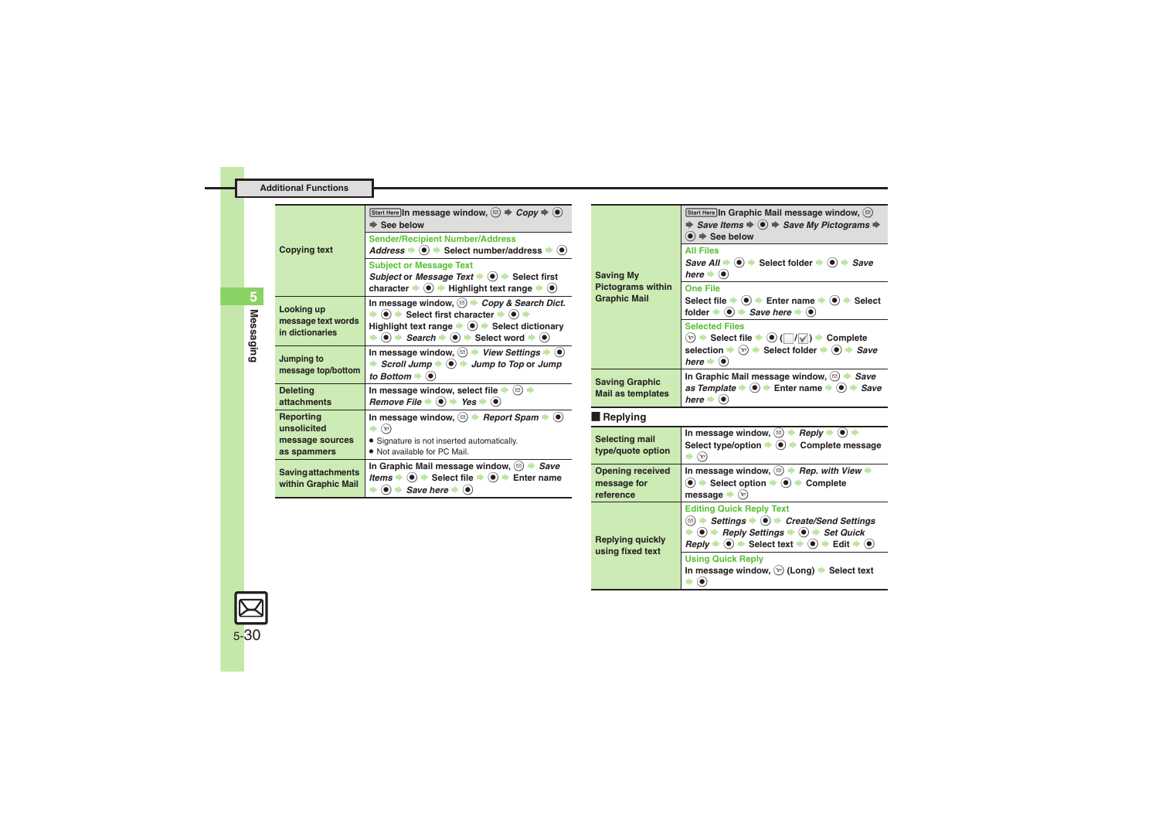|                                                  | Start Here In message window, $\textcircled{\scriptsize{\triangle}} \Rightarrow \textit{Copy} \Rightarrow \textcircled{\scriptsize{\triangle}}$<br>$\Rightarrow$ See below<br><b>Sender/Recipient Number/Address</b>                                                |                                                     | Start Here In Graphic Mail message window, $\circledcirc$<br>$\Rightarrow$ Save Items $\Rightarrow$ $\circledast$ $\Rightarrow$ Save My Pictograms $\Rightarrow$<br>$\bullet$ $\Rightarrow$ See below                                   |
|--------------------------------------------------|---------------------------------------------------------------------------------------------------------------------------------------------------------------------------------------------------------------------------------------------------------------------|-----------------------------------------------------|-----------------------------------------------------------------------------------------------------------------------------------------------------------------------------------------------------------------------------------------|
| <b>Copying text</b>                              | Address $\bullet$ $\bullet$ > Select number/address $\bullet$ $\bullet$<br><b>Subject or Message Text</b>                                                                                                                                                           |                                                     | <b>All Files</b><br>Save All $\Rightarrow$ ( $\bullet$ ) $\Rightarrow$ Select folder $\Rightarrow$ ( $\bullet$ ) $\Rightarrow$ Save                                                                                                     |
|                                                  | Subject or Message Text $\Rightarrow$ $\circledast$ Select first<br>character $\blacktriangleright \textcircled{\scriptsize{\bullet}}$ $\blacktriangleright$ Highlight text range $\blacktriangleright \textcircled{\scriptsize{\bullet}}$                          | <b>Saving My</b><br><b>Pictograms within</b>        | here $\bullet$ $\bullet$<br><b>One File</b>                                                                                                                                                                                             |
| Looking up                                       | In message window, $\textcircled{\scriptsize{\triangle}}$ $\blacktriangleright$ Copy & Search Dict.<br>$\Rightarrow$ (0) $\Rightarrow$ Select first character $\Rightarrow$ (0) $\Rightarrow$                                                                       | <b>Graphic Mail</b>                                 | Select file $\Rightarrow$ ( $\bullet$ ) $\Rightarrow$ Enter name $\Rightarrow$ ( $\bullet$ ) $\Rightarrow$ Select<br>folder $\Rightarrow$ $\bullet$ $\Rightarrow$ Save here $\Rightarrow$ $\bullet$                                     |
| message text words<br>in dictionaries            | Highlight text range $\Rightarrow$ $\circledcirc$ $\Rightarrow$ Select dictionary<br>$\Rightarrow$ $\bullet$ $\Rightarrow$ Search $\Rightarrow$ $\bullet$ Select word $\Rightarrow$ $\bullet$                                                                       |                                                     | <b>Selected Files</b><br>$(x)$ $\rightarrow$ Select file $\rightarrow$ ( $\bullet$ ) ( $\mid$ $\mid$ / $\mid$ ) $\rightarrow$ Complete                                                                                                  |
| Jumping to<br>message top/bottom                 | In message window, $\textcircled{a}$ $\blacktriangleright$ View Settings $\blacktriangleright$ $\textcircled{e}$<br>Scroll Jump $\Rightarrow$ $\circledcirc$ $\Rightarrow$ Jump to Top or Jump                                                                      |                                                     | selection $\blacktriangleright$ ( $\widehat{x}$ ) $\blacktriangleright$ Select folder $\blacktriangleright$ ( $\blacklozenge$ ) $\blacktriangleright$ Save<br>here $\bullet$ $\bullet$                                                  |
| <b>Deleting</b>                                  | to Bottom $\blacktriangleright$ ( $\blacklozenge$ )<br>In message window, select file $\blacktriangleright$ ( $\textcircled{\scriptsize{3}}$ ) $\blacktriangleright$                                                                                                | <b>Saving Graphic</b><br><b>Mail as templates</b>   | In Graphic Mail message window, $\circledcirc$ $\rightarrow$ Save<br>as Template $\Rightarrow$ $\circledast$ $\Rightarrow$ Enter name $\Rightarrow$ $\circledast$ $\Rightarrow$ Save<br>here $\bullet$ $\bullet$                        |
| <b>attachments</b><br>Reporting                  | Remove File $\Rightarrow$ ( $\bullet$ ) $\Rightarrow$ Yes $\Rightarrow$ ( $\bullet$ )<br>In message window, $\textcircled{\scriptsize{\triangle}}$ Report Spam $\blacktriangleright$ ( $\textcircled{\scriptsize{\diamond}}$ )                                      | $\blacksquare$ Replying                             |                                                                                                                                                                                                                                         |
| unsolicited<br>message sources<br>as spammers    | $\Rightarrow$ $\odot$<br>• Signature is not inserted automatically.<br>• Not available for PC Mail.                                                                                                                                                                 | Selecting mail<br>type/quote option                 | In message window, $\textcircled{\scriptsize\triangle}$ $\Rightarrow$ Reply $\Rightarrow$ $\textcircled{\scriptsize\triangle}$<br>Select type/option $\bullet$ ( $\bullet$ ) $\bullet$ Complete message<br>$\Rightarrow$ $\circledcirc$ |
| <b>Saving attachments</b><br>within Graphic Mail | In Graphic Mail message window, $\circledcirc$ $\rightarrow$ Save<br><i>Items</i> $\rightarrow$ $\odot$ $\rightarrow$ Select file $\rightarrow$ $\odot$ $\rightarrow$ Enter name<br>$\Rightarrow$ ( $\bullet$ ) $\Rightarrow$ Save here $\Rightarrow$ ( $\bullet$ ) | <b>Opening received</b><br>message for<br>reference | In message window, $\textcircled{\scriptsize{\triangle}}$ Rep. with View<br>$\bullet$ $\bullet$ Select option $\bullet$ $\bullet$ $\bullet$ Complete<br>message $(\mathbf{y})$                                                          |
|                                                  |                                                                                                                                                                                                                                                                     |                                                     | <b>Editing Quick Reply Text</b>                                                                                                                                                                                                         |

<span id="page-29-2"></span><span id="page-29-1"></span>**Replying quickly using fixed text**

**B**  $\bullet$  *Settings*  $\bullet$  **O**  $\bullet$  *Create/Send Settings*  $\rightarrow$  **⊙**  $\rightarrow$  Reply Settings  $\rightarrow$  **⊙**  $\rightarrow$  Set Quick  $\text{Reply} \neq \textcircled{\textcolor{blue}{\bullet}} \Rightarrow \text{Select text} \neq \textcircled{\textcolor{blue}{\bullet}} \Rightarrow \text{Edit} \neq \textcircled{\textcolor{blue}{\bullet}}$ 

**In message window,**  $\textcircled{x}$  **(Long) → Select text** 

**Using Quick Reply**

 $\bullet$   $\bullet$ 

<span id="page-29-0"></span>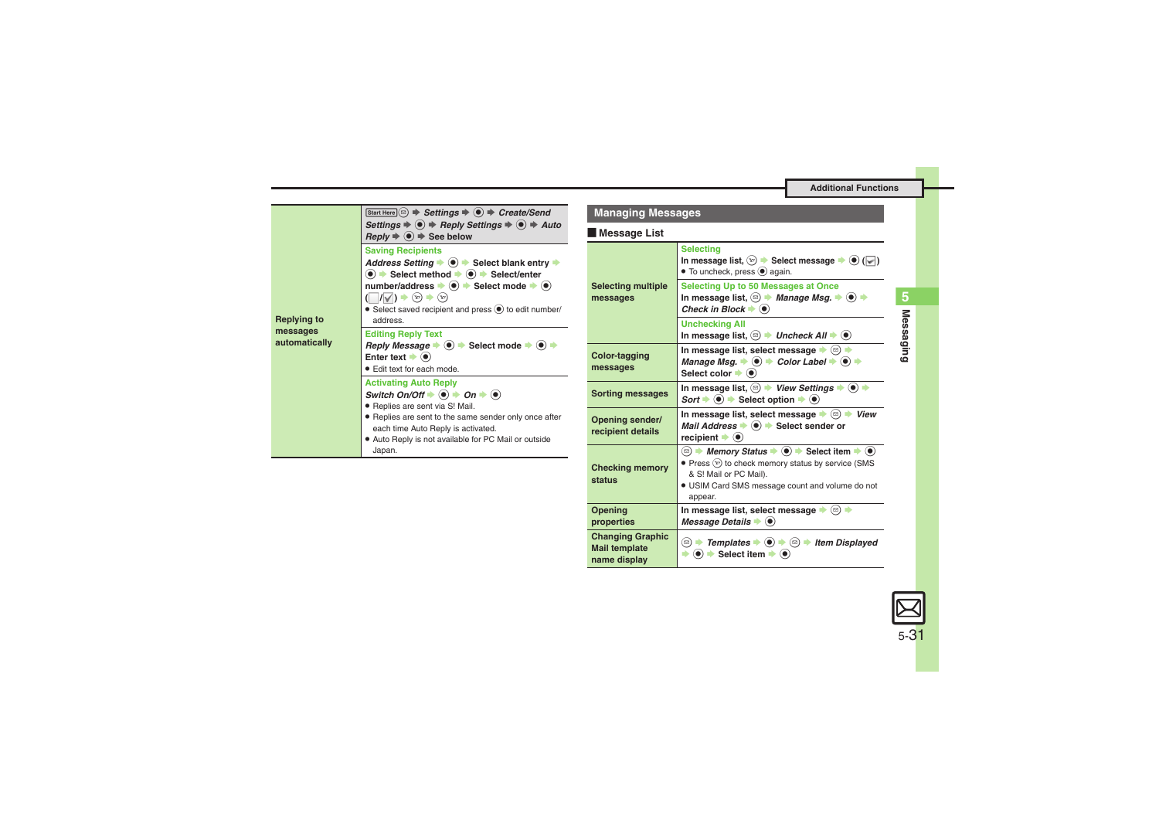<span id="page-30-0"></span>

### **Managing Messages**

#### [ **Message List**

<span id="page-30-1"></span>

| <b>Selecting</b><br>In message list, $(\overline{x})$ $\rightarrow$ Select message $\rightarrow$ ( $\bullet$ ) ( $\lor$ )<br>• To uncheck, press (•) again.<br>Selecting Up to 50 Messages at Once<br>In message list, $\textcircled{a}$ $\blacktriangleright$ <i>Manage Msg.</i> $\blacktriangleright$ $\textcircled{a}$ $\blacktriangleright$<br>Check in Block $\blacktriangleright$ $\blacklozenge$ |
|---------------------------------------------------------------------------------------------------------------------------------------------------------------------------------------------------------------------------------------------------------------------------------------------------------------------------------------------------------------------------------------------------------|
| <b>Unchecking All</b><br>In message list, $\textcircled{a}$ $\blacktriangleright$ Uncheck All $\blacktriangleright$ ( $\bullet$ )                                                                                                                                                                                                                                                                       |
| In message list, select message $\bullet$ ( $\circledcirc$ )<br>Manage Msg. $\Rightarrow$ $\circledcirc$ $\Rightarrow$ Color Label $\Rightarrow$ $\circledcirc$ $\Rightarrow$<br>Select color $\blacktriangleright$ ( $\bullet$ )                                                                                                                                                                       |
| In message list, $\textcircled{=}$ View Settings $\blacktriangleright$ ( $\bullet$ ) $\blacktriangleright$<br>Sort $\blacktriangleright$ ( $\blacklozenge$ ) $\blacktriangleright$ Select option $\blacktriangleright$ ( $\blacklozenge$ )                                                                                                                                                              |
| In message list, select message $\blacktriangleright \textcircled{\scriptsize{\textcircled{\#}}}$ View<br>Mail Address $\bullet$ $\bullet$ Select sender or<br>recipient $\bullet$ ( $\bullet$ )                                                                                                                                                                                                        |
| $\bullet$ Press $\mathcal{F}$ ) to check memory status by service (SMS<br>& S! Mail or PC Mail).<br>. USIM Card SMS message count and volume do not<br>appear.                                                                                                                                                                                                                                          |
| In message list, select message → (2) →<br>Message Details $\bullet$ $\bullet$                                                                                                                                                                                                                                                                                                                          |
| $\Rightarrow$ ( $\bullet$ ) $\Rightarrow$ Select item $\Rightarrow$ ( $\bullet$ )                                                                                                                                                                                                                                                                                                                       |
|                                                                                                                                                                                                                                                                                                                                                                                                         |

# **Messaging 5 Messaging**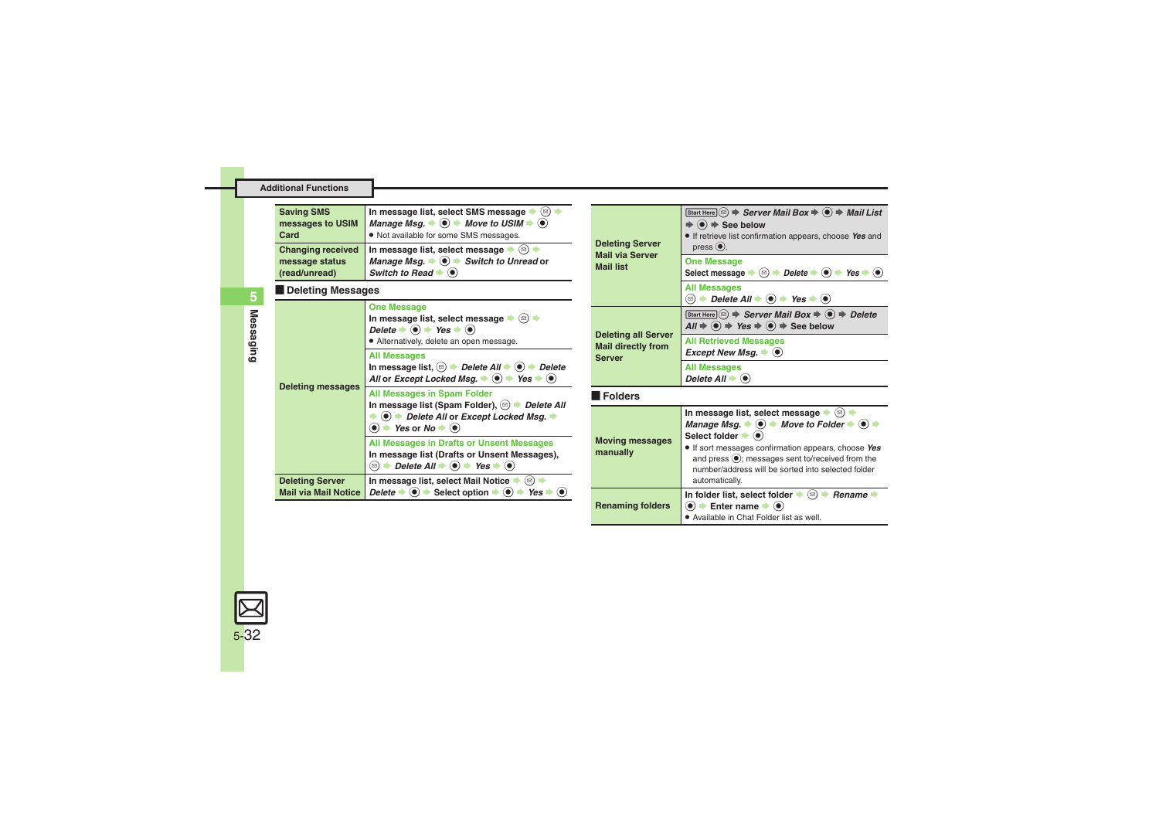<span id="page-31-0"></span>

| <b>Saving SMS</b><br>messages to USIM<br>Card<br><b>Changing received</b>                                                                       | In message list, select SMS message $\blacktriangleright$ (2) $\blacktriangleright$<br>Manage Msg. $\Rightarrow$ $\circledcirc$ $\Rightarrow$ Move to USIM $\Rightarrow$ $\circledcirc$<br>. Not available for some SMS messages.<br>In message list, select message $\blacktriangleright$ ( $\textcircled{\scriptsize{\textcircled{\#}}}$ ) | <b>Deleting Server</b>                                                                                                                                       | Start Here $\textcircled{a}$ $\Rightarrow$ Server Mail Box $\Rightarrow$ $\textcircled{a}$ $\Rightarrow$ Mail List<br>$\Rightarrow$ ( $\bullet$ ) $\Rightarrow$ See below<br>. If retrieve list confirmation appears, choose Yes and<br>$pres0$ .                                           |
|-------------------------------------------------------------------------------------------------------------------------------------------------|----------------------------------------------------------------------------------------------------------------------------------------------------------------------------------------------------------------------------------------------------------------------------------------------------------------------------------------------|--------------------------------------------------------------------------------------------------------------------------------------------------------------|---------------------------------------------------------------------------------------------------------------------------------------------------------------------------------------------------------------------------------------------------------------------------------------------|
| Manage Msq. $\bullet$ $\bullet$ $\bullet$ Switch to Unread or<br>message status<br>Switch to Read $\blacktriangleright$ $\lhd$<br>(read/unread) | <b>Mail via Server</b><br><b>Mail list</b>                                                                                                                                                                                                                                                                                                   | <b>One Message</b><br>Select message $\Rightarrow$ $\textcircled{=}$ $\Rightarrow$ Delete $\Rightarrow$ $\textcircled{=}$ Yes $\Rightarrow$ $\textcircled{}$ |                                                                                                                                                                                                                                                                                             |
| Deleting Messages                                                                                                                               |                                                                                                                                                                                                                                                                                                                                              | <b>All Messages</b><br><b> <del>□</del></b> $\rightarrow$ Delete All $\rightarrow$ ( $\bullet$ ) $\rightarrow$ Yes $\rightarrow$ ( $\bullet$ )               |                                                                                                                                                                                                                                                                                             |
|                                                                                                                                                 | <b>One Message</b><br>In message list, select message $\blacktriangleright$ ( $\text{D}$ ) $\blacktriangleright$<br>Delete $\bullet$ ( $\bullet$ ) $\bullet$ Yes $\bullet$ ( $\bullet$ )                                                                                                                                                     | <b>Deleting all Server</b><br><b>Mail directly from</b><br><b>Server</b>                                                                                     | Start Here $\textcircled{a} \Rightarrow$ Server Mail Box $\Rightarrow$ $\textcircled{a} \Rightarrow$ Delete<br>$All \Rightarrow \textcircled{\textcircled{\textcirc}} \Rightarrow Yes \Rightarrow \textcircled{\textcircled{\textcirc}} \Rightarrow See below$                              |
|                                                                                                                                                 | • Alternatively, delete an open message.<br><b>All Messages</b><br>In message list, $\textcircled{a}$ $\rightarrow$ Delete All $\rightarrow$ $\textcircled{a}$ $\rightarrow$ Delete<br>All or Except Locked Msg. $\Rightarrow$ (a) $\Rightarrow$ Yes $\Rightarrow$ (a)                                                                       |                                                                                                                                                              | <b>All Retrieved Messages</b><br>Except New Msg. $\bullet$ $\bullet$                                                                                                                                                                                                                        |
|                                                                                                                                                 |                                                                                                                                                                                                                                                                                                                                              |                                                                                                                                                              | <b>All Messages</b><br>Delete All $\blacktriangleright$ ( $\blacklozenge$ )                                                                                                                                                                                                                 |
| <b>Deleting messages</b>                                                                                                                        | All Messages in Spam Folder                                                                                                                                                                                                                                                                                                                  | Folders                                                                                                                                                      |                                                                                                                                                                                                                                                                                             |
|                                                                                                                                                 | In message list (Spam Folder), Sollete All<br>$\bullet$ ( $\bullet$ ) $\bullet$ Delete All or Except Locked Msg. $\bullet$<br>$\bullet$ $\bullet$ Yes or No $\bullet$ $\bullet$                                                                                                                                                              | <b>Moving messages</b><br>manually                                                                                                                           | In message list, select message $\blacktriangleright$ ( $\textcircled{\scriptsize{3}}$ ) $\blacktriangleright$<br>Manage Msg. $\Rightarrow$ ( $\bullet$ ) $\Rightarrow$ Move to Folder $\Rightarrow$ ( $\bullet$ ) $\Rightarrow$<br>Select folder $\blacktriangleright$ ( $\blacklozenge$ ) |
|                                                                                                                                                 | All Messages in Drafts or Unsent Messages<br>In message list (Drafts or Unsent Messages),<br><b><sup><b>□ + Delete All + ● + Yes + ●</b></sup></b>                                                                                                                                                                                           |                                                                                                                                                              | • If sort messages confirmation appears, choose Yes<br>and press $\odot$ ; messages sent to/received from the<br>number/address will be sorted into selected folder                                                                                                                         |
| <b>Deleting Server</b><br><b>Mail via Mail Notice</b>                                                                                           | In message list, select Mail Notice $\blacktriangleright$ ( $\textcircled{\scriptsize{}}$ ) $\blacktriangleright$<br>Delete $\Rightarrow$ ( $\bullet$ ) $\Rightarrow$ Select option $\Rightarrow$ ( $\bullet$ ) $\Rightarrow$ Yes $\Rightarrow$ ( $\bullet$ )                                                                                |                                                                                                                                                              | automatically.<br>In folder list, select folder $\blacktriangleright$ ( $\textcircled{e}$ ) $\blacktriangleright$ <i>Rename</i> $\blacktriangleright$                                                                                                                                       |
|                                                                                                                                                 |                                                                                                                                                                                                                                                                                                                                              | <b>Renaming folders</b>                                                                                                                                      | $\bullet$ $\bullet$ Enter name $\bullet$ $\bullet$                                                                                                                                                                                                                                          |

<span id="page-31-3"></span><span id="page-31-2"></span><span id="page-31-1"></span>. Available in Chat Folder list as well.

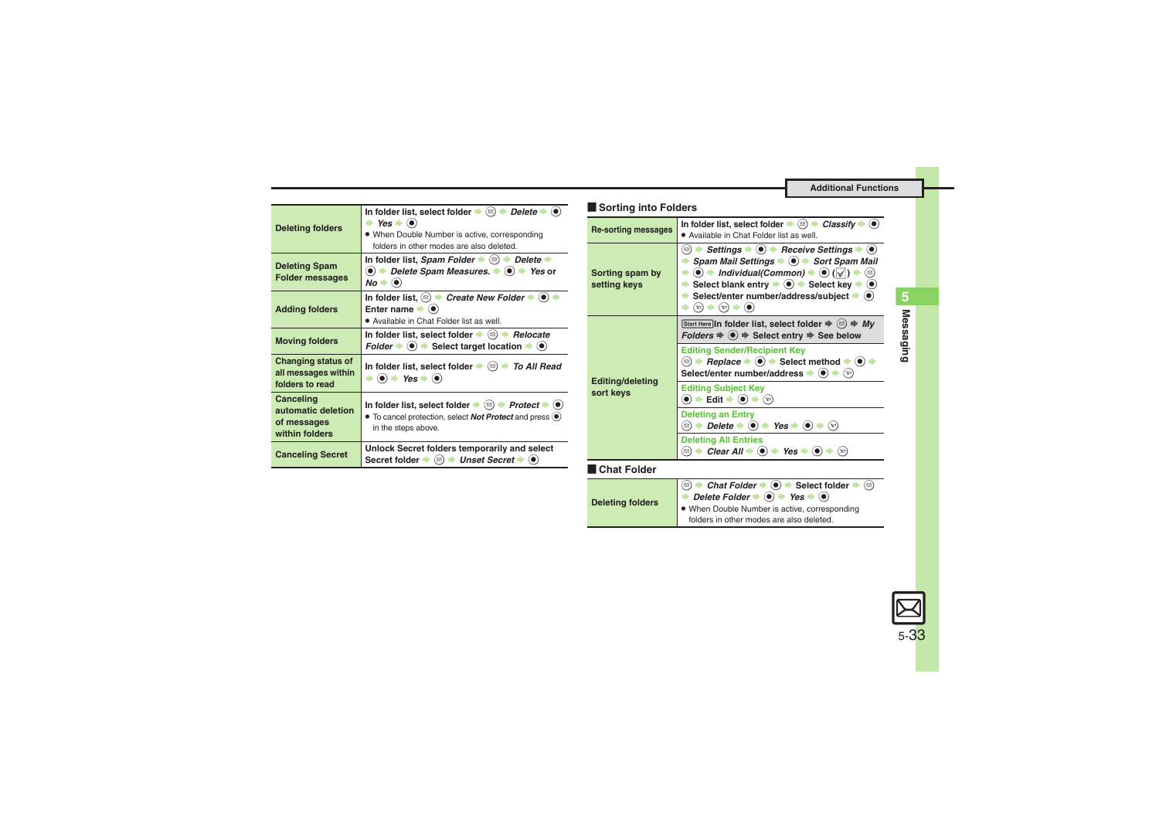**<sup><b>③ ★ Chat Folder ★ <b>⑥** ★ Select folder ★ ⑤<br>★ Delete Folder → **⑥** ★ Yes → **⑥**</sup> . When Double Number is active, corresponding folders in other modes are also deleted.

<span id="page-32-6"></span><span id="page-32-5"></span><span id="page-32-4"></span><span id="page-32-3"></span><span id="page-32-2"></span><span id="page-32-1"></span><span id="page-32-0"></span>

|                                                     |                                                                                                                                                                                                                                                                                                                                                                                  | Sorting into Folders            |                                                                                                                                                                                                                                                                                      |
|-----------------------------------------------------|----------------------------------------------------------------------------------------------------------------------------------------------------------------------------------------------------------------------------------------------------------------------------------------------------------------------------------------------------------------------------------|---------------------------------|--------------------------------------------------------------------------------------------------------------------------------------------------------------------------------------------------------------------------------------------------------------------------------------|
| <b>Deleting folders</b>                             | In folder list, select folder $\blacktriangleright$ ( $\textcircled{e}$ ) $\blacktriangleright$ Delete $\blacktriangleright$ ( $\bullet$ )<br>$\Rightarrow$ Yes $\Rightarrow$ ( $\bullet$ )<br>. When Double Number is active, corresponding<br>folders in other modes are also deleted.                                                                                         | <b>Re-sorting messages</b>      | In folder list, select folder $\Rightarrow$ $\textcircled{a}$ $\Rightarrow$ <i>Classify</i> $\Rightarrow$ $\textcircled{a}$<br>• Available in Chat Folder list as well.<br><b><sup><b> </b> &gt; Settings → <math>\bullet</math> + Receive Settings → <math>\bullet</math></sup></b> |
| <b>Deleting Spam</b><br><b>Folder messages</b>      | In folder list, Spam Folder $\blacktriangleright$ ( $\textcircled{a}$ ) $\blacktriangleright$ Delete $\blacktriangleright$<br>$\textcircled{\bullet}$ $\Rightarrow$ Delete Spam Measures. $\Rightarrow$ $\textcircled{\bullet}$ $\Rightarrow$ Yes or<br>$No \rightarrow \odot$                                                                                                   | Sorting spam by<br>setting keys | ▶ Spam Mail Settings $\bigcirc$ ♦ Sort Spam Mail<br>$\Rightarrow$ (o) $\Rightarrow$ Individual(Common) $\Rightarrow$ (o) ( $\lor$ ) $\Rightarrow$ ( $\circ$ )<br>Select blank entry $\Rightarrow$ ( $\bullet$ ) $\Rightarrow$ Select key $\Rightarrow$ ( $\bullet$ )                 |
| <b>Adding folders</b>                               | In folder list, $\textcircled{a}$ $\blacktriangleright$ Create New Folder $\blacktriangleright$ $\textcircled{e}$ $\blacktriangleright$<br>Enter name $\blacktriangleright$ ( $\blacklozenge$ )<br>• Available in Chat Folder list as well.                                                                                                                                      |                                 | Select/enter number/address/subject $\blacktriangleright$ ( $\blacklozenge$ )<br>$\blacktriangleright (\mathbf{y}) \blacktriangleright (\mathbf{y}) \blacktriangleright (\mathbf{0})$                                                                                                |
| <b>Moving folders</b>                               | In folder list, select folder $\bullet$ ( $\circledcirc$ ) $\bullet$ Relocate<br>$Folder \rightarrow (0) \rightarrow Select\ target\ location \rightarrow (0)$                                                                                                                                                                                                                   | Editing/deleting                | Start Here In folder list, select folder $\Rightarrow$ $\textcircled{z} \Rightarrow My$<br>$Foldsymbol{o} \triangleq \langle \bullet \rangle \Rightarrow$ Select entry $\Rightarrow$ See below                                                                                       |
| <b>Changing status of</b><br>all messages within    | In folder list, select folder $\blacktriangleright$ ( $\textcircled{a}$ ) $\blacktriangleright$ To All Read<br>$\Rightarrow$ ( $\bullet$ ) $\Rightarrow$ Yes $\Rightarrow$ ( $\bullet$ )                                                                                                                                                                                         |                                 | <b>Editing Sender/Recipient Key</b><br>Select/enter number/address $\blacktriangleright$ ( $\blacklozenge$ ) $\blacktriangleright$ ( $\triangleright$ )                                                                                                                              |
| folders to read<br>Canceling                        | sort keys<br>In folder list, select folder $\Rightarrow$ $\textcircled{r}$ $\Rightarrow$ Protect $\Rightarrow$ $\textcircled{r}$<br>• To cancel protection, select <b>Not Protect</b> and press $\bullet$<br>in the steps above.<br>Unlock Secret folders temporarily and select<br>Secret folder $\bullet$ ( $\textcircled{a}$ ) $\bullet$ Unset Secret $\bullet$ ( $\bullet$ ) |                                 | <b>Editing Subject Key</b><br>$\bullet$ $\bullet$ Edit $\bullet$ $\bullet$ $\bullet$ $\circ$                                                                                                                                                                                         |
| automatic deletion<br>of messages<br>within folders |                                                                                                                                                                                                                                                                                                                                                                                  |                                 | <b>Deleting an Entry</b><br><b>◯ <math>\rightarrow</math> Delete</b> $\rightarrow$ ( $\bullet$ ) $\rightarrow$ Yes $\rightarrow$ ( $\bullet$ ) $\rightarrow$ ( $\odot$ )                                                                                                             |
| <b>Canceling Secret</b>                             |                                                                                                                                                                                                                                                                                                                                                                                  |                                 | <b>Deleting All Entries</b><br><b>◯ <math>\Rightarrow</math> Clear All <math>\Rightarrow</math> (0) <math>\Rightarrow</math> Yes <math>\Rightarrow</math> (0) <math>\Rightarrow</math> <math>\circledcirc</math></b>                                                                 |
|                                                     |                                                                                                                                                                                                                                                                                                                                                                                  | <b>Chat Folder</b>              |                                                                                                                                                                                                                                                                                      |

<span id="page-32-10"></span><span id="page-32-9"></span><span id="page-32-8"></span><span id="page-32-7"></span>**Deleting folders**

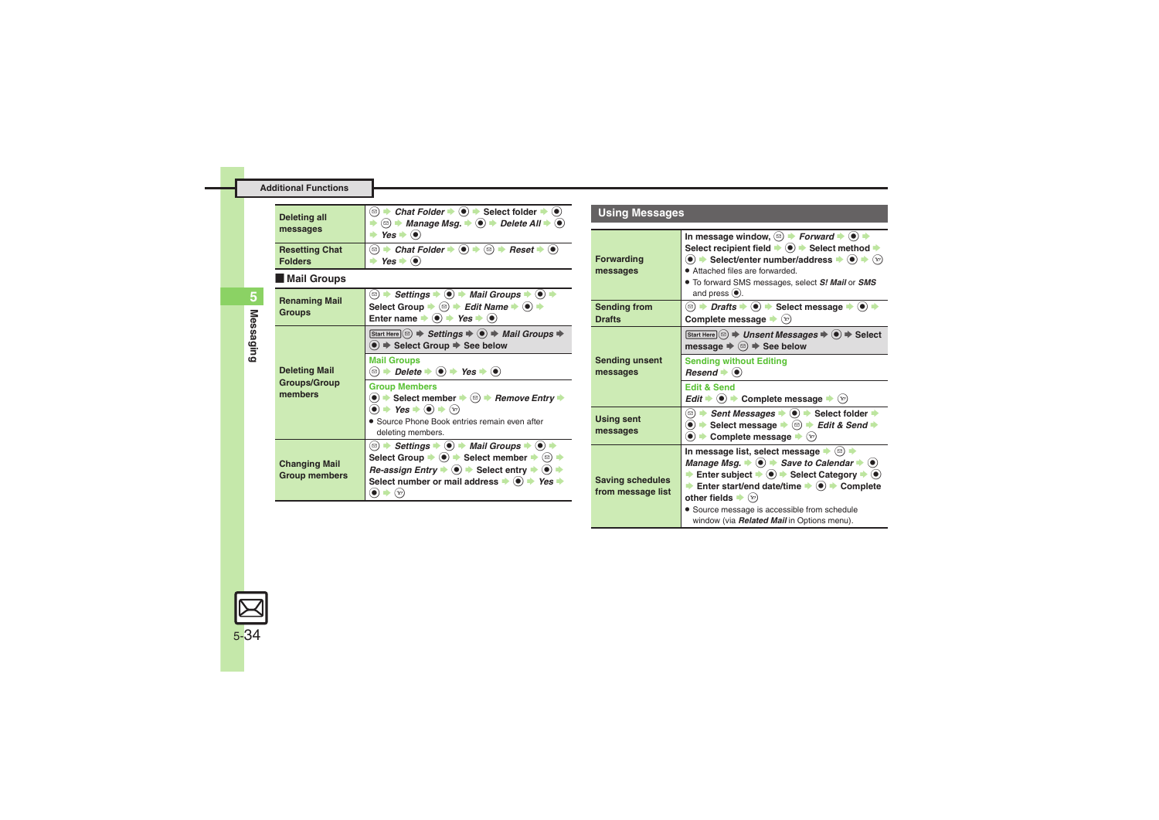<span id="page-33-2"></span>

| <b>Deleting all</b><br>messages         | • Chat Folder $\bullet$ ( $\bullet$ ) $\bullet$ Select folder $\bullet$ ( $\bullet$ )<br>⊡ )<br><b><sup>◎</sup> → Manage Msg. <math>\div</math> ● → Delete All <math>\div</math> ●</b><br>$\odot$<br>Yes I |
|-----------------------------------------|------------------------------------------------------------------------------------------------------------------------------------------------------------------------------------------------------------|
| <b>Resetting Chat</b><br><b>Folders</b> | → Chat Folder $\rightarrow$ ( $\bullet$ ) $\rightarrow$ $\textcircled{e}$ $\rightarrow$ Reset $\rightarrow$ $\textcircled{e}$<br>ั⊠)<br>Yes                                                                |

#### <span id="page-33-3"></span>[ **Mail Groups**

<span id="page-33-6"></span><span id="page-33-5"></span><span id="page-33-4"></span>

| <b>Renaming Mail</b><br><b>Groups</b>                  | <b>② → Settings → ● → Mail Groups → ● →</b><br>Select Group $\bullet$ ( $\circledcirc$ ) $\bullet$ Edit Name $\bullet$ ( $\bullet$ )<br>Enter name $\Rightarrow$ ( $\bullet$ ) $\Rightarrow$ Yes $\Rightarrow$ ( $\bullet$ )                                                                                                                                                                                                                                             |  |
|--------------------------------------------------------|--------------------------------------------------------------------------------------------------------------------------------------------------------------------------------------------------------------------------------------------------------------------------------------------------------------------------------------------------------------------------------------------------------------------------------------------------------------------------|--|
| <b>Deleting Mail</b><br><b>Groups/Group</b><br>members | Start Here $\circledcirc$ $\Rightarrow$ Settings $\Rightarrow$ $\circledcirc$ $\Rightarrow$ Mail Groups $\Rightarrow$<br>$\textcircled{\textbullet}$ $\Rightarrow$ Select Group $\Rightarrow$ See below                                                                                                                                                                                                                                                                  |  |
|                                                        | <b>Mail Groups</b><br>$\textcircled{\scriptsize{\textcircled{\#}}}$ $\rightarrow$ Delete $\rightarrow$ $\textcircled{\bullet}$ $\rightarrow$ Yes $\rightarrow$ $\textcircled{\bullet}$                                                                                                                                                                                                                                                                                   |  |
|                                                        | <b>Group Members</b><br>$\bullet$ $\bullet$ Select member $\bullet$ $\circledcirc$ $\bullet$ Remove Entry $\bullet$<br>$\bullet$ + Yes $\bullet$ $\bullet$ + $\odot$<br>• Source Phone Book entries remain even after<br>deleting members.                                                                                                                                                                                                                               |  |
| <b>Changing Mail</b><br><b>Group members</b>           | <b><math>\textcircled{ }</math> → Settings → <math>\textcircled{ }</math> → Mail Groups → <math>\textcircled{ }</math></b><br>Select Group $\Rightarrow$ ( $\bullet$ ) $\Rightarrow$ Select member $\Rightarrow$ ( $\circledcirc$ )<br>$Re\text{-}assign \text{ Entry} \rightarrow \textcircled{\text{}} \rightarrow \text{Select entry} \rightarrow \textcircled{\text{}}$<br>Select number or mail address $\rightarrow$ ( $\bullet$ ) $\rightarrow$ Yes $\rightarrow$ |  |

### **Using Messages**

<span id="page-33-1"></span><span id="page-33-0"></span>

| <b>Forwarding</b><br>messages                | In message window, $\textcircled{\scriptsize{\textcircled{\#}}}$ Forward $\blacktriangleright$ ( $\bullet$ ) $\blacktriangleright$<br>Select recipient field $\blacktriangleright$ ( $\blacklozenge$ ) $\blacktriangleright$ Select method $\blacktriangleright$<br>$\bullet$ $\bullet$ Select/enter number/address $\bullet$ $\bullet$ $\bullet$ $\star$ $\infty$<br>• Attached files are forwarded.<br>. To forward SMS messages, select S! Mail or SMS<br>and press $\odot$ .                                                |  |
|----------------------------------------------|---------------------------------------------------------------------------------------------------------------------------------------------------------------------------------------------------------------------------------------------------------------------------------------------------------------------------------------------------------------------------------------------------------------------------------------------------------------------------------------------------------------------------------|--|
| <b>Sending from</b><br><b>Drafts</b>         | <b> </b> $\bullet$ <b>Drafts <math>\bullet</math> (<math>\bullet</math>) <math>\bullet</math> Select message <math>\bullet</math></b><br>$\left( \bullet \right)$<br>Complete message $\blacktriangleright$ ( $\triangleright$ )                                                                                                                                                                                                                                                                                                |  |
|                                              | Start Here $\circledcirc$ $\Rightarrow$ Unsent Messages $\Rightarrow$ $\circledcirc$ $\Rightarrow$ Select<br>message $\Rightarrow$ ( $\textcircled{e}$ ) $\Rightarrow$ See below                                                                                                                                                                                                                                                                                                                                                |  |
| <b>Sending unsent</b><br>messages            | <b>Sending without Editing</b><br>$\textsf{Research} \bullet \textsf{�}$                                                                                                                                                                                                                                                                                                                                                                                                                                                        |  |
|                                              | <b>Edit &amp; Send</b><br>Edit $\Rightarrow$ ( $\bullet$ ) $\Rightarrow$ Complete message $\Rightarrow$ ( $\triangledown$ )                                                                                                                                                                                                                                                                                                                                                                                                     |  |
| <b>Using sent</b><br>messages                | ( $\text{D}$ ) $\blacktriangleright$ Sent Messages $\blacktriangleright$ ( $\blacklozenge$ ) $\blacktriangleright$ Select folder $\blacktriangleright$<br>$\textcircled{\textbullet}$ $\blacktriangleright$ Select message $\blacktriangleright$ $\textcircled{\textbullet}$ $\blacktriangleright$ Edit & Send $\blacktriangleright$<br>$\bullet$ $\bullet$ Complete message $\bullet$ (v)                                                                                                                                      |  |
| <b>Saving schedules</b><br>from message list | In message list, select message $\bullet$ ( $\textcircled{e}$ ) $\bullet$<br>Manage Msg. $\Rightarrow$ $\circledcirc$ $\Rightarrow$ Save to Calendar $\Rightarrow$ $\circledcirc$<br>Enter subject $\Rightarrow$ ( $\bullet$ ) $\Rightarrow$ Select Category $\Rightarrow$ ( $\bullet$ )<br>Enter start/end date/time $\rightarrow$ ( $\bullet$ ) $\rightarrow$ Complete<br>other fields $\blacktriangleright$ $(\triangleright)$<br>· Source message is accessible from schedule<br>window (via Related Mail in Options menu). |  |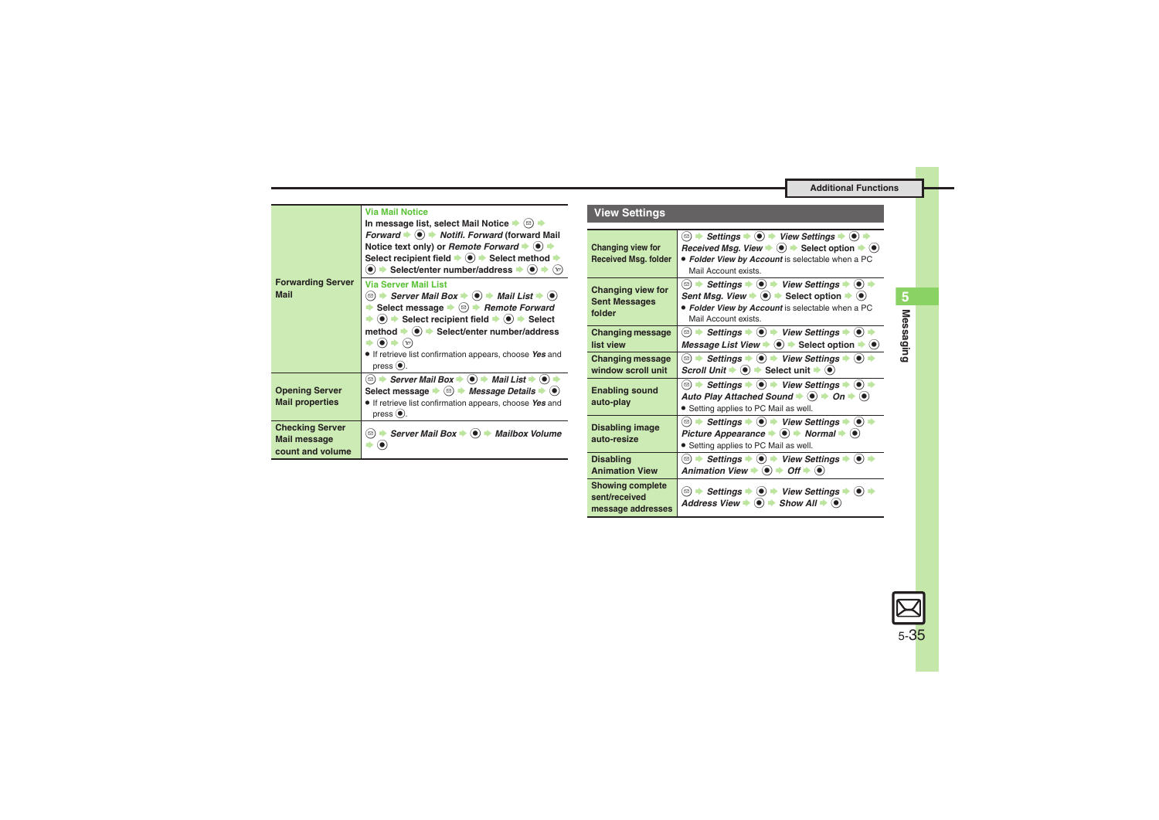<span id="page-34-0"></span>

| <b>Forwarding Server</b><br><b>Mail</b>                           | <b>Via Mail Notice</b><br>In message list, select Mail Notice $\blacktriangleright$ ( $\text{a})$<br>Forward ♦ (•) ♦ Notifi. Forward (forward Mail<br>Notice text only) or <i>Remote Forward</i> $\bullet$ ( $\bullet$ )<br>Select recipient field $\Rightarrow$ ( $\bullet$ ) $\Rightarrow$ Select method $\Rightarrow$<br>$\bullet$ $\bullet$ Select/enter number/address $\bullet$ $\bullet$                                                                                                                                                                                                                                  |  |
|-------------------------------------------------------------------|----------------------------------------------------------------------------------------------------------------------------------------------------------------------------------------------------------------------------------------------------------------------------------------------------------------------------------------------------------------------------------------------------------------------------------------------------------------------------------------------------------------------------------------------------------------------------------------------------------------------------------|--|
|                                                                   | <b>Via Server Mail List</b><br><b><math>\textcircled{\scriptsize{\textsf{a}}}</math> <math>\blacktriangleright</math> Server Mail Box <math>\blacktriangleright</math> (<math>\textcircled{\scriptsize{\textsf{b}}}</math>)</b> $\blacktriangleright$ Mail List $\blacktriangleright$ ( $\textcircled{\scriptsize{\textsf{b}}}$ )<br>Select message $\bullet$ ( $\circledcirc$ ) Remote Forward<br>$\bullet$ $\bullet$ Select recipient field $\bullet$ $\bullet$ $\bullet$ Select<br>method → (•) → Select/enter number/address<br>$(\mathbf{x})$<br>If retrieve list confirmation appears, choose Yes and<br>$pres0(\bullet).$ |  |
| <b>Opening Server</b><br><b>Mail properties</b>                   | <b><math>\textcircled{a}</math> <math>\rightarrow</math> Server Mail Box <math>\rightarrow</math> (<math>\bullet</math>) <math>\rightarrow</math> Mail List <math>\rightarrow</math> (<math>\bullet</math>)</b><br>Select message $\Rightarrow$ ( $\textcircled{a}$ ) $\Rightarrow$ Message Details $\Rightarrow$ ( $\bullet$ )<br>• If retrieve list confirmation appears, choose Yes and<br>press $\odot$ .                                                                                                                                                                                                                    |  |
| <b>Checking Server</b><br><b>Mail message</b><br>count and volume | Server Mail Box $\Rightarrow$ ( $\bullet$ ) $\Rightarrow$ Mailbox Volume<br>[⊠                                                                                                                                                                                                                                                                                                                                                                                                                                                                                                                                                   |  |

### **View Settings**

<span id="page-34-4"></span><span id="page-34-3"></span><span id="page-34-2"></span><span id="page-34-1"></span>

| Changing view for<br><b>Received Msg. folder</b>              | Settings $\bullet$ ( $\bullet$ ) $\bullet$ View Settings $\bullet$ ( $\bullet$ )<br>$\Rightarrow$<br>Received Msq. View $\Rightarrow$ $\circledast$ $\Rightarrow$ Select option $\Rightarrow$ $\circledast$<br>· Folder View by Account is selectable when a PC<br>Mail Account exists.                                                                                                           |
|---------------------------------------------------------------|---------------------------------------------------------------------------------------------------------------------------------------------------------------------------------------------------------------------------------------------------------------------------------------------------------------------------------------------------------------------------------------------------|
| <b>Changing view for</b><br><b>Sent Messages</b><br>folder    | ⊠) $\rightarrow$ Settings $\rightarrow$ (●) $\rightarrow$ View Settings $\rightarrow$ (●) =<br>Sent Msq. View $\Rightarrow$ $\circledast$ Select option $\Rightarrow$ $\circledast$<br>• Folder View by Account is selectable when a PC<br>Mail Account exists.                                                                                                                                   |
| <b>Changing message</b><br>list view                          | <b><math>\textcircled{e}</math> <math>\rightarrow</math> Settings <math>\rightarrow</math> (<math>\bullet</math>) <math>\rightarrow</math> View Settings <math>\rightarrow</math> (<math>\bullet</math>)</b><br>Message List View $\Rightarrow$ ( $\bullet$ ) $\Rightarrow$ Select option $\Rightarrow$ ( $\bullet$ )                                                                             |
| <b>Changing message</b><br>window scroll unit                 | <b><math>\textcircled{e}</math> <math>\rightarrow</math> Settings <math>\rightarrow</math> (<math>\bullet</math>)</b> $\rightarrow$ View Settings $\rightarrow$ ( $\bullet$ )<br>Scroll Unit $\Rightarrow$ ( $\bullet$ ) $\Rightarrow$ Select unit $\Rightarrow$ ( $\bullet$ )                                                                                                                    |
| <b>Enabling sound</b><br>auto-play                            | <b><sup>o</sup></b> $\rightarrow$ Settings $\rightarrow$ ● $\rightarrow$ View Settings $\rightarrow$ ● $\rightarrow$<br>Auto Play Attached Sound $\Rightarrow$ (a) $\Rightarrow$ On $\Rightarrow$ (a)<br>• Setting applies to PC Mail as well.                                                                                                                                                    |
| <b>Disabling image</b><br>auto-resize                         | <b><math>\textcircled{\scriptsize{\textcircled{\#}}}</math> Settings <math>\blacklozenge</math> (<math>\blacklozenge</math>) <math>\blacklozenge</math> View Settings <math>\blacklozenge</math> (<math>\blacklozenge</math>)</b> $\blacklozenge$<br>Picture Appearance $\blacktriangleright$ (0) $\blacktriangleright$ Normal $\blacktriangleright$ (0)<br>• Setting applies to PC Mail as well. |
| <b>Disabling</b><br><b>Animation View</b>                     | $\odot$<br><b><math>\textcircled{\scriptsize{\textcircled{\#}}}</math> Settings <math>\blacklozenge</math> (<math>\blacklozenge</math>)</b> $\blacktriangleright$ View Settings $\blacklozenge$<br>Animation View $\Rightarrow$ ( $\bullet$ ) $\Rightarrow$ Off $\Rightarrow$ ( $\bullet$ )                                                                                                       |
| <b>Showing complete</b><br>sent/received<br>message addresses | <b>□ → Settings → ● → View Settings → ● →</b><br>Address View $\blacktriangleright$ ( $\blacklozenge$ ) $\blacktriangleright$ Show All $\blacktriangleright$ ( $\blacklozenge$ )                                                                                                                                                                                                                  |

5-35

 $\boxtimes$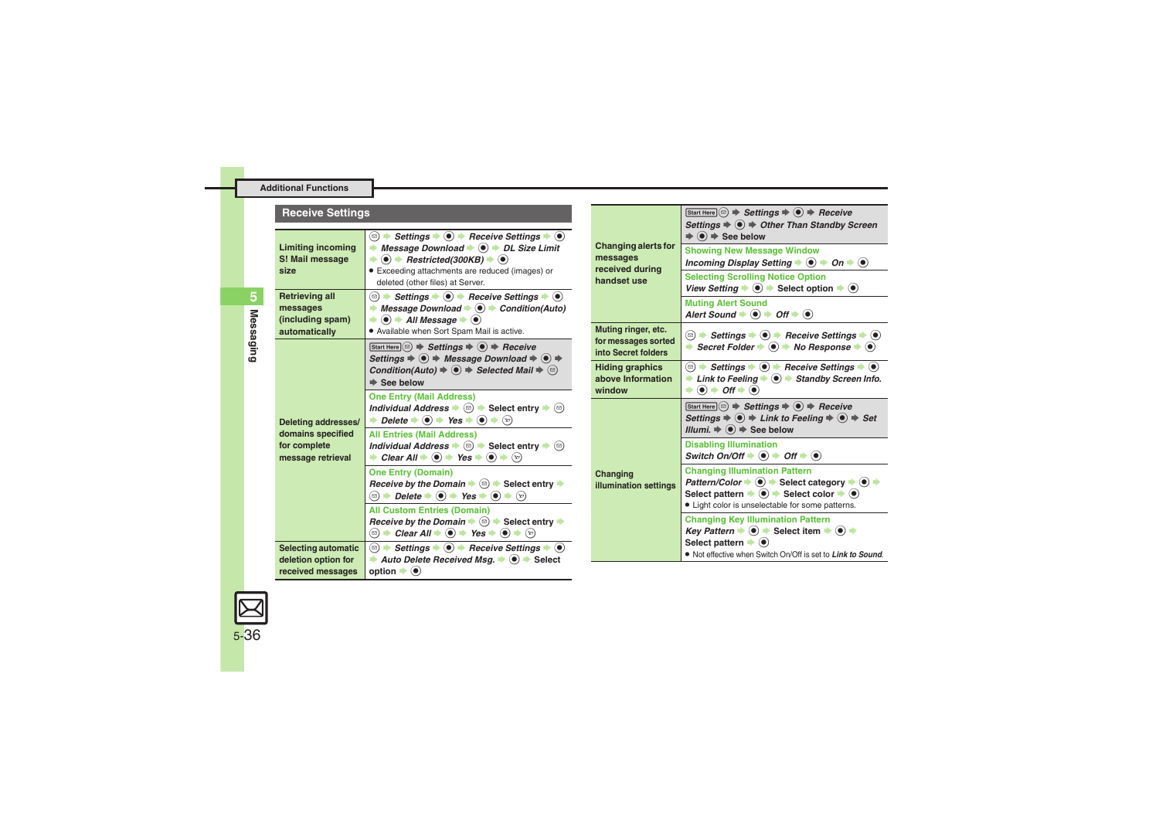<span id="page-35-2"></span><span id="page-35-1"></span><span id="page-35-0"></span>

| <b>Receive Settings</b>                                                       |                                                                                                                                                                                                                                                                                                                                     |                                                                                                                                                                  | Start Here $\circledcirc$ $\Rightarrow$ Settings $\Rightarrow$ $\circledcirc$ $\Rightarrow$ Receive<br>Settings $\Rightarrow$ $\circledbullet$ $\Rightarrow$ Other Than Standby Screen                                                                                                    |                                                                                                                                                                       |
|-------------------------------------------------------------------------------|-------------------------------------------------------------------------------------------------------------------------------------------------------------------------------------------------------------------------------------------------------------------------------------------------------------------------------------|------------------------------------------------------------------------------------------------------------------------------------------------------------------|-------------------------------------------------------------------------------------------------------------------------------------------------------------------------------------------------------------------------------------------------------------------------------------------|-----------------------------------------------------------------------------------------------------------------------------------------------------------------------|
| <b>Limiting incoming</b><br>S! Mail message<br>size                           | <b>★ Message Download ★ ● ★ DL Size Limit</b><br>$\Rightarrow$ (•) $\Rightarrow$ Restricted(300KB) $\Rightarrow$ (•)                                                                                                                                                                                                                | <b>Changing alerts for</b><br>messages<br>received during<br>handset use                                                                                         | $\Rightarrow$ $\circledbullet$ $\Rightarrow$ See below<br><b>Showing New Message Window</b><br>Incoming Display Setting $\Rightarrow$ $\circledcirc$ $\Rightarrow$ On $\Rightarrow$ $\circledcirc$                                                                                        |                                                                                                                                                                       |
|                                                                               | · Exceeding attachments are reduced (images) or<br>deleted (other files) at Server.                                                                                                                                                                                                                                                 |                                                                                                                                                                  | <b>Selecting Scrolling Notice Option</b><br>View Setting $\Rightarrow$ $\circledast$ $\Rightarrow$ Select option $\Rightarrow$ $\circledast$                                                                                                                                              |                                                                                                                                                                       |
|                                                                               | <b>Retrieving all</b><br>messages<br>(including spam)                                                                                                                                                                                                                                                                               | Message Download $\Rightarrow$ $\bullet$ $\Rightarrow$ Condition(Auto)<br>◆<br>$\Rightarrow$ ( $\bullet$ ) $\Rightarrow$ All Message $\Rightarrow$ ( $\bullet$ ) |                                                                                                                                                                                                                                                                                           | <b>Muting Alert Sound</b><br>Alert Sound $\Rightarrow$ $\bullet$ $\Rightarrow$ Off $\Rightarrow$ $\bullet$                                                            |
|                                                                               | automatically                                                                                                                                                                                                                                                                                                                       | . Available when Sort Spam Mail is active.<br>Start Here $\circledcirc$ $\Rightarrow$ Settings $\Rightarrow$ $\circledcirc$ $\Rightarrow$ Receive                | Muting ringer, etc.<br>for messages sorted<br>into Secret folders                                                                                                                                                                                                                         | <b><sup><b> </b> □ → Settings → ● → Receive Settings → ●</sup></b><br>Secret Folder $\Rightarrow$ ( $\bullet$ ) $\Rightarrow$ No Response $\Rightarrow$ ( $\bullet$ ) |
| Deleting addresses/<br>domains specified<br>for complete<br>message retrieval | Settings $\Rightarrow$ <sup>●</sup> → Message Download $\Rightarrow$ ● →<br>Condition(Auto) $\Rightarrow$ $\circledast$ $\Rightarrow$ Selected Mail $\Rightarrow$ $\circledcirc$<br>$\Rightarrow$ See below                                                                                                                         | <b>Hiding graphics</b><br>above Information<br>window                                                                                                            | <b>Example 1</b> Link to Feeling $\bigstar$ <b>(</b> $\bigcirc$ $\bigstar$ Standby Screen Info.<br>$\rightarrow$ (e) $\rightarrow$ Off $\rightarrow$ (e)                                                                                                                                  |                                                                                                                                                                       |
|                                                                               | <b>One Entry (Mail Address)</b><br>Individual Address $\bullet$ $\textcircled{}} \bullet$ Select entry $\bullet$ $\textcircled{}}$<br>→ Delete → $\odot$ → Yes → $\odot$ → $\odot$                                                                                                                                                  |                                                                                                                                                                  | $[Start Here] \textcircled{a} \Rightarrow \text{Setting } \textcircled{a} \Rightarrow \text{ receive}$<br>Settings $\Rightarrow$ $\circledast$ $\Rightarrow$ Link to Feeling $\Rightarrow$ $\circledast$ $\Rightarrow$ Set<br>Illumi. $\Rightarrow$ $\circledast$ $\Rightarrow$ See below |                                                                                                                                                                       |
|                                                                               | <b>All Entries (Mail Address)</b><br>Individual Address $\bullet$ $\circledcirc$ $\bullet$ Select entry $\bullet$ $\circledcirc$<br>→ Clear All $\div$ ( $\bullet$ ) $\div$ Yes $\div$ ( $\bullet$ ) $\div$ ( $\circ$ )                                                                                                             |                                                                                                                                                                  | <b>Disabling Illumination</b><br>Switch On/Off $\Rightarrow$ $\circledast$ $\Rightarrow$ Off $\Rightarrow$ $\circledast$                                                                                                                                                                  |                                                                                                                                                                       |
|                                                                               | <b>One Entry (Domain)</b><br><i>Receive by the Domain</i> $\Rightarrow$ $\textcircled{a}$ $\Rightarrow$ Select entry $\Rightarrow$                                                                                                                                                                                                  | Changing<br><b>illumination settings</b>                                                                                                                         | <b>Changing Illumination Pattern</b><br>Pattern/Color $\div$ ● Select category $\div$ ● $\div$<br>Select pattern $\Rightarrow$ $\circledbullet$ $\Rightarrow$ Select color $\Rightarrow$ $\circledbullet$                                                                                 |                                                                                                                                                                       |
|                                                                               | <b>All Custom Entries (Domain)</b><br>Receive by the Domain $\blacktriangleright \textcircled{\scriptsize{\textcircled{\#}}}$ Select entry $\blacktriangleright$<br><b>◯ <math>\rightarrow</math> Clear All <math>\rightarrow</math> (<math>\bullet</math>)</b> $\rightarrow$ Yes $\rightarrow$ ( $\bullet$ ) $\rightarrow$ $\odot$ |                                                                                                                                                                  | • Light color is unselectable for some patterns.<br><b>Changing Key Illumination Pattern</b><br><i>Key Pattern</i> $\Rightarrow$ ( $\bullet$ ) $\Rightarrow$ Select item $\Rightarrow$ ( $\bullet$ ) $\Rightarrow$                                                                        |                                                                                                                                                                       |
|                                                                               | <b>Selecting automatic</b><br>deletion option for<br>received messages                                                                                                                                                                                                                                                              | Auto Delete Received Msa. $\Rightarrow$ ( $\bullet$ ) $\Rightarrow$ Select<br>option $\blacktriangleright$ $\odot$                                               |                                                                                                                                                                                                                                                                                           | Select pattern $\blacktriangleright$ ( $\blacklozenge$ )<br>. Not effective when Switch On/Off is set to Link to Sound                                                |

<span id="page-35-3"></span>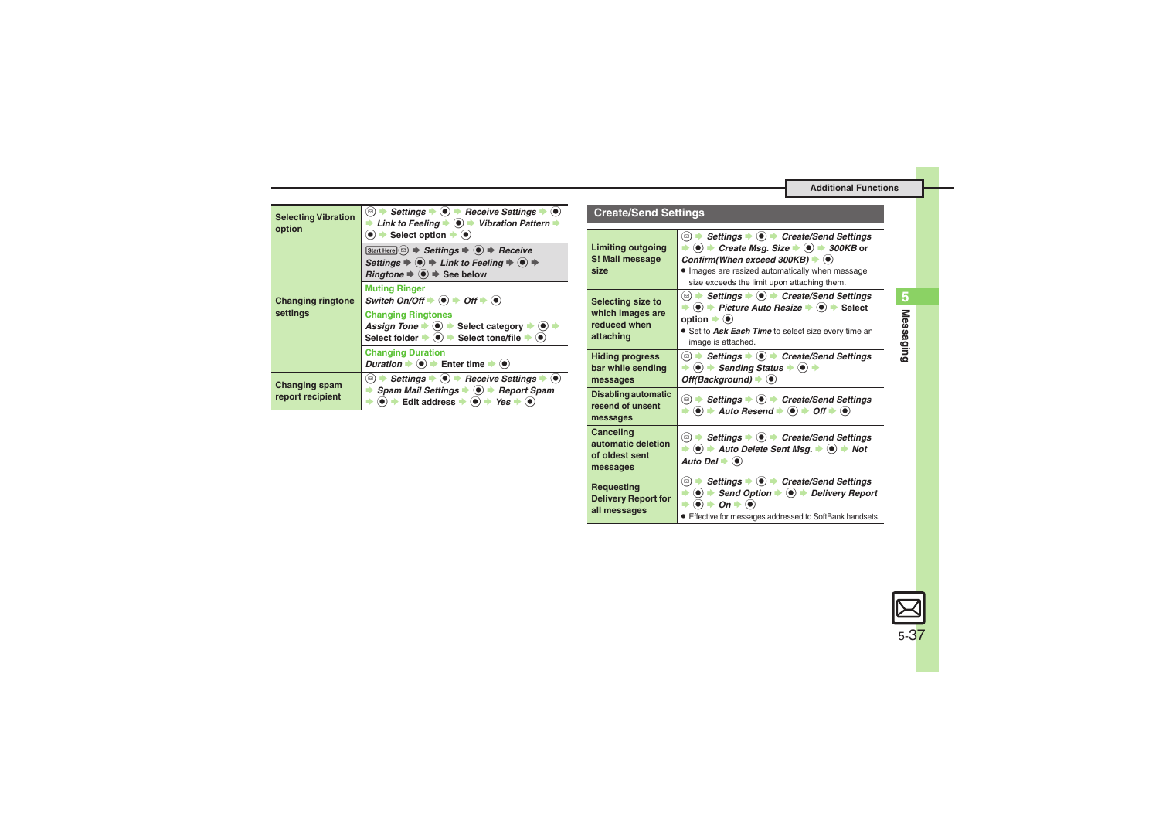**<sup><b> E**  $\rightarrow$  Settings  $\rightarrow$  **C**  $\rightarrow$  Create/Send Settings</sup> → **O**  $\rightarrow$  Send Option  $\rightarrow$  **O**  $\rightarrow$  Delivery Report

. Effective for messages addressed to SoftBank handsets.

 $\rightarrow$   $\odot$   $\rightarrow$  *On*  $\rightarrow$   $\odot$ 

<span id="page-36-5"></span>

| <b>Selecting Vibration</b><br>option                                                                                                                                                                         | $\circledcirc$<br>Settings $\blacktriangleright$ ( $\blacklozenge$ ) $\blacktriangleright$ Receive Settings $\blacktriangleright$ ( $\blacklozenge$ )<br>Link to Feeling $\Rightarrow$ ( $\bullet$ ) $\Rightarrow$ Vibration Pattern $\Rightarrow$<br>$\bullet$ $\bullet$ Select option $\bullet$ $\bullet$ | <b>Create/Send Settings</b><br>Settings $\bullet$ ( $\bullet$ ) $\bullet$ Create/Send Settings<br>$(\text{D})$ |                                                                                                                                                                                                                                                                     |  |
|--------------------------------------------------------------------------------------------------------------------------------------------------------------------------------------------------------------|-------------------------------------------------------------------------------------------------------------------------------------------------------------------------------------------------------------------------------------------------------------------------------------------------------------|----------------------------------------------------------------------------------------------------------------|---------------------------------------------------------------------------------------------------------------------------------------------------------------------------------------------------------------------------------------------------------------------|--|
| <b>Changing ringtone</b><br>settings                                                                                                                                                                         | Start Here $\circledcirc$ $\Rightarrow$ Settings $\Rightarrow$ $\circledcirc$ $\Rightarrow$ Receive<br>Settings $\Rightarrow$ ( $\bullet$ ) $\Rightarrow$ Link to Feeling $\Rightarrow$ ( $\bullet$ ) $\Rightarrow$<br>Ringtone $\Rightarrow$ $\circledast$ $\Rightarrow$ See below<br><b>Muting Ringer</b> | <b>Limiting outgoing</b><br>S! Mail message<br>size                                                            | $\Rightarrow$ (0) $\Rightarrow$ Create Msq. Size $\Rightarrow$ (0) $\Rightarrow$ 300KB or<br>Confirm(When exceed 300KB) $\blacktriangleright$ ( $\blacklozenge$ )<br>. Images are resized automatically when message<br>size exceeds the limit upon attaching them. |  |
|                                                                                                                                                                                                              | Switch On/Off $\Rightarrow$ ( $\bullet$ ) $\Rightarrow$ Off $\Rightarrow$ ( $\bullet$ )                                                                                                                                                                                                                     | Selecting size to<br>which images are<br>reduced when<br>attaching                                             | (□) $\rightarrow$ Settings $\rightarrow$ (●) $\rightarrow$ Create/Send Settings                                                                                                                                                                                     |  |
|                                                                                                                                                                                                              | <b>Changing Ringtones</b><br>Assign Tone $\Rightarrow$ $\circledcirc$ $\Rightarrow$ Select category $\Rightarrow$ $\circledcirc$ $\Rightarrow$<br>Select folder $\Rightarrow$ $\circledast$ $\Rightarrow$ Select tone/file $\Rightarrow$ $\circledast$                                                      |                                                                                                                | $\Rightarrow$ (0) $\Rightarrow$ Picture Auto Resize $\Rightarrow$ (0) $\Rightarrow$ Select<br>option $\blacktriangleright$ ( $\blacklozenge$ )<br>• Set to Ask Each Time to select size every time an<br>image is attached.                                         |  |
|                                                                                                                                                                                                              | <b>Changing Duration</b><br><i>Duration</i> $\Rightarrow$ ( $\bullet$ ) $\Rightarrow$ Enter time $\Rightarrow$ ( $\bullet$ )<br>Settings $\bullet$ ( $\bullet$ ) $\bullet$ Receive Settings $\bullet$ ( $\bullet$ )<br>$(\boxdot)$                                                                          | <b>Hiding progress</b><br>bar while sending<br>messages                                                        | $\Rightarrow$ ( $\bullet$ ) $\Rightarrow$ Sending Status $\Rightarrow$ ( $\bullet$ ) $\Rightarrow$<br>Off(Background) $\blacktriangleright$ ( $\blacklozenge$ )                                                                                                     |  |
| Changing spam<br>Spam Mail Settings $\Rightarrow$ ( $\bullet$ ) $\Rightarrow$ Report Spam<br>∙<br>report recipient<br>$\bullet$ $\bullet$ Edit address $\bullet$ $\bullet$ $\bullet$ Yes $\bullet$ $\bullet$ |                                                                                                                                                                                                                                                                                                             | <b>Disabling automatic</b><br>resend of unsent<br>messages                                                     | <b><sup>◎</sup> → Settings → ● → Create/Send Settings</b><br>$\Rightarrow$ (0) $\Rightarrow$ Auto Resend $\Rightarrow$ (0) $\Rightarrow$ Off $\Rightarrow$ (0)                                                                                                      |  |
|                                                                                                                                                                                                              |                                                                                                                                                                                                                                                                                                             | Canceling<br>automatic deletion<br>of oldest sent                                                              | ( <b>□) → Settings → (●) → Create/Send Settings</b><br>$\bullet$ $\bullet$ Auto Delete Sent Msg. $\bullet$ $\bullet$ $\bullet$ Not<br>Auto Del $\blacktriangleright$ ( $\blacklozenge$ )                                                                            |  |

<span id="page-36-4"></span><span id="page-36-3"></span><span id="page-36-1"></span><span id="page-36-0"></span>**messages**

<span id="page-36-2"></span>**Requesting Delivery Report for all messages**

**Messaging 5** Messaging

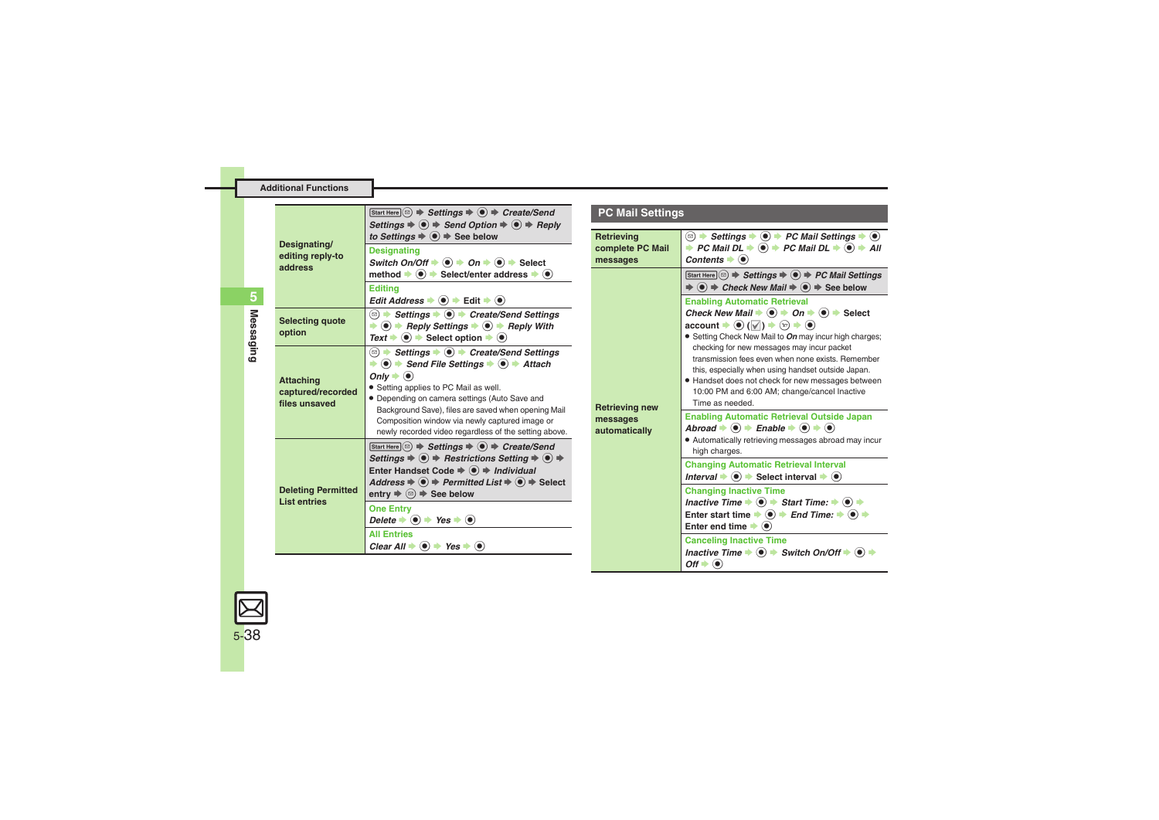<span id="page-37-3"></span><span id="page-37-1"></span><span id="page-37-0"></span>

| Designating/<br>editing reply-to<br>address            | Start Here $\circledcirc$ $\Rightarrow$ Settings $\Rightarrow$ $\circledcirc$ $\Rightarrow$ Create/Send<br>Settings $\Rightarrow$ $\circledast$ $\Rightarrow$ Send Option $\Rightarrow$ $\circledast$ $\Rightarrow$ Reply<br>to Settings $\Rightarrow$ $\bullet$ $\Rightarrow$ See below<br><b>Designating</b><br>Switch On/Off $\Rightarrow$ ( $\bullet$ ) $\Rightarrow$ On $\Rightarrow$ ( $\bullet$ ) $\Rightarrow$ Select<br>method $\Rightarrow$ ( $\bullet$ ) $\Rightarrow$ Select/enter address $\Rightarrow$ ( $\bullet$ )                                                                                                                                        | F<br>R <sub>6</sub><br>cc<br>m |
|--------------------------------------------------------|---------------------------------------------------------------------------------------------------------------------------------------------------------------------------------------------------------------------------------------------------------------------------------------------------------------------------------------------------------------------------------------------------------------------------------------------------------------------------------------------------------------------------------------------------------------------------------------------------------------------------------------------------------------------------|--------------------------------|
|                                                        | <b>Editina</b><br>Edit Address $\Rightarrow$ $\circledast$ $\Rightarrow$ Edit $\Rightarrow$ $\circledast$                                                                                                                                                                                                                                                                                                                                                                                                                                                                                                                                                                 |                                |
| <b>Selecting quote</b><br>option                       | <b><b>■ → Settings → ● → Create/Send Settings</b></b><br>$\Rightarrow$ (0) $\Rightarrow$ Reply Settings $\Rightarrow$ (0) $\Rightarrow$ Reply With<br>$Text \rightarrow \textcircled{\bullet}$ $\rightarrow$ Select option $\rightarrow \textcircled{\bullet}$                                                                                                                                                                                                                                                                                                                                                                                                            |                                |
| <b>Attaching</b><br>captured/recorded<br>files unsaved | <b><b>■ → Settings → ● → Create/Send Settings</b></b><br>$\Rightarrow$ (0) $\Rightarrow$ Send File Settings $\Rightarrow$ (0) $\Rightarrow$ Attach<br>Only $\blacktriangleright$ ( $\blacklozenge$ )<br>• Setting applies to PC Mail as well.<br>· Depending on camera settings (Auto Save and<br>Background Save), files are saved when opening Mail<br>Composition window via newly captured image or<br>newly recorded video regardless of the setting above.                                                                                                                                                                                                          | R <sub>6</sub><br>m<br>au      |
| <b>Deleting Permitted</b><br><b>List entries</b>       | Start Here $\circledcirc$ $\Rightarrow$ Settings $\Rightarrow$ $\circledcirc$ $\Rightarrow$ Create/Send<br>Settings $\Rightarrow$ $\circledast$ $\Rightarrow$ Restrictions Setting $\Rightarrow$ $\circledast$ $\Rightarrow$<br>Enter Handset Code $\Rightarrow$ $\circledast$ $\Rightarrow$ Individual<br>Address $\Rightarrow$ $\circledast$ $\Rightarrow$ Permitted List $\Rightarrow$ $\circledast$ $\Rightarrow$ Select<br>entry $\Rightarrow$ $\textcircled{a}$ $\Rightarrow$ See below<br><b>One Entry</b><br>Delete $\bullet$ $\bullet$ $\bullet$ Yes $\bullet$ $\bullet$<br><b>All Entries</b><br>Clear All $\div$ ( $\bullet$ ) $\div$ Yes $\div$ ( $\bullet$ ) |                                |

### **PC Mail Settings**

<span id="page-37-5"></span><span id="page-37-4"></span>

| Retrieving<br>complete PC Mail<br>messages  | <b><sup>☉</sup></b> $\rightarrow$ Settings $\rightarrow$ ( $\bullet$ ) $\rightarrow$ PC Mail Settings $\rightarrow$ ( $\bullet$ )<br>→ PC Mail DL $\Rightarrow$ ( $\bullet$ ) $\Rightarrow$ PC Mail DL $\Rightarrow$ ( $\bullet$ ) $\Rightarrow$ All<br>Contents $\bullet$ ( $\bullet$ )                                                                                                                                                                                                                                                                                                                                              |
|---------------------------------------------|---------------------------------------------------------------------------------------------------------------------------------------------------------------------------------------------------------------------------------------------------------------------------------------------------------------------------------------------------------------------------------------------------------------------------------------------------------------------------------------------------------------------------------------------------------------------------------------------------------------------------------------|
| Retrieving new<br>messages<br>automatically | Start Here $\circledcirc$ $\Rightarrow$ Settings $\Rightarrow$ $\circledcirc$ $\Rightarrow$ PC Mail Settings<br>$\Rightarrow$ $\circledast$ $\Rightarrow$ Check New Mail $\Rightarrow$ $\circledast$ $\Rightarrow$ See below                                                                                                                                                                                                                                                                                                                                                                                                          |
|                                             | <b>Enabling Automatic Retrieval</b><br>Check New Mail $\Rightarrow$ (0) $\Rightarrow$ On $\Rightarrow$ (0) $\Rightarrow$ Select<br>$\text{account} \rightarrow \textcircled{\leftarrow} (\textcolor{red}{\vee}) \rightarrow \textcircled{\leftarrow} \rightarrow \textcircled{\leftarrow}$<br>• Setting Check New Mail to On may incur high charges;<br>checking for new messages may incur packet<br>transmission fees even when none exists. Remember<br>this, especially when using handset outside Japan.<br>· Handset does not check for new messages between<br>10:00 PM and 6:00 AM; change/cancel Inactive<br>Time as needed. |
|                                             | <b>Enabling Automatic Retrieval Outside Japan</b><br>Abroad $\Rightarrow$ ( $\bullet$ ) $\Rightarrow$ Enable $\Rightarrow$ ( $\bullet$ ) $\Rightarrow$ ( $\bullet$ )<br>• Automatically retrieving messages abroad may incur<br>high charges.                                                                                                                                                                                                                                                                                                                                                                                         |
|                                             | <b>Changing Automatic Retrieval Interval</b><br>Interval $\blacktriangleright$ ( $\blacklozenge$ ) $\blacktriangleright$ Select interval $\blacktriangleright$ ( $\blacklozenge$ )                                                                                                                                                                                                                                                                                                                                                                                                                                                    |
|                                             | <b>Changing Inactive Time</b><br>Inactive Time $\blacktriangleright$ (0) $\blacktriangleright$ Start Time: $\blacktriangleright$ (0) $\blacktriangleright$<br>Enter start time $\Rightarrow$ $\textcircled{\bullet}$ $\Rightarrow$ End Time: $\Rightarrow$ $\textcircled{\bullet}$ $\Rightarrow$<br>Enter end time $\blacktriangleright$ ( $\blacklozenge$ )                                                                                                                                                                                                                                                                          |
|                                             | <b>Canceling Inactive Time</b><br>Inactive Time $\Rightarrow$ $\circledast$ $\Rightarrow$ Switch On/Off $\Rightarrow$ $\circledast$<br>$Off \rightarrow \bullet$                                                                                                                                                                                                                                                                                                                                                                                                                                                                      |

<span id="page-37-2"></span>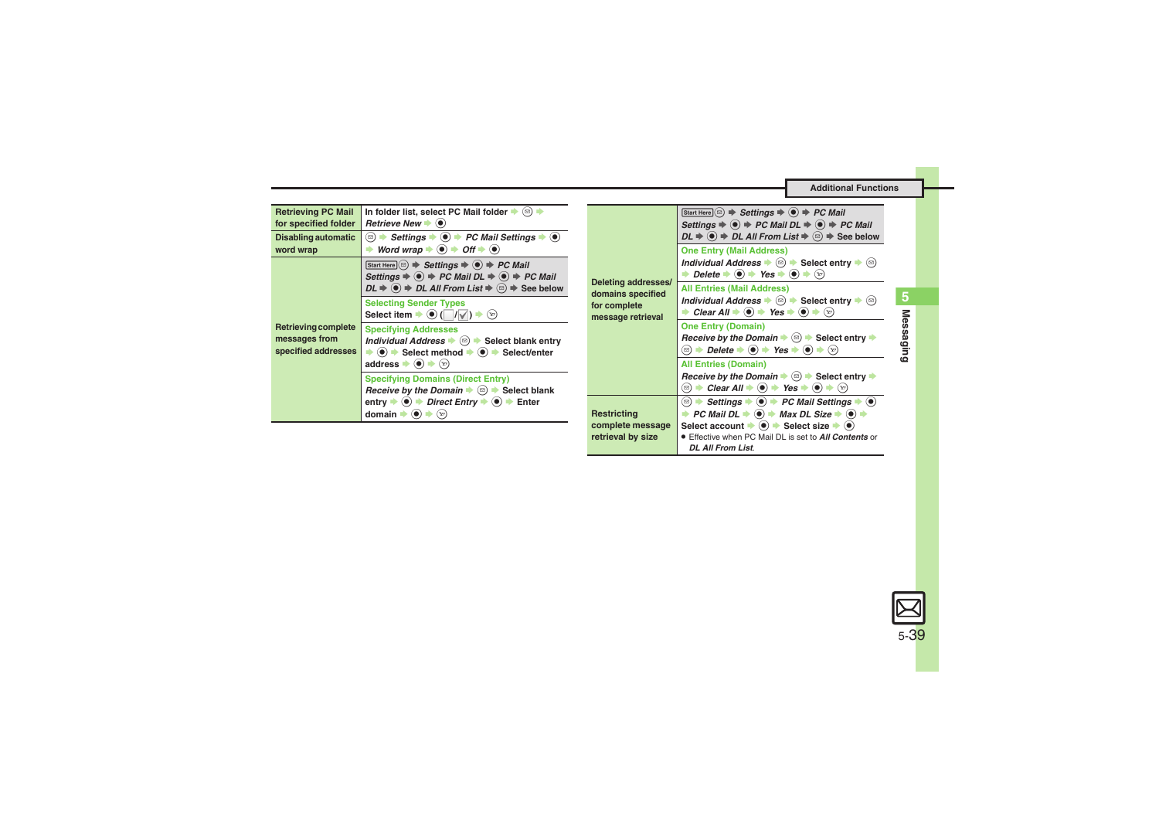<span id="page-38-3"></span><span id="page-38-2"></span><span id="page-38-1"></span><span id="page-38-0"></span>

| <b>Retrieving PC Mail</b><br>for specified folder<br>Disabling automatic<br>word wrap | In folder list, select PC Mail folder $\blacktriangleright$ ( $\textcircled{a}$ ) $\blacktriangleright$<br>Retrieve New $\blacktriangleright$ ( $\blacklozenge$ )<br>Word wrap $\Rightarrow$ $\bullet$ $\Rightarrow$ Off $\Rightarrow$ $\bullet$                                                                                                                                                                                                                                                                                                                                     |                                                        | Start Here $\circledcirc$ $\Rightarrow$ Settings $\Rightarrow$ $\circledcirc$ $\Rightarrow$ PC Mail<br>Settings $\Rightarrow$ ( $\bullet$ ) $\Rightarrow$ PC Mail DL $\Rightarrow$ ( $\bullet$ ) $\Rightarrow$ PC Mail<br>$DL \Rightarrow$ ( $\bullet$ ) $\Rightarrow$ DL All From List $\Rightarrow$ ( $\circledcirc$ ) $\Rightarrow$ See below<br><b>One Entry (Mail Address)</b> |
|---------------------------------------------------------------------------------------|--------------------------------------------------------------------------------------------------------------------------------------------------------------------------------------------------------------------------------------------------------------------------------------------------------------------------------------------------------------------------------------------------------------------------------------------------------------------------------------------------------------------------------------------------------------------------------------|--------------------------------------------------------|-------------------------------------------------------------------------------------------------------------------------------------------------------------------------------------------------------------------------------------------------------------------------------------------------------------------------------------------------------------------------------------|
| Retrieving complete<br>messages from<br>specified addresses                           | $[Start Here] \textcircled{a} \Rightarrow \text{Setting } \Rightarrow \textcircled{a} \Rightarrow \text{PC Mail}$<br>Settings $\Rightarrow$ ( $\bullet$ ) $\Rightarrow$ PC Mail DL $\Rightarrow$ ( $\bullet$ ) $\Rightarrow$ PC Mail                                                                                                                                                                                                                                                                                                                                                 | Deleting addresses/                                    | Individual Address $\bullet$ $\textcircled{a}$ $\bullet$ Select entry $\bullet$ $\textcircled{a}$<br><b>→</b> Delete $\rightarrow$ ( $\bullet$ ) $\rightarrow$ Yes $\rightarrow$ ( $\bullet$ ) $\rightarrow$ ( $\circ$ )                                                                                                                                                            |
|                                                                                       | $DL \Rightarrow$ ( $\bullet$ ) $\Rightarrow$ DL All From List $\Rightarrow$ ( $\textcircled{e}$ ) $\Rightarrow$ See below<br><b>Selecting Sender Types</b><br>Select item $\Rightarrow$ (a) ( $\Box/\Box$ ) $\Rightarrow$ ( $\Im$ )                                                                                                                                                                                                                                                                                                                                                  | domains specified<br>for complete<br>message retrieval | <b>All Entries (Mail Address)</b><br>Individual Address $\Rightarrow$ $\textcircled{a}$ $\Rightarrow$ Select entry $\Rightarrow$ $\textcircled{a}$<br>Clear All $\Rightarrow$ (a) $\Rightarrow$ Yes $\Rightarrow$ (a) $\Rightarrow$ (x)                                                                                                                                             |
|                                                                                       | <b>Specifying Addresses</b><br>Individual Address $\bullet$ ( $\circledcirc$ ) $\bullet$ Select blank entry<br>$\Rightarrow$ (0) $\Rightarrow$ Select method $\Rightarrow$ (0) $\Rightarrow$ Select/enter<br>address $\bullet$ $\bullet$ $\bullet$ $\heartsuit$<br><b>Specifying Domains (Direct Entry)</b><br><i>Receive by the Domain</i> $\Rightarrow$ $\textcircled{a}$ $\Rightarrow$ Select blank<br>entry $\Rightarrow$ ( $\bullet$ ) $\Rightarrow$ Direct Entry $\Rightarrow$ ( $\bullet$ ) $\Rightarrow$ Enter<br>domain $\blacktriangleright$ (e) $\blacktriangleright$ (x) |                                                        | <b>One Entry (Domain)</b><br>Receive by the Domain $\Rightarrow$ $\textcircled{=}$ Select entry $\Rightarrow$<br><b>◯ <math>\Rightarrow</math> Delete <math>\Rightarrow</math> (<math>\bullet</math>) <math>\Rightarrow</math> Yes <math>\Rightarrow</math> (<math>\bullet</math>)</b> $\Rightarrow$ ( $\circ$ )                                                                    |
|                                                                                       |                                                                                                                                                                                                                                                                                                                                                                                                                                                                                                                                                                                      |                                                        | <b>All Entries (Domain)</b><br><i>Receive by the Domain</i> $\Rightarrow$ $\textcircled{a}$ $\Rightarrow$ Select entry $\Rightarrow$                                                                                                                                                                                                                                                |
|                                                                                       |                                                                                                                                                                                                                                                                                                                                                                                                                                                                                                                                                                                      | Restricting                                            | → PC Mail DL $\Rightarrow$ ( $\bullet$ ) $\Rightarrow$ Max DL Size $\Rightarrow$ ( $\bullet$ ) $\Rightarrow$                                                                                                                                                                                                                                                                        |
|                                                                                       |                                                                                                                                                                                                                                                                                                                                                                                                                                                                                                                                                                                      | complete message<br>retrieval by size                  | Select account $\Rightarrow$ ( $\bullet$ ) $\Rightarrow$ Select size $\Rightarrow$ ( $\bullet$ )<br><b>Effective when PC Mail DL is set to All Contents or</b><br><b>DL All From List.</b>                                                                                                                                                                                          |

<span id="page-38-4"></span>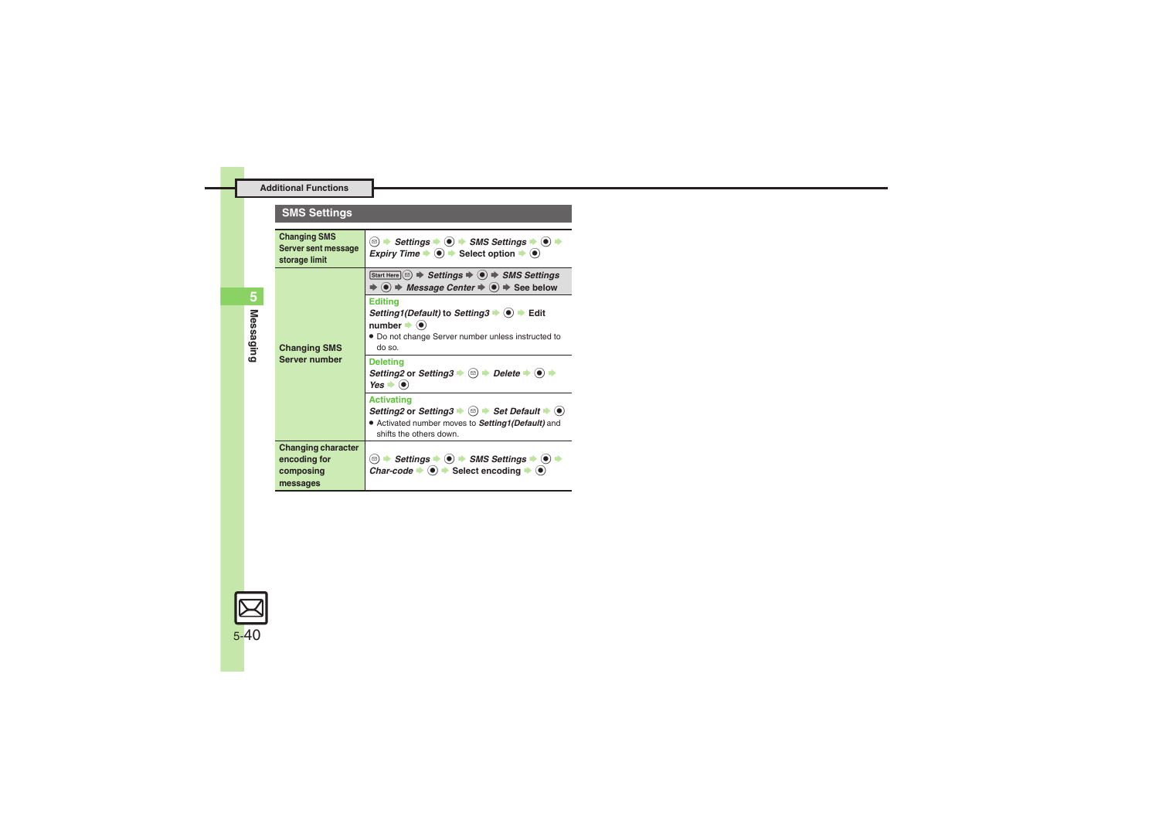### **SMS Settings**

<span id="page-39-2"></span><span id="page-39-1"></span><span id="page-39-0"></span>

| <b>Changing SMS</b><br>Server sent message<br>storage limit        | <b><sup>2</sup> Assettings <math>\rightarrow</math> (●) <math>\rightarrow</math> SMS Settings <math>\rightarrow</math> (●) <math>\rightarrow</math></b><br><i>Expiry Time</i> $\bullet$ $\bullet$ > Select option $\bullet$ $\bullet$           |
|--------------------------------------------------------------------|-------------------------------------------------------------------------------------------------------------------------------------------------------------------------------------------------------------------------------------------------|
| <b>Changing SMS</b><br><b>Server number</b>                        | Start Here $\circledcirc$ $\Rightarrow$ Settings $\Rightarrow$ $\circledcirc$ $\Rightarrow$ SMS Settings<br>$\Rightarrow$ ( $\bullet$ ) $\Rightarrow$ Message Center $\Rightarrow$ ( $\bullet$ ) $\Rightarrow$ See below                        |
|                                                                    | <b>Editing</b><br>Setting1(Default) to Setting3 ♦ (•) ♦ Edit<br>$number \rightarrow 0$<br>• Do not change Server number unless instructed to<br>do so.                                                                                          |
|                                                                    | <b>Deleting</b><br>Setting2 or Setting3 $\Rightarrow$ ( $\textcircled{=}$ ) $\Rightarrow$ Delete $\Rightarrow$ ( $\bullet$ )<br>$Yes \rightarrow \odot$                                                                                         |
|                                                                    | <b>Activating</b><br>Setting 2 or Setting $3 \rightarrow \textcircled{=}$ Set Default $\rightarrow \textcircled{}$<br>• Activated number moves to <b>Setting1(Default)</b> and<br>shifts the others down.                                       |
| <b>Changing character</b><br>encoding for<br>composing<br>messages | <b>□ <math>\rightarrow</math> Settings <math>\rightarrow</math> (●) <math>\rightarrow</math> SMS Settings <math>\rightarrow</math> (●)</b><br>Char-code $\Rightarrow$ $\circledcirc$ $\Rightarrow$ Select encoding $\Rightarrow$ $\circledcirc$ |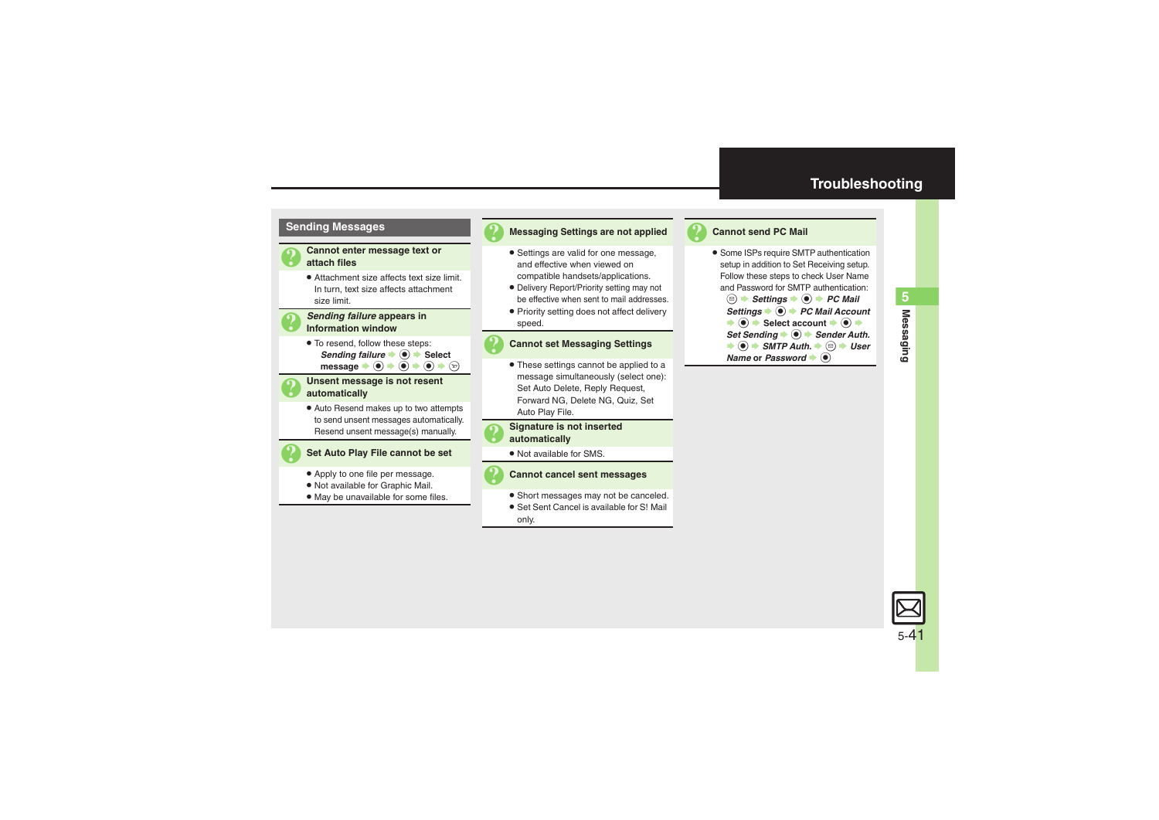

### 3 **Messaging Settings are not applied**

- . Settings are valid for one message, and effective when viewed on compatible handsets/applications.
- . Delivery Report/Priority setting may not be effective when sent to mail addresses.
- . Priority setting does not affect delivery speed.

### 3 **Cannot set Messaging Settings**

. These settings cannot be applied to a message simultaneously (select one): Set Auto Delete, Reply Request, Forward NG, Delete NG, Quiz, Set Auto Play File.

# 3 **Signature is not inserted automatically**

. Not available for SMS.



### 3 **Cannot cancel sent messages**

- . Short messages may not be canceled.
- . Set Sent Cancel is available for S! Mail only.

### <span id="page-40-0"></span>**Cannot send PC Mail**

- **Some ISPs require SMTP authentication** setup in addition to Set Receiving setup. Follow these steps to check User Name and Password for SMTP authentication:
	- **a**  $\rightarrow$  Settings  $\rightarrow$  **●** *PC Mail*  $\overline{\text{Setting}}$   $\rightarrow$  **PC Mail Account**  $\Rightarrow$   $\circledast$  Select account  $\Rightarrow$   $\circledast$   $\Rightarrow$ Set Sending  $\bigcirc$  **Sender Auth.**  $\Rightarrow$   $\circledast$   $\Rightarrow$  *SMTP Auth.*  $\Rightarrow$   $\circledast$   $\Rightarrow$  *User* **Name** or *Password*  $\bullet$   $\odot$